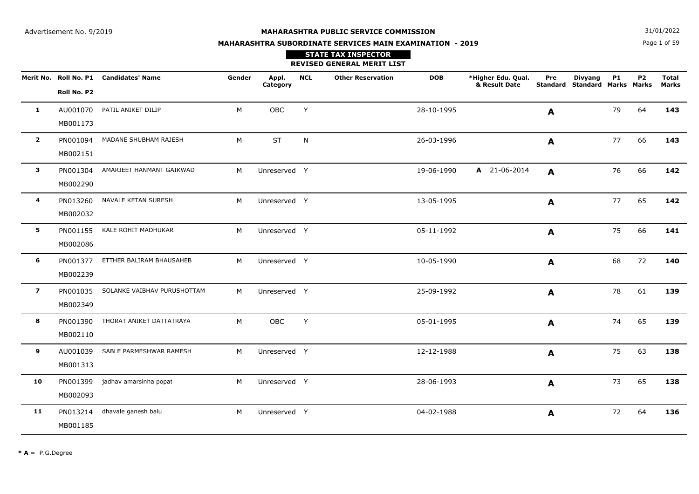Page 1 of 59**N**  $31/01/2022$ 

# **MAHARASHTRA SUBORDINATE SERVICES MAIN EXAMINATION - 2019**

|                |             | Merit No. Roll No. P1 Candidates' Name | Gender | Appl.<br>Category | <b>NCL</b> | <b>Other Reservation</b> | <b>DOB</b> | *Higher Edu. Qual.<br>& Result Date | Pre<br><b>Standard</b> | <b>Divyang</b><br><b>Standard Marks Marks</b> | <b>P1</b> | <b>P2</b> | <b>Total</b><br><b>Marks</b> |
|----------------|-------------|----------------------------------------|--------|-------------------|------------|--------------------------|------------|-------------------------------------|------------------------|-----------------------------------------------|-----------|-----------|------------------------------|
|                | Roll No. P2 |                                        |        |                   |            |                          |            |                                     |                        |                                               |           |           |                              |
| $\mathbf{1}$   | AU001070    | PATIL ANIKET DILIP                     | М      | OBC               | Y          |                          | 28-10-1995 |                                     | A                      |                                               | 79        | 64        | 143                          |
|                | MB001173    |                                        |        |                   |            |                          |            |                                     |                        |                                               |           |           |                              |
| $\overline{2}$ | PN001094    | MADANE SHUBHAM RAJESH                  | M      | <b>ST</b>         | N          |                          | 26-03-1996 |                                     | A                      |                                               | 77        | 66        | 143                          |
|                | MB002151    |                                        |        |                   |            |                          |            |                                     |                        |                                               |           |           |                              |
| $\mathbf{3}$   | PN001304    | AMARJEET HANMANT GAIKWAD               | M      | Unreserved Y      |            |                          | 19-06-1990 | A 21-06-2014                        | A                      |                                               | 76        | 66        | 142                          |
|                | MB002290    |                                        |        |                   |            |                          |            |                                     |                        |                                               |           |           |                              |
| 4              | PN013260    | NAVALE KETAN SURESH                    | М      | Unreserved Y      |            |                          | 13-05-1995 |                                     | A                      |                                               | 77        | 65        | 142                          |
|                | MB002032    |                                        |        |                   |            |                          |            |                                     |                        |                                               |           |           |                              |
| 5              | PN001155    | KALE ROHIT MADHUKAR                    | M      | Unreserved Y      |            |                          | 05-11-1992 |                                     | A                      |                                               | 75        | 66        | 141                          |
|                | MB002086    |                                        |        |                   |            |                          |            |                                     |                        |                                               |           |           |                              |
| 6              | PN001377    | ETTHER BALIRAM BHAUSAHEB               | M      | Unreserved Y      |            |                          | 10-05-1990 |                                     | $\mathbf{A}$           |                                               | 68        | 72        | 140                          |
|                | MB002239    |                                        |        |                   |            |                          |            |                                     |                        |                                               |           |           |                              |
| $\overline{z}$ | PN001035    | SOLANKE VAIBHAV PURUSHOTTAM            | M      | Unreserved Y      |            |                          | 25-09-1992 |                                     | $\mathbf{A}$           |                                               | 78        | 61        | 139                          |
|                | MB002349    |                                        |        |                   |            |                          |            |                                     |                        |                                               |           |           |                              |
| 8              | PN001390    | THORAT ANIKET DATTATRAYA               | M      | OBC               | Y          |                          | 05-01-1995 |                                     | A                      |                                               | 74        | 65        | 139                          |
|                | MB002110    |                                        |        |                   |            |                          |            |                                     |                        |                                               |           |           |                              |
| 9              | AU001039    | SABLE PARMESHWAR RAMESH                | M      | Unreserved Y      |            |                          | 12-12-1988 |                                     | $\mathbf{A}$           |                                               | 75        | 63        | 138                          |
|                | MB001313    |                                        |        |                   |            |                          |            |                                     |                        |                                               |           |           |                              |
| 10             | PN001399    | jadhav amarsinha popat                 | M      | Unreserved Y      |            |                          | 28-06-1993 |                                     | A                      |                                               | 73        | 65        | 138                          |
|                | MB002093    |                                        |        |                   |            |                          |            |                                     |                        |                                               |           |           |                              |
| 11             | PN013214    | dhavale ganesh balu                    | M      | Unreserved Y      |            |                          | 04-02-1988 |                                     | $\mathbf{A}$           |                                               | 72        | 64        | 136                          |
|                | MB001185    |                                        |        |                   |            |                          |            |                                     |                        |                                               |           |           |                              |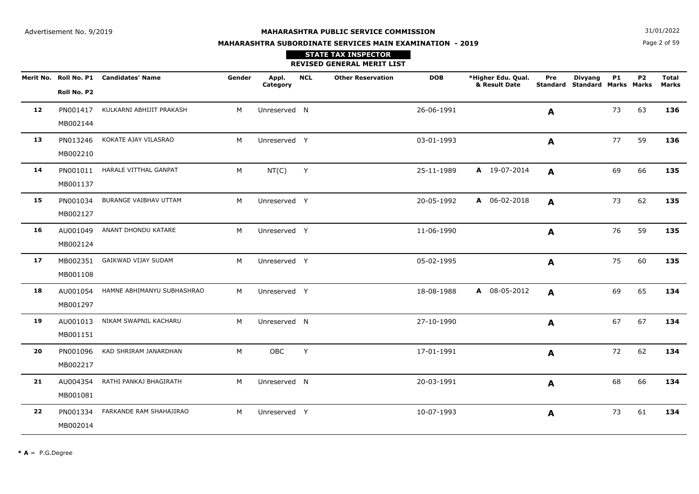Page 2 of 59**N**  $31/01/2022$ 

# **MAHARASHTRA SUBORDINATE SERVICES MAIN EXAMINATION - 2019**

|    |             | Merit No. Roll No. P1 Candidates' Name | Gender | Appl.<br>Category | <b>NCL</b> | <b>Other Reservation</b> | <b>DOB</b> | *Higher Edu. Qual.<br>& Result Date | Pre<br>Standard | <b>Divyang</b><br><b>Standard Marks Marks</b> | <b>P1</b> | P <sub>2</sub> | <b>Total</b><br><b>Marks</b> |
|----|-------------|----------------------------------------|--------|-------------------|------------|--------------------------|------------|-------------------------------------|-----------------|-----------------------------------------------|-----------|----------------|------------------------------|
|    | Roll No. P2 |                                        |        |                   |            |                          |            |                                     |                 |                                               |           |                |                              |
| 12 | PN001417    | KULKARNI ABHIJIT PRAKASH               | M      | Unreserved N      |            |                          | 26-06-1991 |                                     | A               |                                               | 73        | 63             | 136                          |
|    | MB002144    |                                        |        |                   |            |                          |            |                                     |                 |                                               |           |                |                              |
| 13 | PN013246    | KOKATE AJAY VILASRAO                   | M      | Unreserved Y      |            |                          | 03-01-1993 |                                     | A               |                                               | 77        | 59             | 136                          |
|    | MB002210    |                                        |        |                   |            |                          |            |                                     |                 |                                               |           |                |                              |
| 14 | PN001011    | HARALE VITTHAL GANPAT                  | M      | NT(C)             | Y          |                          | 25-11-1989 | A 19-07-2014                        | A               |                                               | 69        | 66             | 135                          |
|    | MB001137    |                                        |        |                   |            |                          |            |                                     |                 |                                               |           |                |                              |
| 15 | PN001034    | BURANGE VAIBHAV UTTAM                  | M      | Unreserved Y      |            |                          | 20-05-1992 | A 06-02-2018                        | A               |                                               | 73        | 62             | 135                          |
|    | MB002127    |                                        |        |                   |            |                          |            |                                     |                 |                                               |           |                |                              |
| 16 | AU001049    | ANANT DHONDU KATARE                    | M      | Unreserved Y      |            |                          | 11-06-1990 |                                     | A               |                                               | 76        | 59             | 135                          |
|    | MB002124    |                                        |        |                   |            |                          |            |                                     |                 |                                               |           |                |                              |
| 17 | MB002351    | GAIKWAD VIJAY SUDAM                    | M      | Unreserved Y      |            |                          | 05-02-1995 |                                     | A               |                                               | 75        | 60             | 135                          |
|    | MB001108    |                                        |        |                   |            |                          |            |                                     |                 |                                               |           |                |                              |
| 18 | AU001054    | HAMNE ABHIMANYU SUBHASHRAO             | M      | Unreserved Y      |            |                          | 18-08-1988 | A 08-05-2012                        | A               |                                               | 69        | 65             | 134                          |
|    | MB001297    |                                        |        |                   |            |                          |            |                                     |                 |                                               |           |                |                              |
| 19 | AU001013    | NIKAM SWAPNIL KACHARU                  | M      | Unreserved N      |            |                          | 27-10-1990 |                                     | A               |                                               | 67        | 67             | 134                          |
|    | MB001151    |                                        |        |                   |            |                          |            |                                     |                 |                                               |           |                |                              |
| 20 | PN001096    | KAD SHRIRAM JANARDHAN                  | M      | OBC               | Y          |                          | 17-01-1991 |                                     | A               |                                               | 72        | 62             | 134                          |
|    | MB002217    |                                        |        |                   |            |                          |            |                                     |                 |                                               |           |                |                              |
| 21 | AU004354    | RATHI PANKAJ BHAGIRATH                 | M      | Unreserved N      |            |                          | 20-03-1991 |                                     | A               |                                               | 68        | 66             | 134                          |
|    | MB001081    |                                        |        |                   |            |                          |            |                                     |                 |                                               |           |                |                              |
| 22 | PN001334    | FARKANDE RAM SHAHAJIRAO                | M      | Unreserved Y      |            |                          | 10-07-1993 |                                     | A               |                                               | 73        | 61             | 134                          |
|    | MB002014    |                                        |        |                   |            |                          |            |                                     |                 |                                               |           |                |                              |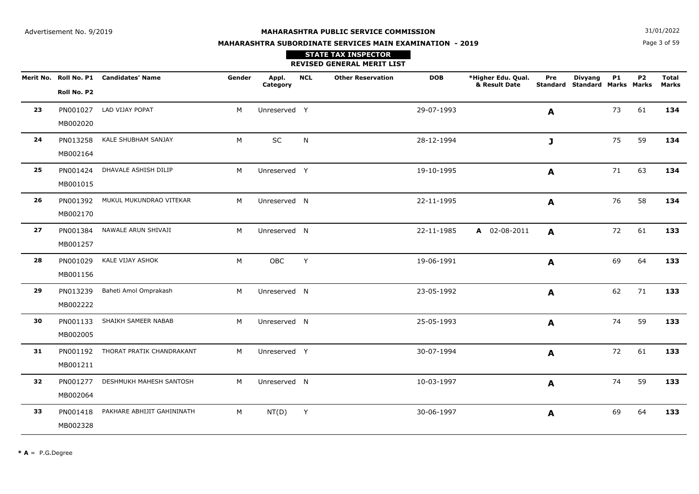Page 3 of 59**N**  $31/01/2022$ 

# **MAHARASHTRA SUBORDINATE SERVICES MAIN EXAMINATION - 2019**

|    |             | Merit No. Roll No. P1 Candidates' Name | Gender | Appl.<br>Category | <b>NCL</b> | <b>Other Reservation</b> | <b>DOB</b> | *Higher Edu. Qual.<br>& Result Date | Pre              | <b>Divyang</b><br>Standard Standard Marks Marks | <b>P1</b> | P <sub>2</sub> | <b>Total</b><br>Marks |
|----|-------------|----------------------------------------|--------|-------------------|------------|--------------------------|------------|-------------------------------------|------------------|-------------------------------------------------|-----------|----------------|-----------------------|
|    | Roll No. P2 |                                        |        |                   |            |                          |            |                                     |                  |                                                 |           |                |                       |
| 23 | PN001027    | LAD VIJAY POPAT                        | M      | Unreserved Y      |            |                          | 29-07-1993 |                                     | $\mathbf{A}$     |                                                 | 73        | 61             | 134                   |
|    | MB002020    |                                        |        |                   |            |                          |            |                                     |                  |                                                 |           |                |                       |
| 24 | PN013258    | KALE SHUBHAM SANJAY                    | M      | $\sf SC$          | N          |                          | 28-12-1994 |                                     | J                |                                                 | 75        | 59             | 134                   |
|    | MB002164    |                                        |        |                   |            |                          |            |                                     |                  |                                                 |           |                |                       |
| 25 | PN001424    | DHAVALE ASHISH DILIP                   | М      | Unreserved Y      |            |                          | 19-10-1995 |                                     | A                |                                                 | 71        | 63             | 134                   |
|    | MB001015    |                                        |        |                   |            |                          |            |                                     |                  |                                                 |           |                |                       |
| 26 | PN001392    | MUKUL MUKUNDRAO VITEKAR                | М      | Unreserved N      |            |                          | 22-11-1995 |                                     | A                |                                                 | 76        | 58             | 134                   |
|    | MB002170    |                                        |        |                   |            |                          |            |                                     |                  |                                                 |           |                |                       |
| 27 | PN001384    | NAWALE ARUN SHIVAJI                    | М      | Unreserved N      |            |                          | 22-11-1985 | A 02-08-2011                        | A                |                                                 | 72        | 61             | 133                   |
|    | MB001257    |                                        |        |                   |            |                          |            |                                     |                  |                                                 |           |                |                       |
| 28 | PN001029    | KALE VIJAY ASHOK                       | M      | OBC               | Y          |                          | 19-06-1991 |                                     | A                |                                                 | 69        | 64             | 133                   |
|    | MB001156    |                                        |        |                   |            |                          |            |                                     |                  |                                                 |           |                |                       |
| 29 | PN013239    | Baheti Amol Omprakash                  | M      | Unreserved N      |            |                          | 23-05-1992 |                                     | A                |                                                 | 62        | 71             | 133                   |
|    | MB002222    |                                        |        |                   |            |                          |            |                                     |                  |                                                 |           |                |                       |
| 30 |             | PN001133 SHAIKH SAMEER NABAB           | M      | Unreserved N      |            |                          | 25-05-1993 |                                     | A                |                                                 | 74        | 59             | 133                   |
|    | MB002005    |                                        |        |                   |            |                          |            |                                     |                  |                                                 |           |                |                       |
| 31 |             | PN001192 THORAT PRATIK CHANDRAKANT     | M      | Unreserved Y      |            |                          | 30-07-1994 |                                     | $\blacktriangle$ |                                                 | 72        | 61             | 133                   |
|    | MB001211    |                                        |        |                   |            |                          |            |                                     |                  |                                                 |           |                |                       |
| 32 | PN001277    | DESHMUKH MAHESH SANTOSH                | M      | Unreserved N      |            |                          | 10-03-1997 |                                     | A                |                                                 | 74        | 59             | 133                   |
|    | MB002064    |                                        |        |                   |            |                          |            |                                     |                  |                                                 |           |                |                       |
| 33 | PN001418    | PAKHARE ABHIJIT GAHININATH             | М      | NT(D)             | Y          |                          | 30-06-1997 |                                     | A                |                                                 | 69        | 64             | 133                   |
|    | MB002328    |                                        |        |                   |            |                          |            |                                     |                  |                                                 |           |                |                       |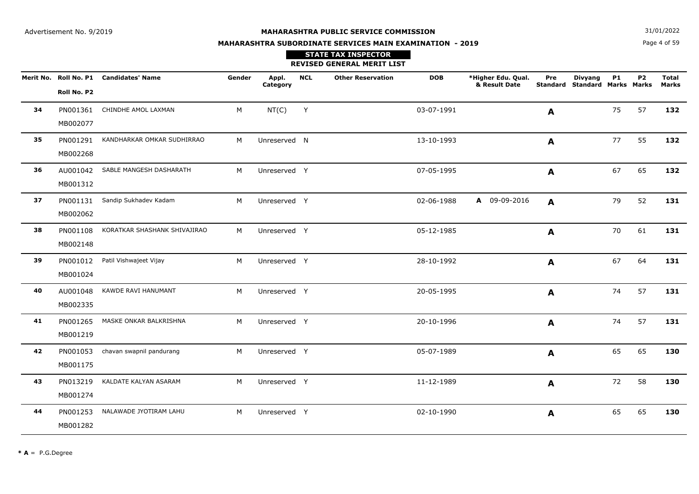Page 4 of 59**N**  $31/01/2022$ 

# **MAHARASHTRA SUBORDINATE SERVICES MAIN EXAMINATION - 2019**

| <b>STATE TAX INSPECTOR</b>        |
|-----------------------------------|
| <b>REVISED GENERAL MERIT LIST</b> |

|    |             | Merit No. Roll No. P1 Candidates' Name | Gender | Appl.<br>Category | <b>NCL</b> | <b>Other Reservation</b> | <b>DOB</b> | *Higher Edu. Qual.<br>& Result Date | Pre          | <b>Divyang</b><br><b>Standard Standard Marks Marks</b> | <b>P1</b> | P <sub>2</sub> | Total<br><b>Marks</b> |
|----|-------------|----------------------------------------|--------|-------------------|------------|--------------------------|------------|-------------------------------------|--------------|--------------------------------------------------------|-----------|----------------|-----------------------|
|    | Roll No. P2 |                                        |        |                   |            |                          |            |                                     |              |                                                        |           |                |                       |
| 34 | PN001361    | CHINDHE AMOL LAXMAN                    | M      | NT(C)             | Y          |                          | 03-07-1991 |                                     | A            |                                                        | 75        | 57             | 132                   |
|    | MB002077    |                                        |        |                   |            |                          |            |                                     |              |                                                        |           |                |                       |
| 35 | PN001291    | KANDHARKAR OMKAR SUDHIRRAO             | M      | Unreserved N      |            |                          | 13-10-1993 |                                     | $\mathbf{A}$ |                                                        | 77        | 55             | 132                   |
|    | MB002268    |                                        |        |                   |            |                          |            |                                     |              |                                                        |           |                |                       |
| 36 | AU001042    | SABLE MANGESH DASHARATH                | M      | Unreserved Y      |            |                          | 07-05-1995 |                                     | A            |                                                        | 67        | 65             | 132                   |
|    | MB001312    |                                        |        |                   |            |                          |            |                                     |              |                                                        |           |                |                       |
| 37 | PN001131    | Sandip Sukhadev Kadam                  | M      | Unreserved Y      |            |                          | 02-06-1988 | A 09-09-2016                        | A            |                                                        | 79        | 52             | 131                   |
|    | MB002062    |                                        |        |                   |            |                          |            |                                     |              |                                                        |           |                |                       |
| 38 | PN001108    | KORATKAR SHASHANK SHIVAJIRAO           | M      | Unreserved Y      |            |                          | 05-12-1985 |                                     | A            |                                                        | 70        | 61             | 131                   |
|    | MB002148    |                                        |        |                   |            |                          |            |                                     |              |                                                        |           |                |                       |
| 39 | PN001012    | Patil Vishwajeet Vijay                 | M      | Unreserved Y      |            |                          | 28-10-1992 |                                     | A            |                                                        | 67        | 64             | 131                   |
|    | MB001024    |                                        |        |                   |            |                          |            |                                     |              |                                                        |           |                |                       |
| 40 | AU001048    | KAWDE RAVI HANUMANT                    | М      | Unreserved Y      |            |                          | 20-05-1995 |                                     | A            |                                                        | 74        | 57             | 131                   |
|    | MB002335    |                                        |        |                   |            |                          |            |                                     |              |                                                        |           |                |                       |
| 41 | PN001265    | MASKE ONKAR BALKRISHNA                 | M      | Unreserved Y      |            |                          | 20-10-1996 |                                     | A            |                                                        | 74        | 57             | 131                   |
|    | MB001219    |                                        |        |                   |            |                          |            |                                     |              |                                                        |           |                |                       |
| 42 | PN001053    | chavan swapnil pandurang               | M      | Unreserved Y      |            |                          | 05-07-1989 |                                     | A            |                                                        | 65        | 65             | 130                   |
|    | MB001175    |                                        |        |                   |            |                          |            |                                     |              |                                                        |           |                |                       |
| 43 | PN013219    | KALDATE KALYAN ASARAM                  | M      | Unreserved Y      |            |                          | 11-12-1989 |                                     | A            |                                                        | 72        | 58             | 130                   |
|    | MB001274    |                                        |        |                   |            |                          |            |                                     |              |                                                        |           |                |                       |
| 44 | PN001253    | NALAWADE JYOTIRAM LAHU                 | M      | Unreserved Y      |            |                          | 02-10-1990 |                                     | A            |                                                        | 65        | 65             | 130                   |
|    | MB001282    |                                        |        |                   |            |                          |            |                                     |              |                                                        |           |                |                       |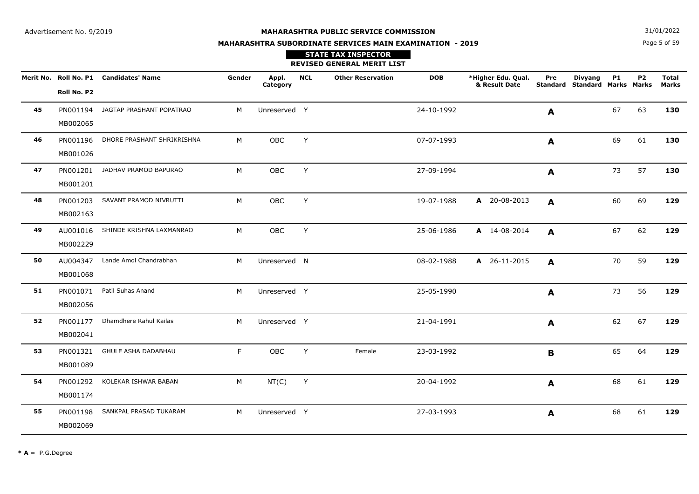Page 5 of 59**N**  $31/01/2022$ 

# **MAHARASHTRA SUBORDINATE SERVICES MAIN EXAMINATION - 2019**

|    |             | Merit No. Roll No. P1 Candidates' Name | Gender | Appl.<br>Category | <b>NCL</b> | <b>Other Reservation</b> | <b>DOB</b> | *Higher Edu. Qual.<br>& Result Date | Pre          | <b>Divyang</b><br><b>Standard Standard Marks Marks</b> | <b>P1</b> | P <sub>2</sub> | <b>Total</b><br><b>Marks</b> |
|----|-------------|----------------------------------------|--------|-------------------|------------|--------------------------|------------|-------------------------------------|--------------|--------------------------------------------------------|-----------|----------------|------------------------------|
|    | Roll No. P2 |                                        |        |                   |            |                          |            |                                     |              |                                                        |           |                |                              |
| 45 | PN001194    | JAGTAP PRASHANT POPATRAO               | M      | Unreserved Y      |            |                          | 24-10-1992 |                                     | A            |                                                        | 67        | 63             | 130                          |
|    | MB002065    |                                        |        |                   |            |                          |            |                                     |              |                                                        |           |                |                              |
| 46 | PN001196    | DHORE PRASHANT SHRIKRISHNA             | M      | <b>OBC</b>        | Y          |                          | 07-07-1993 |                                     | A            |                                                        | 69        | 61             | 130                          |
|    | MB001026    |                                        |        |                   |            |                          |            |                                     |              |                                                        |           |                |                              |
| 47 | PN001201    | JADHAV PRAMOD BAPURAO                  | M      | OBC               | Y          |                          | 27-09-1994 |                                     | $\mathbf{A}$ |                                                        | 73        | 57             | 130                          |
|    | MB001201    |                                        |        |                   |            |                          |            |                                     |              |                                                        |           |                |                              |
| 48 | PN001203    | SAVANT PRAMOD NIVRUTTI                 | M      | OBC               | Y          |                          | 19-07-1988 | A 20-08-2013                        | $\mathbf{A}$ |                                                        | 60        | 69             | 129                          |
|    | MB002163    |                                        |        |                   |            |                          |            |                                     |              |                                                        |           |                |                              |
| 49 |             | AU001016 SHINDE KRISHNA LAXMANRAO      | М      | OBC               | Y          |                          | 25-06-1986 | A 14-08-2014                        | A            |                                                        | 67        | 62             | 129                          |
|    | MB002229    |                                        |        |                   |            |                          |            |                                     |              |                                                        |           |                |                              |
| 50 | AU004347    | Lande Amol Chandrabhan                 | M      | Unreserved N      |            |                          | 08-02-1988 | A 26-11-2015                        | $\mathbf{A}$ |                                                        | 70        | 59             | 129                          |
|    | MB001068    |                                        |        |                   |            |                          |            |                                     |              |                                                        |           |                |                              |
| 51 | PN001071    | Patil Suhas Anand                      | M      | Unreserved Y      |            |                          | 25-05-1990 |                                     | A            |                                                        | 73        | 56             | 129                          |
|    | MB002056    |                                        |        |                   |            |                          |            |                                     |              |                                                        |           |                |                              |
| 52 | PN001177    | Dhamdhere Rahul Kailas                 | M      | Unreserved Y      |            |                          | 21-04-1991 |                                     | A            |                                                        | 62        | 67             | 129                          |
|    | MB002041    |                                        |        |                   |            |                          |            |                                     |              |                                                        |           |                |                              |
| 53 | PN001321    | GHULE ASHA DADABHAU                    | F      | OBC               | Y          | Female                   | 23-03-1992 |                                     | B            |                                                        | 65        | 64             | 129                          |
|    | MB001089    |                                        |        |                   |            |                          |            |                                     |              |                                                        |           |                |                              |
| 54 | PN001292    | KOLEKAR ISHWAR BABAN                   | M      | NT(C)             | Y          |                          | 20-04-1992 |                                     | A            |                                                        | 68        | 61             | 129                          |
|    | MB001174    |                                        |        |                   |            |                          |            |                                     |              |                                                        |           |                |                              |
| 55 | PN001198    | SANKPAL PRASAD TUKARAM                 | M      | Unreserved Y      |            |                          | 27-03-1993 |                                     | $\mathbf{A}$ |                                                        | 68        | 61             | 129                          |
|    | MB002069    |                                        |        |                   |            |                          |            |                                     |              |                                                        |           |                |                              |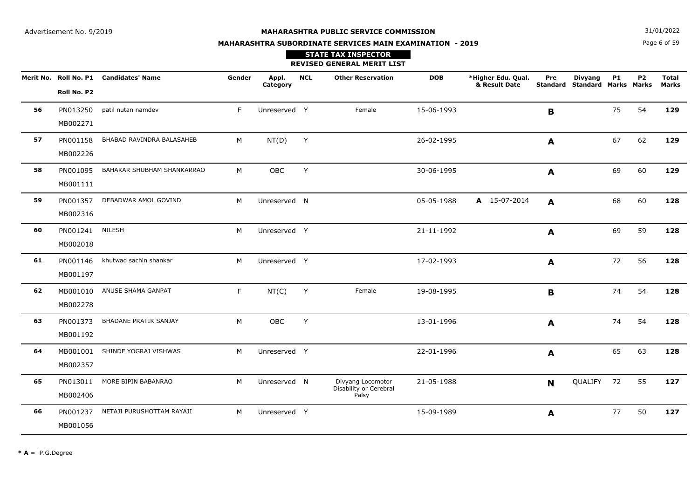Page 6 of 59**N**  $31/01/2022$ 

# **MAHARASHTRA SUBORDINATE SERVICES MAIN EXAMINATION - 2019**

|    |             | Merit No. Roll No. P1 Candidates' Name | Gender | Appl.<br>Category | <b>NCL</b> | <b>Other Reservation</b>                    | <b>DOB</b> | *Higher Edu. Qual.<br>& Result Date | Pre<br><b>Standard</b> | <b>Divyang</b><br><b>Standard Marks Marks</b> | <b>P1</b> | P <sub>2</sub> | <b>Total</b><br><b>Marks</b> |
|----|-------------|----------------------------------------|--------|-------------------|------------|---------------------------------------------|------------|-------------------------------------|------------------------|-----------------------------------------------|-----------|----------------|------------------------------|
|    | Roll No. P2 |                                        |        |                   |            |                                             |            |                                     |                        |                                               |           |                |                              |
| 56 | PN013250    | patil nutan namdev                     | F      | Unreserved Y      |            | Female                                      | 15-06-1993 |                                     | $\mathbf B$            |                                               | 75        | 54             | 129                          |
|    | MB002271    |                                        |        |                   |            |                                             |            |                                     |                        |                                               |           |                |                              |
| 57 | PN001158    | BHABAD RAVINDRA BALASAHEB              | М      | NT(D)             | Y          |                                             | 26-02-1995 |                                     | A                      |                                               | 67        | 62             | 129                          |
|    | MB002226    |                                        |        |                   |            |                                             |            |                                     |                        |                                               |           |                |                              |
| 58 | PN001095    | BAHAKAR SHUBHAM SHANKARRAO             | M      | OBC               | Y          |                                             | 30-06-1995 |                                     | A                      |                                               | 69        | 60             | 129                          |
|    | MB001111    |                                        |        |                   |            |                                             |            |                                     |                        |                                               |           |                |                              |
| 59 | PN001357    | DEBADWAR AMOL GOVIND                   | M      | Unreserved N      |            |                                             | 05-05-1988 | A 15-07-2014                        | A                      |                                               | 68        | 60             | 128                          |
|    | MB002316    |                                        |        |                   |            |                                             |            |                                     |                        |                                               |           |                |                              |
| 60 | PN001241    | <b>NILESH</b>                          | M      | Unreserved Y      |            |                                             | 21-11-1992 |                                     | A                      |                                               | 69        | 59             | 128                          |
|    | MB002018    |                                        |        |                   |            |                                             |            |                                     |                        |                                               |           |                |                              |
| 61 | PN001146    | khutwad sachin shankar                 | M      | Unreserved Y      |            |                                             | 17-02-1993 |                                     | A                      |                                               | 72        | 56             | 128                          |
|    | MB001197    |                                        |        |                   |            |                                             |            |                                     |                        |                                               |           |                |                              |
| 62 |             | MB001010 ANUSE SHAMA GANPAT            | F      | NT(C)             | Y          | Female                                      | 19-08-1995 |                                     | $\mathbf B$            |                                               | 74        | 54             | 128                          |
|    | MB002278    |                                        |        |                   |            |                                             |            |                                     |                        |                                               |           |                |                              |
| 63 | PN001373    | BHADANE PRATIK SANJAY                  | M      | OBC               | Y          |                                             | 13-01-1996 |                                     | $\mathbf{A}$           |                                               | 74        | 54             | 128                          |
|    | MB001192    |                                        |        |                   |            |                                             |            |                                     |                        |                                               |           |                |                              |
| 64 | MB001001    | SHINDE YOGRAJ VISHWAS                  | M      | Unreserved Y      |            |                                             | 22-01-1996 |                                     | A                      |                                               | 65        | 63             | 128                          |
|    | MB002357    |                                        |        |                   |            |                                             |            |                                     |                        |                                               |           |                |                              |
| 65 | PN013011    | MORE BIPIN BABANRAO                    | M      | Unreserved N      |            | Divyang Locomotor<br>Disability or Cerebral | 21-05-1988 |                                     | N                      | QUALIFY                                       | 72        | 55             | 127                          |
|    | MB002406    |                                        |        |                   |            | Palsy                                       |            |                                     |                        |                                               |           |                |                              |
| 66 | PN001237    | NETAJI PURUSHOTTAM RAYAJI              | M      | Unreserved Y      |            |                                             | 15-09-1989 |                                     | A                      |                                               | 77        | 50             | 127                          |
|    | MB001056    |                                        |        |                   |            |                                             |            |                                     |                        |                                               |           |                |                              |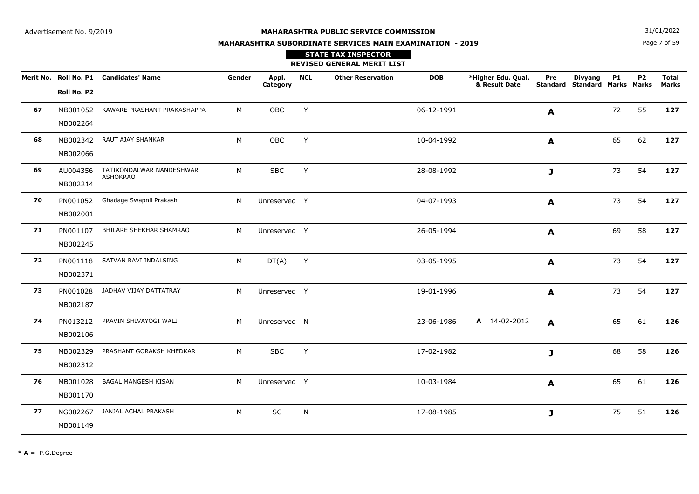Page 7 of 59**N**  $31/01/2022$ 

# **MAHARASHTRA SUBORDINATE SERVICES MAIN EXAMINATION - 2019**

|    |             | Merit No. Roll No. P1 Candidates' Name      | Gender | Appl.<br>Category | <b>NCL</b> | <b>Other Reservation</b> | <b>DOB</b> | *Higher Edu. Qual.<br>& Result Date | Pre<br>Standard | <b>Divyang</b><br><b>Standard Marks Marks</b> | <b>P1</b> | P <sub>2</sub> | <b>Total</b><br>Marks |
|----|-------------|---------------------------------------------|--------|-------------------|------------|--------------------------|------------|-------------------------------------|-----------------|-----------------------------------------------|-----------|----------------|-----------------------|
|    | Roll No. P2 |                                             |        |                   |            |                          |            |                                     |                 |                                               |           |                |                       |
| 67 | MB001052    | KAWARE PRASHANT PRAKASHAPPA                 | М      | OBC               | Y          |                          | 06-12-1991 |                                     | A               |                                               | 72        | 55             | 127                   |
|    | MB002264    |                                             |        |                   |            |                          |            |                                     |                 |                                               |           |                |                       |
| 68 | MB002342    | RAUT AJAY SHANKAR                           | М      | OBC               | Y          |                          | 10-04-1992 |                                     | A               |                                               | 65        | 62             | 127                   |
|    | MB002066    |                                             |        |                   |            |                          |            |                                     |                 |                                               |           |                |                       |
| 69 | AU004356    | TATIKONDALWAR NANDESHWAR<br><b>ASHOKRAO</b> | M      | <b>SBC</b>        | Y          |                          | 28-08-1992 |                                     | J               |                                               | 73        | 54             | 127                   |
|    | MB002214    |                                             |        |                   |            |                          |            |                                     |                 |                                               |           |                |                       |
| 70 | PN001052    | Ghadage Swapnil Prakash                     | M      | Unreserved Y      |            |                          | 04-07-1993 |                                     | A               |                                               | 73        | 54             | 127                   |
|    | MB002001    |                                             |        |                   |            |                          |            |                                     |                 |                                               |           |                |                       |
| 71 | PN001107    | BHILARE SHEKHAR SHAMRAO                     | M      | Unreserved Y      |            |                          | 26-05-1994 |                                     | A               |                                               | 69        | 58             | 127                   |
|    | MB002245    |                                             |        |                   |            |                          |            |                                     |                 |                                               |           |                |                       |
| 72 |             | PN001118 SATVAN RAVI INDALSING              | М      | DT(A)             | Y          |                          | 03-05-1995 |                                     | A               |                                               | 73        | 54             | 127                   |
|    | MB002371    |                                             |        |                   |            |                          |            |                                     |                 |                                               |           |                |                       |
| 73 |             | PN001028 JADHAV VIJAY DATTATRAY             | M      | Unreserved Y      |            |                          | 19-01-1996 |                                     | A               |                                               | 73        | 54             | 127                   |
|    | MB002187    |                                             |        |                   |            |                          |            |                                     |                 |                                               |           |                |                       |
| 74 | PN013212    | PRAVIN SHIVAYOGI WALI                       | M      | Unreserved N      |            |                          | 23-06-1986 | A 14-02-2012                        | $\mathbf{A}$    |                                               | 65        | 61             | 126                   |
|    | MB002106    |                                             |        |                   |            |                          |            |                                     |                 |                                               |           |                |                       |
| 75 | MB002329    | PRASHANT GORAKSH KHEDKAR                    | M      | <b>SBC</b>        | Y          |                          | 17-02-1982 |                                     | J               |                                               | 68        | 58             | 126                   |
|    | MB002312    |                                             |        |                   |            |                          |            |                                     |                 |                                               |           |                |                       |
| 76 | MB001028    | BAGAL MANGESH KISAN                         | M      | Unreserved Y      |            |                          | 10-03-1984 |                                     | A               |                                               | 65        | 61             | 126                   |
|    | MB001170    |                                             |        |                   |            |                          |            |                                     |                 |                                               |           |                |                       |
| 77 |             | NG002267 JANJAL ACHAL PRAKASH               | M      | SC                | N          |                          | 17-08-1985 |                                     | J               |                                               | 75        | 51             | 126                   |
|    | MB001149    |                                             |        |                   |            |                          |            |                                     |                 |                                               |           |                |                       |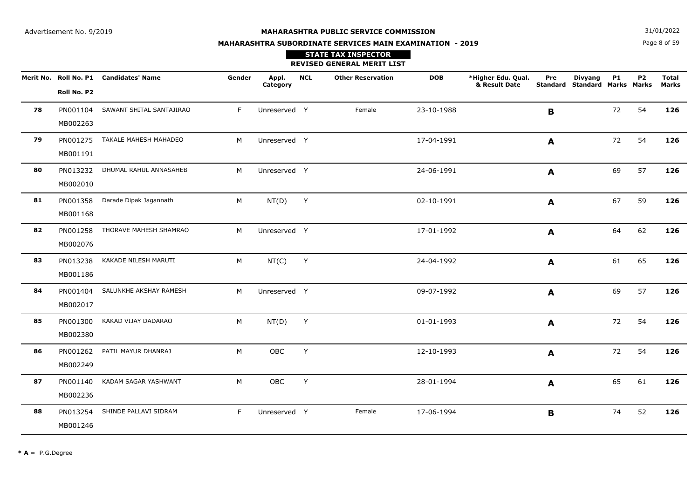Page 8 of 59**N**  $31/01/2022$ 

# **MAHARASHTRA SUBORDINATE SERVICES MAIN EXAMINATION - 2019**

|    |             | Merit No. Roll No. P1 Candidates' Name | Gender | Appl.<br>Category | <b>NCL</b>   | <b>Other Reservation</b> | <b>DOB</b> | *Higher Edu. Qual.<br>& Result Date | Pre          | <b>Divyang</b><br><b>Standard Standard Marks Marks</b> | <b>P1</b> | P <sub>2</sub> | <b>Total</b><br><b>Marks</b> |
|----|-------------|----------------------------------------|--------|-------------------|--------------|--------------------------|------------|-------------------------------------|--------------|--------------------------------------------------------|-----------|----------------|------------------------------|
|    | Roll No. P2 |                                        |        |                   |              |                          |            |                                     |              |                                                        |           |                |                              |
| 78 | PN001104    | SAWANT SHITAL SANTAJIRAO               | F.     | Unreserved Y      |              | Female                   | 23-10-1988 |                                     | B            |                                                        | 72        | 54             | 126                          |
|    | MB002263    |                                        |        |                   |              |                          |            |                                     |              |                                                        |           |                |                              |
| 79 |             | PN001275 TAKALE MAHESH MAHADEO         | M      | Unreserved Y      |              |                          | 17-04-1991 |                                     | $\mathbf{A}$ |                                                        | 72        | 54             | 126                          |
|    | MB001191    |                                        |        |                   |              |                          |            |                                     |              |                                                        |           |                |                              |
| 80 | PN013232    | DHUMAL RAHUL ANNASAHEB                 | M      | Unreserved Y      |              |                          | 24-06-1991 |                                     | A            |                                                        | 69        | 57             | 126                          |
|    | MB002010    |                                        |        |                   |              |                          |            |                                     |              |                                                        |           |                |                              |
| 81 | PN001358    | Darade Dipak Jagannath                 | M      | NT(D)             | Y            |                          | 02-10-1991 |                                     | $\mathbf{A}$ |                                                        | 67        | 59             | 126                          |
|    | MB001168    |                                        |        |                   |              |                          |            |                                     |              |                                                        |           |                |                              |
| 82 |             | PN001258 THORAVE MAHESH SHAMRAO        | M      | Unreserved Y      |              |                          | 17-01-1992 |                                     | A            |                                                        | 64        | 62             | 126                          |
|    | MB002076    |                                        |        |                   |              |                          |            |                                     |              |                                                        |           |                |                              |
| 83 | PN013238    | KAKADE NILESH MARUTI                   | M      | NT(C)             | Y            |                          | 24-04-1992 |                                     | A            |                                                        | 61        | 65             | 126                          |
|    | MB001186    |                                        |        |                   |              |                          |            |                                     |              |                                                        |           |                |                              |
| 84 | PN001404    | SALUNKHE AKSHAY RAMESH                 | M      | Unreserved Y      |              |                          | 09-07-1992 |                                     | A            |                                                        | 69        | 57             | 126                          |
|    | MB002017    |                                        |        |                   |              |                          |            |                                     |              |                                                        |           |                |                              |
| 85 | PN001300    | KAKAD VIJAY DADARAO                    | M      | NT(D)             | $\mathsf{Y}$ |                          | 01-01-1993 |                                     | $\mathbf{A}$ |                                                        | 72        | 54             | 126                          |
|    | MB002380    |                                        |        |                   |              |                          |            |                                     |              |                                                        |           |                |                              |
| 86 | PN001262    | PATIL MAYUR DHANRAJ                    | M      | OBC               | Y            |                          | 12-10-1993 |                                     | A            |                                                        | 72        | 54             | 126                          |
|    | MB002249    |                                        |        |                   |              |                          |            |                                     |              |                                                        |           |                |                              |
| 87 | PN001140    | KADAM SAGAR YASHWANT                   | M      | OBC               | $\mathsf{Y}$ |                          | 28-01-1994 |                                     | $\mathbf{A}$ |                                                        | 65        | 61             | 126                          |
|    | MB002236    |                                        |        |                   |              |                          |            |                                     |              |                                                        |           |                |                              |
| 88 |             | PN013254 SHINDE PALLAVI SIDRAM         | F.     | Unreserved Y      |              | Female                   | 17-06-1994 |                                     | B            |                                                        | 74        | 52             | 126                          |
|    | MB001246    |                                        |        |                   |              |                          |            |                                     |              |                                                        |           |                |                              |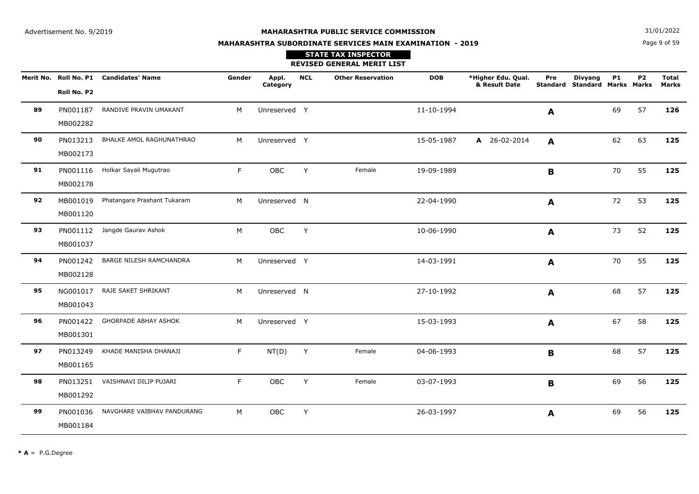**N**  $31/01/2022$ 

# **MAHARASHTRA SUBORDINATE SERVICES MAIN EXAMINATION - 2019STATE TAX INSPECTOR**

# Page 9 of 59

|    |                      |                                        |        |                   |            | <b>REVISED GENERAL MERIT LIST</b> |            |                                     |              |                                                 |           |                |                       |
|----|----------------------|----------------------------------------|--------|-------------------|------------|-----------------------------------|------------|-------------------------------------|--------------|-------------------------------------------------|-----------|----------------|-----------------------|
|    | Roll No. P2          | Merit No. Roll No. P1 Candidates' Name | Gender | Appl.<br>Category | <b>NCL</b> | <b>Other Reservation</b>          | <b>DOB</b> | *Higher Edu. Qual.<br>& Result Date | Pre          | <b>Divyang</b><br>Standard Standard Marks Marks | <b>P1</b> | P <sub>2</sub> | <b>Total</b><br>Marks |
| 89 | PN001187<br>MB002282 | RANDIVE PRAVIN UMAKANT                 | M      | Unreserved Y      |            |                                   | 11-10-1994 |                                     | A            |                                                 | 69        | 57             | 126                   |
| 90 | PN013213<br>MB002173 | BHALKE AMOL RAGHUNATHRAO               | M      | Unreserved Y      |            |                                   | 15-05-1987 | A 26-02-2014                        | A            |                                                 | 62        | 63             | 125                   |
| 91 | PN001116<br>MB002178 | Holkar Sayali Mugutrao                 | F      | OBC               | Y          | Female                            | 19-09-1989 |                                     | B            |                                                 | 70        | 55             | 125                   |
| 92 | MB001019<br>MB001120 | Phatangare Prashant Tukaram            | M      | Unreserved N      |            |                                   | 22-04-1990 |                                     | A            |                                                 | 72        | 53             | 125                   |
| 93 | PN001112<br>MB001037 | Jangde Gaurav Ashok                    | M      | <b>OBC</b>        | Y          |                                   | 10-06-1990 |                                     | A            |                                                 | 73        | 52             | 125                   |
| 94 | PN001242<br>MB002128 | BARGE NILESH RAMCHANDRA                | M      | Unreserved Y      |            |                                   | 14-03-1991 |                                     | A            |                                                 | 70        | 55             | 125                   |
| 95 | NG001017<br>MB001043 | RAJE SAKET SHRIKANT                    | M      | Unreserved N      |            |                                   | 27-10-1992 |                                     | A            |                                                 | 68        | 57             | 125                   |
| 96 | PN001422<br>MB001301 | <b>GHORPADE ABHAY ASHOK</b>            | M      | Unreserved Y      |            |                                   | 15-03-1993 |                                     | $\mathbf{A}$ |                                                 | 67        | 58             | 125                   |
| 97 | PN013249<br>MB001165 | KHADE MANISHA DHANAJI                  | F.     | NT(D)             | Y          | Female                            | 04-06-1993 |                                     | B            |                                                 | 68        | 57             | 125                   |
| 98 | PN013251<br>MB001292 | VAISHNAVI DILIP PUJARI                 | F.     | OBC               | Y          | Female                            | 03-07-1993 |                                     | B            |                                                 | 69        | 56             | 125                   |
| 99 | PN001036<br>MB001184 | NAVGHARE VAIBHAV PANDURANG             | М      | OBC               | Y          |                                   | 26-03-1997 |                                     | A            |                                                 | 69        | 56             | 125                   |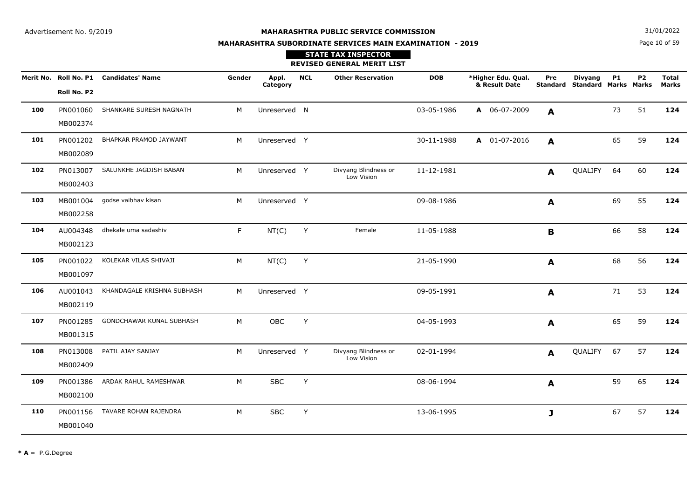**N**  $31/01/2022$ 

# **MAHARASHTRA SUBORDINATE SERVICES MAIN EXAMINATION - 2019**

## Page 10 of 59

|     |                      |                                        |        |                   |            | <b>STATE TAX INSPECTOR</b><br><b>REVISED GENERAL MERIT LIST</b> |            |                                     |     |                                                 |           |                |                              |
|-----|----------------------|----------------------------------------|--------|-------------------|------------|-----------------------------------------------------------------|------------|-------------------------------------|-----|-------------------------------------------------|-----------|----------------|------------------------------|
|     | Roll No. P2          | Merit No. Roll No. P1 Candidates' Name | Gender | Appl.<br>Category | <b>NCL</b> | <b>Other Reservation</b>                                        | <b>DOB</b> | *Higher Edu. Qual.<br>& Result Date | Pre | <b>Divyang</b><br>Standard Standard Marks Marks | <b>P1</b> | P <sub>2</sub> | <b>Total</b><br><b>Marks</b> |
| 100 | MB002374             | PN001060 SHANKARE SURESH NAGNATH       | M      | Unreserved N      |            |                                                                 | 03-05-1986 | A 06-07-2009                        | A   |                                                 | 73        | 51             | 124                          |
| 101 | PN001202<br>MB002089 | BHAPKAR PRAMOD JAYWANT                 | M      | Unreserved Y      |            |                                                                 | 30-11-1988 | A 01-07-2016                        | A   |                                                 | 65        | 59             | 124                          |
| 102 | MB002403             | PN013007 SALUNKHE JAGDISH BABAN        | M      | Unreserved Y      |            | Divyang Blindness or<br>Low Vision                              | 11-12-1981 |                                     | A   | QUALIFY 64                                      |           | 60             | 124                          |
| 103 | MB002258             | MB001004 godse vaibhav kisan           | M      | Unreserved Y      |            |                                                                 | 09-08-1986 |                                     | A   |                                                 | 69        | 55             | 124                          |
| 104 | AU004348<br>MB002123 | dhekale uma sadashiv                   | F.     | NT(C)             | Y          | Female                                                          | 11-05-1988 |                                     | B   |                                                 | 66        | 58             | 124                          |
| 105 | MB001097             | PN001022 KOLEKAR VILAS SHIVAJI         | M      | NT(C)             | Y          |                                                                 | 21-05-1990 |                                     | A   |                                                 | 68        | 56             | 124                          |
| 106 | MB002119             | AU001043 KHANDAGALE KRISHNA SUBHASH    | M      | Unreserved Y      |            |                                                                 | 09-05-1991 |                                     | A   |                                                 | 71        | 53             | 124                          |
| 107 | PN001285<br>MB001315 | GONDCHAWAR KUNAL SUBHASH               | M      | OBC               | Y          |                                                                 | 04-05-1993 |                                     | A   |                                                 | 65        | 59             | 124                          |
| 108 | PN013008<br>MB002409 | PATIL AJAY SANJAY                      | M      | Unreserved Y      |            | Divyang Blindness or<br>Low Vision                              | 02-01-1994 |                                     | A   | QUALIFY 67                                      |           | 57             | 124                          |
| 109 | PN001386<br>MB002100 | ARDAK RAHUL RAMESHWAR                  | M      | <b>SBC</b>        | Y          |                                                                 | 08-06-1994 |                                     | A   |                                                 | 59        | 65             | 124                          |
| 110 | PN001156<br>MB001040 | TAVARE ROHAN RAJENDRA                  | M      | <b>SBC</b>        | Y          |                                                                 | 13-06-1995 |                                     | J   |                                                 | 67        | 57             | 124                          |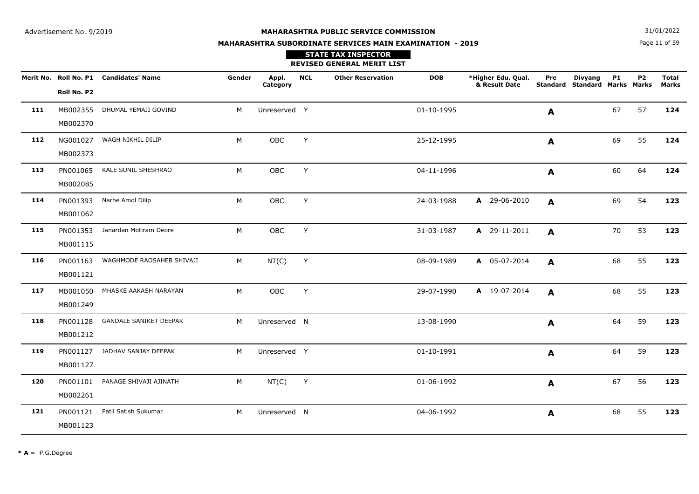**N**  $31/01/2022$ 

# **MAHARASHTRA SUBORDINATE SERVICES MAIN EXAMINATION - 2019STATE TAX INSPECTOR**

## Page 11 of 59

|     |                      |                                        |        |                   |              | REVISED GENERAL MERIT LIST |            |                                     |     |                                                        |           |    |                       |
|-----|----------------------|----------------------------------------|--------|-------------------|--------------|----------------------------|------------|-------------------------------------|-----|--------------------------------------------------------|-----------|----|-----------------------|
|     | Roll No. P2          | Merit No. Roll No. P1 Candidates' Name | Gender | Appl.<br>Category | <b>NCL</b>   | <b>Other Reservation</b>   | <b>DOB</b> | *Higher Edu. Qual.<br>& Result Date | Pre | <b>Divyang</b><br><b>Standard Standard Marks Marks</b> | <b>P1</b> | P2 | <b>Total</b><br>Marks |
| 111 | MB002370             | MB002355 DHUMAL YEMAJI GOVIND          | M      | Unreserved Y      |              |                            | 01-10-1995 |                                     | A   |                                                        | 67        | 57 | 124                   |
| 112 | NG001027<br>MB002373 | WAGH NIKHIL DILIP                      | M      | OBC               | Y            |                            | 25-12-1995 |                                     | A   |                                                        | 69        | 55 | 124                   |
| 113 | PN001065<br>MB002085 | KALE SUNIL SHESHRAO                    | M      | OBC               | Y            |                            | 04-11-1996 |                                     | A   |                                                        | 60        | 64 | 124                   |
| 114 | PN001393<br>MB001062 | Narhe Amol Dilip                       | M      | OBC               | Y            |                            | 24-03-1988 | A 29-06-2010                        | A   |                                                        | 69        | 54 | 123                   |
| 115 | PN001353<br>MB001115 | Janardan Motiram Deore                 | M      | OBC               | Y            |                            | 31-03-1987 | A 29-11-2011                        | A   |                                                        | 70        | 53 | 123                   |
| 116 | PN001163<br>MB001121 | WAGHMODE RAOSAHEB SHIVAJI              | M      | NT(C)             | $\mathsf{Y}$ |                            | 08-09-1989 | A 05-07-2014                        | A   |                                                        | 68        | 55 | 123                   |
| 117 | MB001050<br>MB001249 | MHASKE AAKASH NARAYAN                  | M      | OBC               | Y            |                            | 29-07-1990 | A 19-07-2014                        | A   |                                                        | 68        | 55 | 123                   |
| 118 | PN001128<br>MB001212 | <b>GANDALE SANIKET DEEPAK</b>          | M      | Unreserved N      |              |                            | 13-08-1990 |                                     | A   |                                                        | 64        | 59 | 123                   |
| 119 | PN001127<br>MB001127 | JADHAV SANJAY DEEPAK                   | M      | Unreserved Y      |              |                            | 01-10-1991 |                                     | A   |                                                        | 64        | 59 | 123                   |
| 120 | PN001101<br>MB002261 | PANAGE SHIVAJI AJINATH                 | M      | NT(C)             | Y            |                            | 01-06-1992 |                                     | A   |                                                        | 67        | 56 | 123                   |
| 121 | PN001121<br>MB001123 | Patil Satish Sukumar                   | M      | Unreserved N      |              |                            | 04-06-1992 |                                     | A   |                                                        | 68        | 55 | 123                   |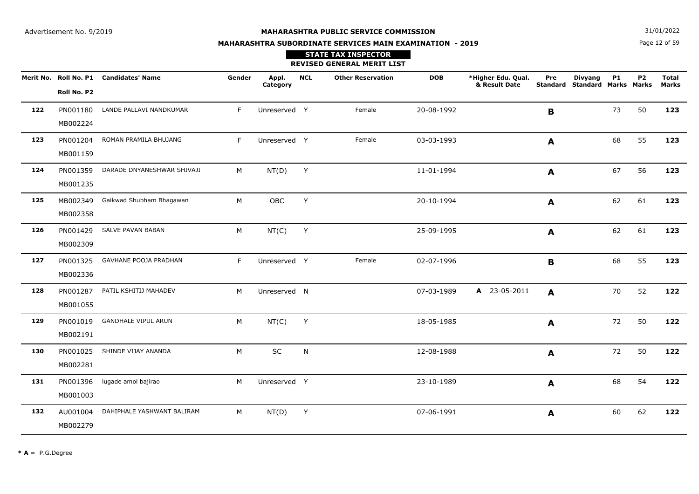**N**  $31/01/2022$ 

# **MAHARASHTRA SUBORDINATE SERVICES MAIN EXAMINATION - 2019STATE TAX INSPECTOR**

Page 12 of 59

|     |                      |                                        |        |                   |            | <b>REVISED GENERAL MERIT LIST</b> |            |                                     |              |                                                 |           |                |                       |
|-----|----------------------|----------------------------------------|--------|-------------------|------------|-----------------------------------|------------|-------------------------------------|--------------|-------------------------------------------------|-----------|----------------|-----------------------|
|     | Roll No. P2          | Merit No. Roll No. P1 Candidates' Name | Gender | Appl.<br>Category | <b>NCL</b> | <b>Other Reservation</b>          | <b>DOB</b> | *Higher Edu. Qual.<br>& Result Date | Pre          | <b>Divyang</b><br>Standard Standard Marks Marks | <b>P1</b> | P <sub>2</sub> | <b>Total</b><br>Marks |
| 122 | PN001180<br>MB002224 | LANDE PALLAVI NANDKUMAR                | F      | Unreserved Y      |            | Female                            | 20-08-1992 |                                     | B            |                                                 | 73        | 50             | 123                   |
| 123 | PN001204<br>MB001159 | ROMAN PRAMILA BHUJANG                  | F.     | Unreserved Y      |            | Female                            | 03-03-1993 |                                     | $\mathbf{A}$ |                                                 | 68        | 55             | 123                   |
| 124 | PN001359<br>MB001235 | DARADE DNYANESHWAR SHIVAJI             | M      | NT(D)             | Y          |                                   | 11-01-1994 |                                     | A            |                                                 | 67        | 56             | 123                   |
| 125 | MB002349<br>MB002358 | Gaikwad Shubham Bhagawan               | M      | OBC               | Y          |                                   | 20-10-1994 |                                     | A            |                                                 | 62        | 61             | 123                   |
| 126 | PN001429<br>MB002309 | SALVE PAVAN BABAN                      | M      | NT(C)             | Y          |                                   | 25-09-1995 |                                     | A            |                                                 | 62        | 61             | 123                   |
| 127 | PN001325<br>MB002336 | GAVHANE POOJA PRADHAN                  | F.     | Unreserved Y      |            | Female                            | 02-07-1996 |                                     | B            |                                                 | 68        | 55             | 123                   |
| 128 | PN001287<br>MB001055 | PATIL KSHITIJ MAHADEV                  | M      | Unreserved N      |            |                                   | 07-03-1989 | A 23-05-2011                        | A            |                                                 | 70        | 52             | 122                   |
| 129 | PN001019<br>MB002191 | <b>GANDHALE VIPUL ARUN</b>             | M      | NT(C)             | Y          |                                   | 18-05-1985 |                                     | A            |                                                 | 72        | 50             | 122                   |
| 130 | PN001025<br>MB002281 | SHINDE VIJAY ANANDA                    | M      | SC                | N          |                                   | 12-08-1988 |                                     | A            |                                                 | 72        | 50             | 122                   |
| 131 | PN001396<br>MB001003 | lugade amol bajirao                    | M      | Unreserved Y      |            |                                   | 23-10-1989 |                                     | A            |                                                 | 68        | 54             | 122                   |
| 132 | AU001004<br>MB002279 | DAHIPHALE YASHWANT BALIRAM             | M      | NT(D)             | Y          |                                   | 07-06-1991 |                                     | A            |                                                 | 60        | 62             | 122                   |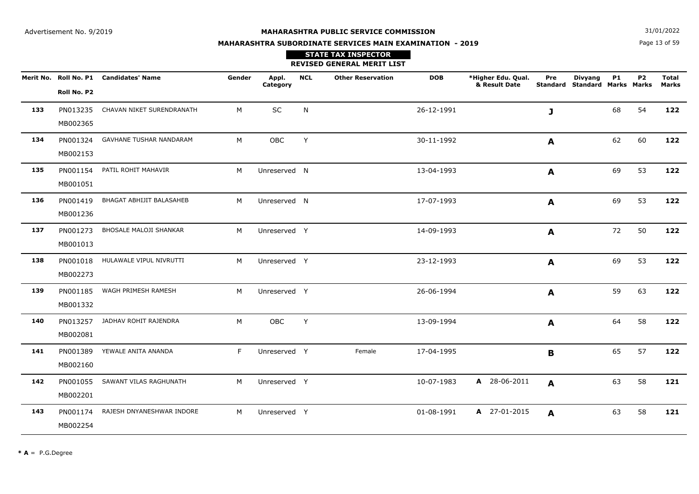Page 13 of 59**N**  $31/01/2022$ 

# **MAHARASHTRA SUBORDINATE SERVICES MAIN EXAMINATION - 2019**

|     |             | Merit No. Roll No. P1 Candidates' Name | Gender | Appl.<br>Category | <b>NCL</b> | <b>Other Reservation</b> | <b>DOB</b> | *Higher Edu. Qual.<br>& Result Date | Pre          | <b>Divyang</b><br>Standard Standard Marks Marks | <b>P1</b> | <b>P2</b> | <b>Total</b><br><b>Marks</b> |
|-----|-------------|----------------------------------------|--------|-------------------|------------|--------------------------|------------|-------------------------------------|--------------|-------------------------------------------------|-----------|-----------|------------------------------|
|     | Roll No. P2 |                                        |        |                   |            |                          |            |                                     |              |                                                 |           |           |                              |
| 133 | PN013235    | CHAVAN NIKET SURENDRANATH              | M      | SC                | N          |                          | 26-12-1991 |                                     | J            |                                                 | 68        | 54        | 122                          |
|     | MB002365    |                                        |        |                   |            |                          |            |                                     |              |                                                 |           |           |                              |
| 134 | PN001324    | <b>GAVHANE TUSHAR NANDARAM</b>         | M      | OBC               | Y          |                          | 30-11-1992 |                                     | $\mathbf{A}$ |                                                 | 62        | 60        | 122                          |
|     | MB002153    |                                        |        |                   |            |                          |            |                                     |              |                                                 |           |           |                              |
| 135 | PN001154    | PATIL ROHIT MAHAVIR                    | M      | Unreserved N      |            |                          | 13-04-1993 |                                     | A            |                                                 | 69        | 53        | 122                          |
|     | MB001051    |                                        |        |                   |            |                          |            |                                     |              |                                                 |           |           |                              |
| 136 | PN001419    | BHAGAT ABHIJIT BALASAHEB               | M      | Unreserved N      |            |                          | 17-07-1993 |                                     | A            |                                                 | 69        | 53        | 122                          |
|     | MB001236    |                                        |        |                   |            |                          |            |                                     |              |                                                 |           |           |                              |
| 137 | PN001273    | BHOSALE MALOJI SHANKAR                 | M      | Unreserved Y      |            |                          | 14-09-1993 |                                     | A            |                                                 | 72        | 50        | 122                          |
|     | MB001013    |                                        |        |                   |            |                          |            |                                     |              |                                                 |           |           |                              |
| 138 |             | PN001018 HULAWALE VIPUL NIVRUTTI       | M      | Unreserved Y      |            |                          | 23-12-1993 |                                     | A            |                                                 | 69        | 53        | 122                          |
|     | MB002273    |                                        |        |                   |            |                          |            |                                     |              |                                                 |           |           |                              |
| 139 | PN001185    | WAGH PRIMESH RAMESH                    | M      | Unreserved Y      |            |                          | 26-06-1994 |                                     | A            |                                                 | 59        | 63        | 122                          |
|     | MB001332    |                                        |        |                   |            |                          |            |                                     |              |                                                 |           |           |                              |
| 140 | PN013257    | JADHAV ROHIT RAJENDRA                  | M      | OBC               | Y          |                          | 13-09-1994 |                                     | A            |                                                 | 64        | 58        | 122                          |
|     | MB002081    |                                        |        |                   |            |                          |            |                                     |              |                                                 |           |           |                              |
| 141 | PN001389    | YEWALE ANITA ANANDA                    | F      | Unreserved Y      |            | Female                   | 17-04-1995 |                                     | $\mathbf{B}$ |                                                 | 65        | 57        | 122                          |
|     | MB002160    |                                        |        |                   |            |                          |            |                                     |              |                                                 |           |           |                              |
| 142 | PN001055    | SAWANT VILAS RAGHUNATH                 | M      | Unreserved Y      |            |                          | 10-07-1983 | A 28-06-2011                        | A            |                                                 | 63        | 58        | 121                          |
|     | MB002201    |                                        |        |                   |            |                          |            |                                     |              |                                                 |           |           |                              |
| 143 | PN001174    | RAJESH DNYANESHWAR INDORE              | M      | Unreserved Y      |            |                          | 01-08-1991 | A 27-01-2015                        | A            |                                                 | 63        | 58        | 121                          |
|     | MB002254    |                                        |        |                   |            |                          |            |                                     |              |                                                 |           |           |                              |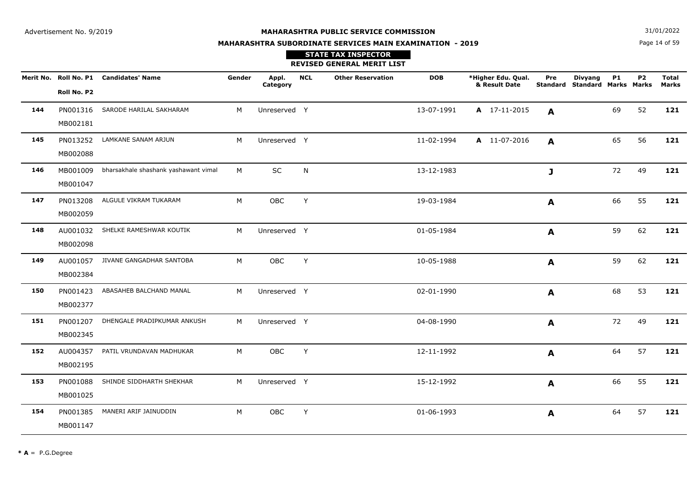**N**  $31/01/2022$ 

# **MAHARASHTRA SUBORDINATE SERVICES MAIN EXAMINATION - 2019**

Page 14 of 59

|     |                      |                                               |        |                   |            | <b>STATE TAX INSPECTOR</b><br><b>REVISED GENERAL MERIT LIST</b> |            |                                     |                  |                                                        |           |           |                       |
|-----|----------------------|-----------------------------------------------|--------|-------------------|------------|-----------------------------------------------------------------|------------|-------------------------------------|------------------|--------------------------------------------------------|-----------|-----------|-----------------------|
|     | Roll No. P2          | Merit No. Roll No. P1 Candidates' Name        | Gender | Appl.<br>Category | <b>NCL</b> | <b>Other Reservation</b>                                        | <b>DOB</b> | *Higher Edu. Qual.<br>& Result Date | Pre              | <b>Divyang</b><br><b>Standard Standard Marks Marks</b> | <b>P1</b> | <b>P2</b> | <b>Total</b><br>Marks |
| 144 | MB002181             | PN001316 SARODE HARILAL SAKHARAM              | M      | Unreserved Y      |            |                                                                 | 13-07-1991 | A 17-11-2015                        | A                |                                                        | 69        | 52        | 121                   |
| 145 | MB002088             | PN013252 LAMKANE SANAM ARJUN                  | M      | Unreserved Y      |            |                                                                 | 11-02-1994 | A 11-07-2016                        | A                |                                                        | 65        | 56        | 121                   |
| 146 | MB001047             | MB001009 bharsakhale shashank yashawant vimal | M      | SC                | N          |                                                                 | 13-12-1983 |                                     | J                |                                                        | 72        | 49        | 121                   |
| 147 | PN013208<br>MB002059 | ALGULE VIKRAM TUKARAM                         | M      | OBC               | Y          |                                                                 | 19-03-1984 |                                     | A                |                                                        | 66        | 55        | 121                   |
| 148 | MB002098             | AU001032 SHELKE RAMESHWAR KOUTIK              | M      | Unreserved Y      |            |                                                                 | 01-05-1984 |                                     | A                |                                                        | 59        | 62        | 121                   |
| 149 | MB002384             | AU001057 JIVANE GANGADHAR SANTOBA             | M      | OBC               | Y          |                                                                 | 10-05-1988 |                                     | A                |                                                        | 59        | 62        | 121                   |
| 150 | PN001423<br>MB002377 | ABASAHEB BALCHAND MANAL                       | M      | Unreserved Y      |            |                                                                 | 02-01-1990 |                                     | A                |                                                        | 68        | 53        | 121                   |
| 151 | MB002345             | PN001207 DHENGALE PRADIPKUMAR ANKUSH          | M      | Unreserved Y      |            |                                                                 | 04-08-1990 |                                     | A                |                                                        | 72        | 49        | 121                   |
| 152 | MB002195             | AU004357 PATIL VRUNDAVAN MADHUKAR             | M      | OBC               | Y          |                                                                 | 12-11-1992 |                                     | A                |                                                        | 64        | 57        | 121                   |
| 153 | MB001025             | PN001088 SHINDE SIDDHARTH SHEKHAR             | M      | Unreserved Y      |            |                                                                 | 15-12-1992 |                                     | A                |                                                        | 66        | 55        | 121                   |
| 154 | PN001385<br>MB001147 | MANERI ARIF JAINUDDIN                         | M      | <b>OBC</b>        | Y          |                                                                 | 01-06-1993 |                                     | $\boldsymbol{A}$ |                                                        | 64        | 57        | 121                   |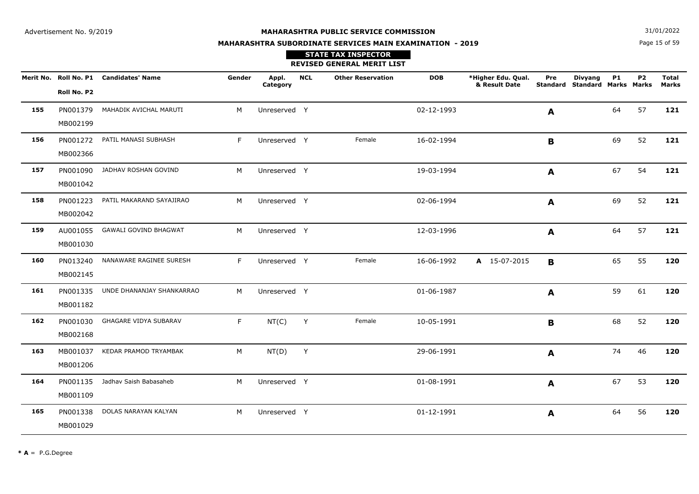**N**  $31/01/2022$ 

# **MAHARASHTRA SUBORDINATE SERVICES MAIN EXAMINATION - 2019STATE TAX INSPECTOR**

Page 15 of 59

|     |                      |                                        |        |                   |            | <b>REVISED GENERAL MERIT LIST</b> |            |                                     |                  |                                                 |    |                |                       |
|-----|----------------------|----------------------------------------|--------|-------------------|------------|-----------------------------------|------------|-------------------------------------|------------------|-------------------------------------------------|----|----------------|-----------------------|
|     | Roll No. P2          | Merit No. Roll No. P1 Candidates' Name | Gender | Appl.<br>Category | <b>NCL</b> | <b>Other Reservation</b>          | <b>DOB</b> | *Higher Edu. Qual.<br>& Result Date | Pre              | <b>Divyang</b><br>Standard Standard Marks Marks | P1 | P <sub>2</sub> | <b>Total</b><br>Marks |
| 155 | PN001379<br>MB002199 | MAHADIK AVICHAL MARUTI                 | M      | Unreserved Y      |            |                                   | 02-12-1993 |                                     | $\mathbf{A}$     |                                                 | 64 | 57             | 121                   |
| 156 | PN001272<br>MB002366 | PATIL MANASI SUBHASH                   | F.     | Unreserved Y      |            | Female                            | 16-02-1994 |                                     | B                |                                                 | 69 | 52             | 121                   |
| 157 | PN001090<br>MB001042 | JADHAV ROSHAN GOVIND                   | M      | Unreserved Y      |            |                                   | 19-03-1994 |                                     | A                |                                                 | 67 | 54             | 121                   |
| 158 | PN001223<br>MB002042 | PATIL MAKARAND SAYAJIRAO               | M      | Unreserved Y      |            |                                   | 02-06-1994 |                                     | $\boldsymbol{A}$ |                                                 | 69 | 52             | 121                   |
| 159 | AU001055<br>MB001030 | <b>GAWALI GOVIND BHAGWAT</b>           | M      | Unreserved Y      |            |                                   | 12-03-1996 |                                     | A                |                                                 | 64 | 57             | 121                   |
| 160 | PN013240<br>MB002145 | NANAWARE RAGINEE SURESH                | F.     | Unreserved Y      |            | Female                            | 16-06-1992 | A 15-07-2015                        | B                |                                                 | 65 | 55             | 120                   |
| 161 | PN001335<br>MB001182 | UNDE DHANANJAY SHANKARRAO              | M      | Unreserved Y      |            |                                   | 01-06-1987 |                                     | A                |                                                 | 59 | 61             | 120                   |
| 162 | PN001030<br>MB002168 | GHAGARE VIDYA SUBARAV                  | F.     | NT(C)             | Y          | Female                            | 10-05-1991 |                                     | B                |                                                 | 68 | 52             | 120                   |
| 163 | MB001037<br>MB001206 | KEDAR PRAMOD TRYAMBAK                  | M      | NT(D)             | Y          |                                   | 29-06-1991 |                                     | A                |                                                 | 74 | 46             | 120                   |
| 164 | PN001135<br>MB001109 | Jadhav Saish Babasaheb                 | M      | Unreserved Y      |            |                                   | 01-08-1991 |                                     | A                |                                                 | 67 | 53             | 120                   |
| 165 | PN001338<br>MB001029 | DOLAS NARAYAN KALYAN                   | M      | Unreserved Y      |            |                                   | 01-12-1991 |                                     | A                |                                                 | 64 | 56             | 120                   |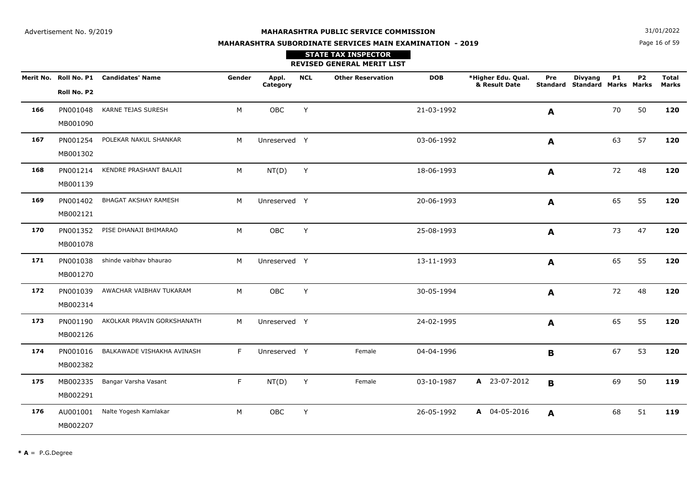Page 16 of 59**N**  $31/01/2022$ 

# **MAHARASHTRA SUBORDINATE SERVICES MAIN EXAMINATION - 2019STATE TAX INSPECTOR**

|     |                      |                                        |        |                   |            | <b>REVISED GENERAL MERIT LIST</b> |            |                                     |                        |                                               |           |           |                              |
|-----|----------------------|----------------------------------------|--------|-------------------|------------|-----------------------------------|------------|-------------------------------------|------------------------|-----------------------------------------------|-----------|-----------|------------------------------|
|     | Roll No. P2          | Merit No. Roll No. P1 Candidates' Name | Gender | Appl.<br>Category | <b>NCL</b> | <b>Other Reservation</b>          | <b>DOB</b> | *Higher Edu. Qual.<br>& Result Date | Pre<br><b>Standard</b> | <b>Divyang</b><br><b>Standard Marks Marks</b> | <b>P1</b> | <b>P2</b> | <b>Total</b><br><b>Marks</b> |
| 166 | PN001048<br>MB001090 | KARNE TEJAS SURESH                     | M      | OBC               | Y          |                                   | 21-03-1992 |                                     | A                      |                                               | 70        | 50        | 120                          |
| 167 | PN001254<br>MB001302 | POLEKAR NAKUL SHANKAR                  | M      | Unreserved Y      |            |                                   | 03-06-1992 |                                     | $\mathbf{A}$           |                                               | 63        | 57        | 120                          |
| 168 | PN001214<br>MB001139 | KENDRE PRASHANT BALAJI                 | M      | NT(D)             | Y          |                                   | 18-06-1993 |                                     | A                      |                                               | 72        | 48        | 120                          |
| 169 | PN001402<br>MB002121 | <b>BHAGAT AKSHAY RAMESH</b>            | M      | Unreserved Y      |            |                                   | 20-06-1993 |                                     | $\mathbf{A}$           |                                               | 65        | 55        | 120                          |
| 170 | PN001352<br>MB001078 | PISE DHANAJI BHIMARAO                  | M      | OBC               | Y          |                                   | 25-08-1993 |                                     | $\mathbf{A}$           |                                               | 73        | 47        | 120                          |
| 171 | PN001038<br>MB001270 | shinde vaibhav bhaurao                 | M      | Unreserved Y      |            |                                   | 13-11-1993 |                                     | A                      |                                               | 65        | 55        | 120                          |
| 172 | PN001039<br>MB002314 | AWACHAR VAIBHAV TUKARAM                | M      | OBC               | Y          |                                   | 30-05-1994 |                                     | A                      |                                               | 72        | 48        | 120                          |
| 173 | PN001190<br>MB002126 | AKOLKAR PRAVIN GORKSHANATH             | M      | Unreserved Y      |            |                                   | 24-02-1995 |                                     | $\mathbf{A}$           |                                               | 65        | 55        | 120                          |
| 174 | PN001016<br>MB002382 | BALKAWADE VISHAKHA AVINASH             | F      | Unreserved Y      |            | Female                            | 04-04-1996 |                                     | B                      |                                               | 67        | 53        | 120                          |
| 175 | MB002335<br>MB002291 | Bangar Varsha Vasant                   | F.     | NT(D)             | Y          | Female                            | 03-10-1987 | A 23-07-2012                        | $\mathbf{B}$           |                                               | 69        | 50        | 119                          |
| 176 | AU001001<br>MB002207 | Nalte Yogesh Kamlakar                  | М      | OBC               | Y          |                                   | 26-05-1992 | A 04-05-2016                        | A                      |                                               | 68        | 51        | 119                          |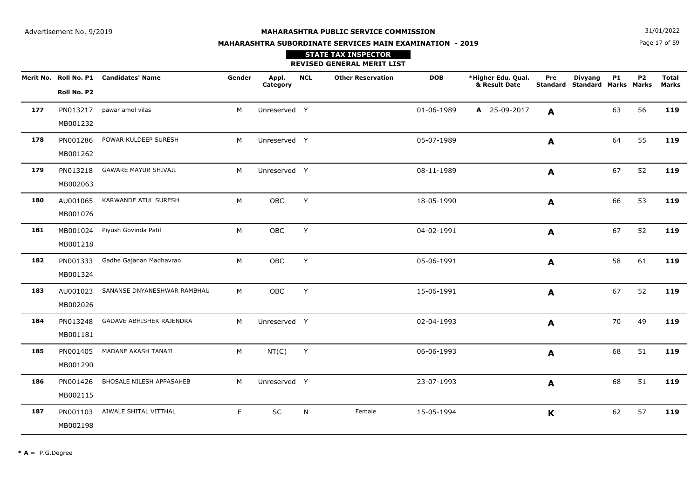**N**  $31/01/2022$ 

# **MAHARASHTRA SUBORDINATE SERVICES MAIN EXAMINATION - 2019STATE TAX INSPECTOR**

Page 17 of 59

|     |                      |                                        |        |                   |            | <b>REVISED GENERAL MERIT LIST</b> |            |                                     |              |                                                        |           |           |                              |
|-----|----------------------|----------------------------------------|--------|-------------------|------------|-----------------------------------|------------|-------------------------------------|--------------|--------------------------------------------------------|-----------|-----------|------------------------------|
|     | Roll No. P2          | Merit No. Roll No. P1 Candidates' Name | Gender | Appl.<br>Category | <b>NCL</b> | <b>Other Reservation</b>          | <b>DOB</b> | *Higher Edu. Qual.<br>& Result Date | Pre          | <b>Divyang</b><br><b>Standard Standard Marks Marks</b> | <b>P1</b> | <b>P2</b> | <b>Total</b><br><b>Marks</b> |
| 177 | PN013217<br>MB001232 | pawar amol vilas                       | M      | Unreserved Y      |            |                                   | 01-06-1989 | A 25-09-2017                        | A            |                                                        | 63        | 56        | 119                          |
| 178 | PN001286<br>MB001262 | POWAR KULDEEP SURESH                   | M      | Unreserved Y      |            |                                   | 05-07-1989 |                                     | $\mathbf{A}$ |                                                        | 64        | 55        | 119                          |
| 179 | PN013218<br>MB002063 | <b>GAWARE MAYUR SHIVAJI</b>            | M      | Unreserved Y      |            |                                   | 08-11-1989 |                                     | A            |                                                        | 67        | 52        | 119                          |
| 180 | AU001065<br>MB001076 | KARWANDE ATUL SURESH                   | M      | OBC               | Y          |                                   | 18-05-1990 |                                     | A            |                                                        | 66        | 53        | 119                          |
| 181 | MB001024<br>MB001218 | Piyush Govinda Patil                   | M      | OBC               | Y          |                                   | 04-02-1991 |                                     | A            |                                                        | 67        | 52        | 119                          |
| 182 | PN001333<br>MB001324 | Gadhe Gajanan Madhavrao                | M      | OBC               | Y          |                                   | 05-06-1991 |                                     | A            |                                                        | 58        | 61        | 119                          |
| 183 | AU001023<br>MB002026 | SANANSE DNYANESHWAR RAMBHAU            | M      | OBC               | Y          |                                   | 15-06-1991 |                                     | A            |                                                        | 67        | 52        | 119                          |
| 184 | PN013248<br>MB001181 | GADAVE ABHISHEK RAJENDRA               | M      | Unreserved Y      |            |                                   | 02-04-1993 |                                     | A            |                                                        | 70        | 49        | 119                          |
| 185 | PN001405<br>MB001290 | MADANE AKASH TANAJI                    | M      | NT(C)             | Y          |                                   | 06-06-1993 |                                     | A            |                                                        | 68        | 51        | 119                          |
| 186 | PN001426<br>MB002115 | BHOSALE NILESH APPASAHEB               | M      | Unreserved Y      |            |                                   | 23-07-1993 |                                     | A            |                                                        | 68        | 51        | 119                          |
| 187 | PN001103<br>MB002198 | AIWALE SHITAL VITTHAL                  | F.     | SC                | N          | Female                            | 15-05-1994 |                                     | K            |                                                        | 62        | 57        | 119                          |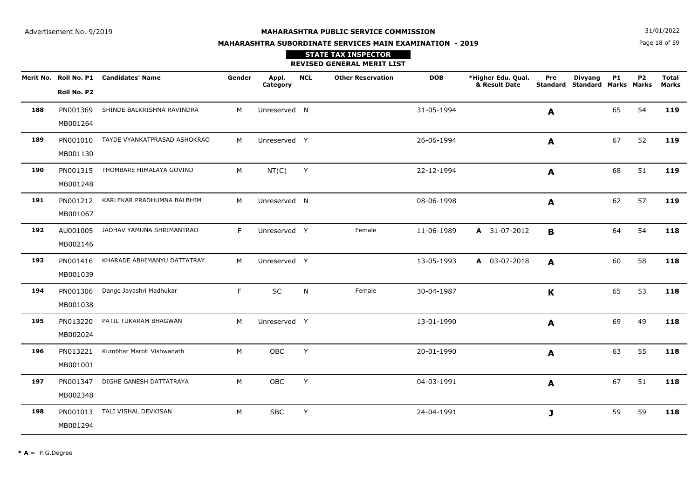**N**  $31/01/2022$ 

# **MAHARASHTRA SUBORDINATE SERVICES MAIN EXAMINATION - 2019**

## Page 18 of 59

|     |                      |                                        |        |                   |            | <b>STATE TAX INSPECTOR</b><br><b>REVISED GENERAL MERIT LIST</b> |            |                                     |              |                                                        |           |                |                              |
|-----|----------------------|----------------------------------------|--------|-------------------|------------|-----------------------------------------------------------------|------------|-------------------------------------|--------------|--------------------------------------------------------|-----------|----------------|------------------------------|
|     | Roll No. P2          | Merit No. Roll No. P1 Candidates' Name | Gender | Appl.<br>Category | <b>NCL</b> | <b>Other Reservation</b>                                        | <b>DOB</b> | *Higher Edu. Qual.<br>& Result Date | Pre          | <b>Divyang</b><br><b>Standard Standard Marks Marks</b> | <b>P1</b> | P <sub>2</sub> | <b>Total</b><br><b>Marks</b> |
| 188 | PN001369<br>MB001264 | SHINDE BALKRISHNA RAVINDRA             | М      | Unreserved N      |            |                                                                 | 31-05-1994 |                                     | A            |                                                        | 65        | 54             | 119                          |
| 189 | PN001010<br>MB001130 | TAYDE VYANKATPRASAD ASHOKRAO           | M      | Unreserved Y      |            |                                                                 | 26-06-1994 |                                     | A            |                                                        | 67        | 52             | 119                          |
| 190 | MB001248             | PN001315 THOMBARE HIMALAYA GOVIND      | M      | NT(C)             | Y          |                                                                 | 22-12-1994 |                                     | $\mathbf{A}$ |                                                        | 68        | 51             | 119                          |
| 191 | PN001212<br>MB001067 | KARLEKAR PRADHUMNA BALBHIM             | M      | Unreserved N      |            |                                                                 | 08-06-1998 |                                     | A            |                                                        | 62        | 57             | 119                          |
| 192 | AU001005<br>MB002146 | JADHAV YAMUNA SHRIMANTRAO              | F      | Unreserved Y      |            | Female                                                          | 11-06-1989 | A 31-07-2012                        | $\mathbf{B}$ |                                                        | 64        | 54             | 118                          |
| 193 | PN001416<br>MB001039 | KHARADE ABHIMANYU DATTATRAY            | M      | Unreserved Y      |            |                                                                 | 13-05-1993 | A 03-07-2018                        | A            |                                                        | 60        | 58             | 118                          |
| 194 | PN001306<br>MB001038 | Dange Jayashri Madhukar                | F      | SC                | N          | Female                                                          | 30-04-1987 |                                     | $\mathbf{K}$ |                                                        | 65        | 53             | 118                          |
| 195 | PN013220<br>MB002024 | PATIL TUKARAM BHAGWAN                  | M      | Unreserved Y      |            |                                                                 | 13-01-1990 |                                     | A            |                                                        | 69        | 49             | 118                          |
| 196 | PN013221<br>MB001001 | Kumbhar Maroti Vishwanath              | M      | OBC               | Y          |                                                                 | 20-01-1990 |                                     | A            |                                                        | 63        | 55             | 118                          |
| 197 | PN001347<br>MB002348 | DIGHE GANESH DATTATRAYA                | M      | OBC               | Y          |                                                                 | 04-03-1991 |                                     | A            |                                                        | 67        | 51             | 118                          |
| 198 | PN001013<br>MB001294 | TALI VISHAL DEVKISAN                   | М      | <b>SBC</b>        | Y          |                                                                 | 24-04-1991 |                                     | J            |                                                        | 59        | 59             | 118                          |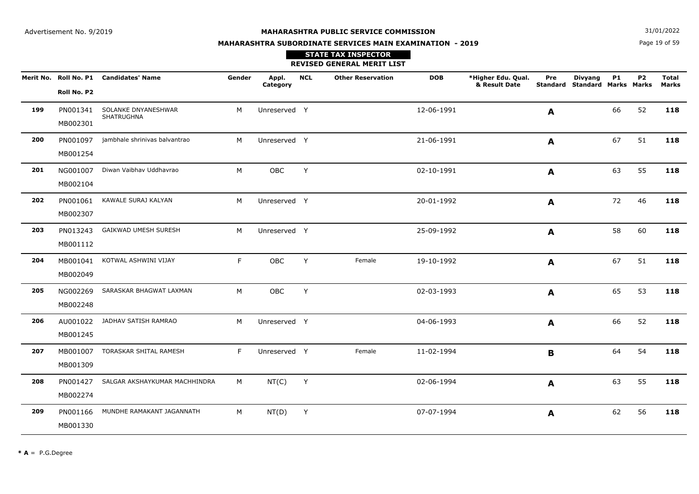**N**  $31/01/2022$ 

# **MAHARASHTRA SUBORDINATE SERVICES MAIN EXAMINATION - 2019STATE TAX INSPECTOR**

## Page 19 of 59

|     |                      |                                        |        |                   |            | <b>REVISED GENERAL MERIT LIST</b> |            |                                     |                  |                                               |           |                |                       |
|-----|----------------------|----------------------------------------|--------|-------------------|------------|-----------------------------------|------------|-------------------------------------|------------------|-----------------------------------------------|-----------|----------------|-----------------------|
|     | Roll No. P2          | Merit No. Roll No. P1 Candidates' Name | Gender | Appl.<br>Category | <b>NCL</b> | <b>Other Reservation</b>          | <b>DOB</b> | *Higher Edu. Qual.<br>& Result Date | Pre<br>Standard  | <b>Divyang</b><br><b>Standard Marks Marks</b> | <b>P1</b> | P <sub>2</sub> | <b>Total</b><br>Marks |
| 199 | PN001341<br>MB002301 | SOLANKE DNYANESHWAR<br>SHATRUGHNA      | M      | Unreserved Y      |            |                                   | 12-06-1991 |                                     | A                |                                               | 66        | 52             | 118                   |
| 200 | MB001254             | PN001097 jambhale shrinivas balvantrao | M      | Unreserved Y      |            |                                   | 21-06-1991 |                                     | A                |                                               | 67        | 51             | 118                   |
| 201 | NG001007<br>MB002104 | Diwan Vaibhav Uddhavrao                | M      | OBC               | Y          |                                   | 02-10-1991 |                                     | $\blacktriangle$ |                                               | 63        | 55             | 118                   |
| 202 | PN001061<br>MB002307 | KAWALE SURAJ KALYAN                    | M      | Unreserved Y      |            |                                   | 20-01-1992 |                                     | $\mathbf{A}$     |                                               | 72        | 46             | 118                   |
| 203 | PN013243<br>MB001112 | GAIKWAD UMESH SURESH                   | M      | Unreserved Y      |            |                                   | 25-09-1992 |                                     | A                |                                               | 58        | 60             | 118                   |
| 204 | MB001041<br>MB002049 | KOTWAL ASHWINI VIJAY                   | F      | OBC               | Y          | Female                            | 19-10-1992 |                                     | A                |                                               | 67        | 51             | 118                   |
| 205 | NG002269<br>MB002248 | SARASKAR BHAGWAT LAXMAN                | M      | OBC               | Y          |                                   | 02-03-1993 |                                     | A                |                                               | 65        | 53             | 118                   |
| 206 | AU001022<br>MB001245 | JADHAV SATISH RAMRAO                   | M      | Unreserved Y      |            |                                   | 04-06-1993 |                                     | A                |                                               | 66        | 52             | 118                   |
| 207 | MB001007<br>MB001309 | TORASKAR SHITAL RAMESH                 | F      | Unreserved Y      |            | Female                            | 11-02-1994 |                                     | $\mathbf B$      |                                               | 64        | 54             | 118                   |
| 208 | PN001427<br>MB002274 | SALGAR AKSHAYKUMAR MACHHINDRA          | M      | NT(C)             | Y          |                                   | 02-06-1994 |                                     | A                |                                               | 63        | 55             | 118                   |
| 209 | PN001166<br>MB001330 | MUNDHE RAMAKANT JAGANNATH              | M      | NT(D)             | Y          |                                   | 07-07-1994 |                                     | A                |                                               | 62        | 56             | 118                   |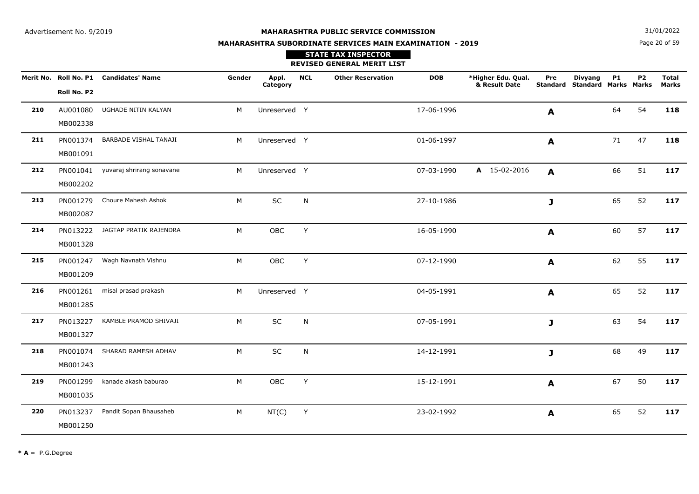**N**  $31/01/2022$ 

# **MAHARASHTRA SUBORDINATE SERVICES MAIN EXAMINATION - 2019STATE TAX INSPECTOR**

Page 20 of 59

|     |                      |                                        |        |                   |            | <b>REVISED GENERAL MERIT LIST</b> |            |                                     |              |                                                 |           |                |                       |
|-----|----------------------|----------------------------------------|--------|-------------------|------------|-----------------------------------|------------|-------------------------------------|--------------|-------------------------------------------------|-----------|----------------|-----------------------|
|     | Roll No. P2          | Merit No. Roll No. P1 Candidates' Name | Gender | Appl.<br>Category | <b>NCL</b> | <b>Other Reservation</b>          | <b>DOB</b> | *Higher Edu. Qual.<br>& Result Date | Pre          | <b>Divyang</b><br>Standard Standard Marks Marks | <b>P1</b> | P <sub>2</sub> | <b>Total</b><br>Marks |
| 210 | AU001080<br>MB002338 | UGHADE NITIN KALYAN                    | M      | Unreserved Y      |            |                                   | 17-06-1996 |                                     | $\mathbf{A}$ |                                                 | 64        | 54             | 118                   |
| 211 | PN001374<br>MB001091 | BARBADE VISHAL TANAJI                  | M      | Unreserved Y      |            |                                   | 01-06-1997 |                                     | A            |                                                 | 71        | 47             | 118                   |
| 212 | MB002202             | PN001041 yuvaraj shrirang sonavane     | M      | Unreserved Y      |            |                                   | 07-03-1990 | A 15-02-2016                        | $\mathbf{A}$ |                                                 | 66        | 51             | 117                   |
| 213 | PN001279<br>MB002087 | Choure Mahesh Ashok                    | M      | SC                | ${\sf N}$  |                                   | 27-10-1986 |                                     | J            |                                                 | 65        | 52             | 117                   |
| 214 | PN013222<br>MB001328 | JAGTAP PRATIK RAJENDRA                 | M      | OBC               | Y          |                                   | 16-05-1990 |                                     | A            |                                                 | 60        | 57             | 117                   |
| 215 | PN001247<br>MB001209 | Wagh Navnath Vishnu                    | M      | OBC               | Y          |                                   | 07-12-1990 |                                     | $\mathbf{A}$ |                                                 | 62        | 55             | 117                   |
| 216 | PN001261<br>MB001285 | misal prasad prakash                   | M      | Unreserved Y      |            |                                   | 04-05-1991 |                                     | A            |                                                 | 65        | 52             | 117                   |
| 217 | PN013227<br>MB001327 | KAMBLE PRAMOD SHIVAJI                  | M      | SC                | N          |                                   | 07-05-1991 |                                     | J            |                                                 | 63        | 54             | 117                   |
| 218 | PN001074<br>MB001243 | SHARAD RAMESH ADHAV                    | M      | SC                | ${\sf N}$  |                                   | 14-12-1991 |                                     | $\mathbf{J}$ |                                                 | 68        | 49             | 117                   |
| 219 | PN001299<br>MB001035 | kanade akash baburao                   | M      | OBC               | Y          |                                   | 15-12-1991 |                                     | A            |                                                 | 67        | 50             | 117                   |
| 220 | PN013237<br>MB001250 | Pandit Sopan Bhausaheb                 | M      | NT(C)             | Y          |                                   | 23-02-1992 |                                     | A            |                                                 | 65        | 52             | 117                   |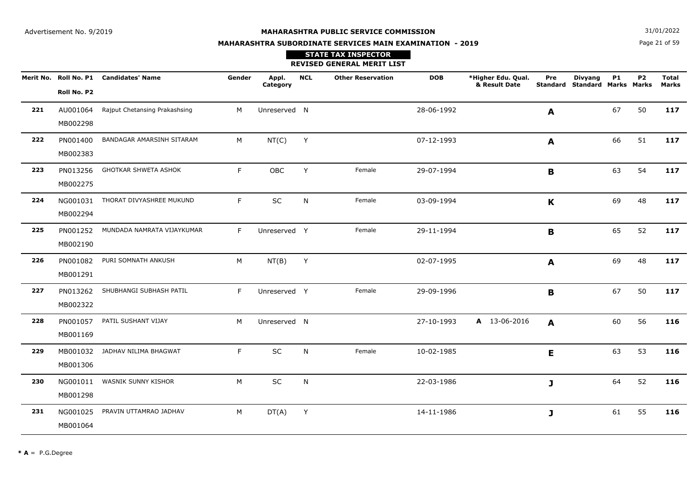**N**  $31/01/2022$ 

# **MAHARASHTRA SUBORDINATE SERVICES MAIN EXAMINATION - 2019**

## Page 21 of 59

|     |                      |                                        |        |                   |            | <b>STATE TAX INSPECTOR</b><br><b>REVISED GENERAL MERIT LIST</b> |            |                                     |              |                                                 |           |           |                              |
|-----|----------------------|----------------------------------------|--------|-------------------|------------|-----------------------------------------------------------------|------------|-------------------------------------|--------------|-------------------------------------------------|-----------|-----------|------------------------------|
|     | Roll No. P2          | Merit No. Roll No. P1 Candidates' Name | Gender | Appl.<br>Category | <b>NCL</b> | <b>Other Reservation</b>                                        | <b>DOB</b> | *Higher Edu. Qual.<br>& Result Date | Pre          | Divyang<br><b>Standard Standard Marks Marks</b> | <b>P1</b> | <b>P2</b> | <b>Total</b><br><b>Marks</b> |
| 221 | MB002298             | AU001064 Rajput Chetansing Prakashsing | M      | Unreserved N      |            |                                                                 | 28-06-1992 |                                     | A            |                                                 | 67        | 50        | 117                          |
| 222 | PN001400<br>MB002383 | BANDAGAR AMARSINH SITARAM              | M      | NT(C)             | Y          |                                                                 | 07-12-1993 |                                     | A            |                                                 | 66        | 51        | 117                          |
| 223 | MB002275             | PN013256 GHOTKAR SHWETA ASHOK          | F.     | OBC               | Y          | Female                                                          | 29-07-1994 |                                     | B            |                                                 | 63        | 54        | 117                          |
| 224 | MB002294             | NG001031 THORAT DIVYASHREE MUKUND      | F      | <b>SC</b>         | N          | Female                                                          | 03-09-1994 |                                     | $\mathbf K$  |                                                 | 69        | 48        | 117                          |
| 225 | PN001252<br>MB002190 | MUNDADA NAMRATA VIJAYKUMAR             | F      | Unreserved Y      |            | Female                                                          | 29-11-1994 |                                     | B            |                                                 | 65        | 52        | 117                          |
| 226 | MB001291             | PN001082 PURI SOMNATH ANKUSH           | M      | NT(B)             | Y          |                                                                 | 02-07-1995 |                                     | $\mathbf{A}$ |                                                 | 69        | 48        | 117                          |
| 227 | MB002322             | PN013262 SHUBHANGI SUBHASH PATIL       | F.     | Unreserved Y      |            | Female                                                          | 29-09-1996 |                                     | B            |                                                 | 67        | 50        | 117                          |
| 228 | MB001169             | PN001057 PATIL SUSHANT VIJAY           | M      | Unreserved N      |            |                                                                 | 27-10-1993 | A 13-06-2016                        | A            |                                                 | 60        | 56        | 116                          |
| 229 | MB001306             | MB001032 JADHAV NILIMA BHAGWAT         | F      | SC                | N          | Female                                                          | 10-02-1985 |                                     | E            |                                                 | 63        | 53        | 116                          |
| 230 | MB001298             | NG001011 WASNIK SUNNY KISHOR           | M      | SC                | N          |                                                                 | 22-03-1986 |                                     | J            |                                                 | 64        | 52        | 116                          |
| 231 | MB001064             | NG001025 PRAVIN UTTAMRAO JADHAV        | M      | DT(A)             | Y          |                                                                 | 14-11-1986 |                                     | J            |                                                 | 61        | 55        | 116                          |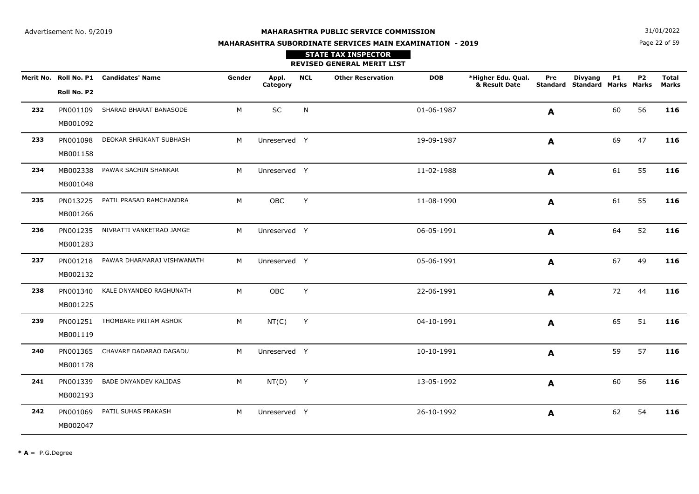**N**  $31/01/2022$ 

# **MAHARASHTRA SUBORDINATE SERVICES MAIN EXAMINATION - 2019**

Page 22 of 59

|     |             |                                        |        |                   |            | <b>STATE TAX INSPECTOR</b><br><b>REVISED GENERAL MERIT LIST</b> |            |                                     |     |                                                        |           |           |                       |
|-----|-------------|----------------------------------------|--------|-------------------|------------|-----------------------------------------------------------------|------------|-------------------------------------|-----|--------------------------------------------------------|-----------|-----------|-----------------------|
|     | Roll No. P2 | Merit No. Roll No. P1 Candidates' Name | Gender | Appl.<br>Category | <b>NCL</b> | <b>Other Reservation</b>                                        | <b>DOB</b> | *Higher Edu. Qual.<br>& Result Date | Pre | <b>Divyang</b><br><b>Standard Standard Marks Marks</b> | <b>P1</b> | <b>P2</b> | <b>Total</b><br>Marks |
| 232 | MB001092    | PN001109 SHARAD BHARAT BANASODE        | M      | <b>SC</b>         | N          |                                                                 | 01-06-1987 |                                     | A   |                                                        | 60        | 56        | 116                   |
| 233 | MB001158    | PN001098 DEOKAR SHRIKANT SUBHASH       | M      | Unreserved Y      |            |                                                                 | 19-09-1987 |                                     | A   |                                                        | 69        | 47        | 116                   |
| 234 | MB001048    | MB002338 PAWAR SACHIN SHANKAR          | M      | Unreserved Y      |            |                                                                 | 11-02-1988 |                                     | A   |                                                        | 61        | 55        | 116                   |
| 235 | MB001266    | PN013225 PATIL PRASAD RAMCHANDRA       | M      | OBC               | Y          |                                                                 | 11-08-1990 |                                     | A   |                                                        | 61        | 55        | 116                   |
| 236 | MB001283    | PN001235 NIVRATTI VANKETRAO JAMGE      | М      | Unreserved Y      |            |                                                                 | 06-05-1991 |                                     | A   |                                                        | 64        | 52        | 116                   |
| 237 | MB002132    | PN001218 PAWAR DHARMARAJ VISHWANATH    | M      | Unreserved Y      |            |                                                                 | 05-06-1991 |                                     | A   |                                                        | 67        | 49        | 116                   |
| 238 | MB001225    | PN001340 KALE DNYANDEO RAGHUNATH       | M      | OBC               | Y          |                                                                 | 22-06-1991 |                                     | A   |                                                        | 72        | 44        | 116                   |
| 239 | MB001119    | PN001251 THOMBARE PRITAM ASHOK         | М      | NT(C)             | Y          |                                                                 | 04-10-1991 |                                     | A   |                                                        | 65        | 51        | 116                   |
| 240 | MB001178    | PN001365 CHAVARE DADARAO DAGADU        | M      | Unreserved Y      |            |                                                                 | 10-10-1991 |                                     | A   |                                                        | 59        | 57        | 116                   |
| 241 | MB002193    | PN001339 BADE DNYANDEV KALIDAS         | М      | $NT(D)$ Y         |            |                                                                 | 13-05-1992 |                                     | A   |                                                        | 60        | 56        | 116                   |
| 242 | MB002047    | PN001069 PATIL SUHAS PRAKASH           | M      | Unreserved Y      |            |                                                                 | 26-10-1992 |                                     | A   |                                                        | 62        | 54        | 116                   |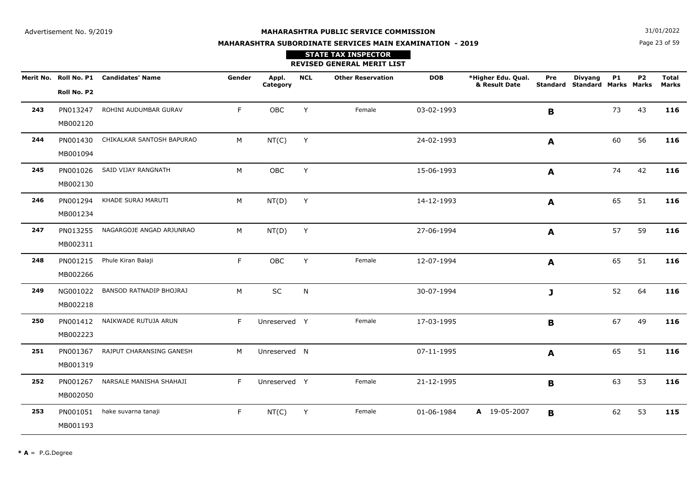**N**  $31/01/2022$ 

# **MAHARASHTRA SUBORDINATE SERVICES MAIN EXAMINATION - 2019STATE TAX INSPECTOR**

Page 23 of 59

|     |                      |                                        |        |                   |            | <b>REVISED GENERAL MERIT LIST</b> |            |                                     |             |                                                 |    |                |                       |
|-----|----------------------|----------------------------------------|--------|-------------------|------------|-----------------------------------|------------|-------------------------------------|-------------|-------------------------------------------------|----|----------------|-----------------------|
|     | Roll No. P2          | Merit No. Roll No. P1 Candidates' Name | Gender | Appl.<br>Category | <b>NCL</b> | <b>Other Reservation</b>          | <b>DOB</b> | *Higher Edu. Qual.<br>& Result Date | Pre         | <b>Divyang</b><br>Standard Standard Marks Marks | P1 | P <sub>2</sub> | <b>Total</b><br>Marks |
| 243 | PN013247<br>MB002120 | ROHINI AUDUMBAR GURAV                  | F.     | OBC               | Y          | Female                            | 03-02-1993 |                                     | B           |                                                 | 73 | 43             | 116                   |
| 244 | PN001430<br>MB001094 | CHIKALKAR SANTOSH BAPURAO              | M      | NT(C)             | Y          |                                   | 24-02-1993 |                                     | A           |                                                 | 60 | 56             | 116                   |
| 245 | PN001026<br>MB002130 | SAID VIJAY RANGNATH                    | M      | OBC               | Y          |                                   | 15-06-1993 |                                     | A           |                                                 | 74 | 42             | 116                   |
| 246 | PN001294<br>MB001234 | KHADE SURAJ MARUTI                     | M      | NT(D)             | Y          |                                   | 14-12-1993 |                                     | A           |                                                 | 65 | 51             | 116                   |
| 247 | PN013255<br>MB002311 | NAGARGOJE ANGAD ARJUNRAO               | M      | NT(D)             | Y          |                                   | 27-06-1994 |                                     | A           |                                                 | 57 | 59             | 116                   |
| 248 | PN001215<br>MB002266 | Phule Kiran Balaji                     | F      | OBC               | Y          | Female                            | 12-07-1994 |                                     | A           |                                                 | 65 | 51             | 116                   |
| 249 | NG001022<br>MB002218 | BANSOD RATNADIP BHOJRAJ                | M      | SC                | N          |                                   | 30-07-1994 |                                     | J           |                                                 | 52 | 64             | 116                   |
| 250 | PN001412<br>MB002223 | NAIKWADE RUTUJA ARUN                   | F      | Unreserved Y      |            | Female                            | 17-03-1995 |                                     | B           |                                                 | 67 | 49             | 116                   |
| 251 | PN001367<br>MB001319 | RAJPUT CHARANSING GANESH               | M      | Unreserved N      |            |                                   | 07-11-1995 |                                     | A           |                                                 | 65 | 51             | 116                   |
| 252 | PN001267<br>MB002050 | NARSALE MANISHA SHAHAJI                | F      | Unreserved Y      |            | Female                            | 21-12-1995 |                                     | $\mathbf B$ |                                                 | 63 | 53             | 116                   |
| 253 | PN001051<br>MB001193 | hake suvarna tanaji                    | F      | NT(C)             | Y          | Female                            | 01-06-1984 | A 19-05-2007                        | B           |                                                 | 62 | 53             | 115                   |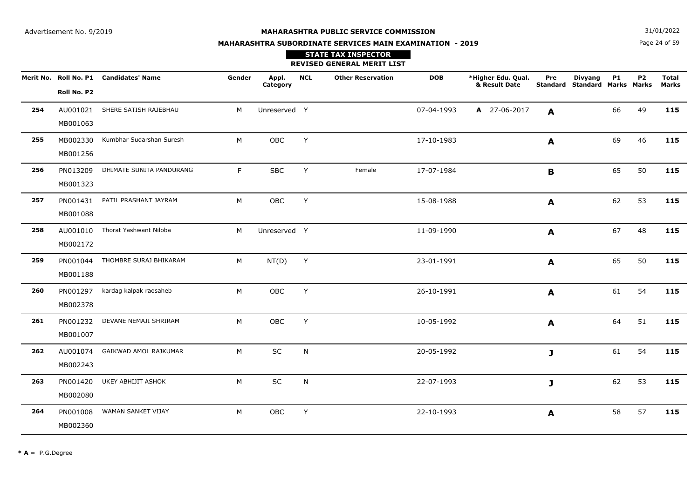**N**  $31/01/2022$ 

# **MAHARASHTRA SUBORDINATE SERVICES MAIN EXAMINATION - 2019**

# Page 24 of 59

|     |                      |                                        |        |                   |            | <b>STATE TAX INSPECTOR</b><br><b>REVISED GENERAL MERIT LIST</b> |            |                                     |              |                                                        |           |           |                              |
|-----|----------------------|----------------------------------------|--------|-------------------|------------|-----------------------------------------------------------------|------------|-------------------------------------|--------------|--------------------------------------------------------|-----------|-----------|------------------------------|
|     | Roll No. P2          | Merit No. Roll No. P1 Candidates' Name | Gender | Appl.<br>Category | <b>NCL</b> | <b>Other Reservation</b>                                        | <b>DOB</b> | *Higher Edu. Qual.<br>& Result Date | Pre          | <b>Divyang</b><br><b>Standard Standard Marks Marks</b> | <b>P1</b> | <b>P2</b> | <b>Total</b><br><b>Marks</b> |
| 254 | MB001063             | AU001021 SHERE SATISH RAJEBHAU         | M      | Unreserved Y      |            |                                                                 | 07-04-1993 | A 27-06-2017                        | A            |                                                        | 66        | 49        | 115                          |
| 255 | MB001256             | MB002330 Kumbhar Sudarshan Suresh      | M      | <b>OBC</b>        | Y          |                                                                 | 17-10-1983 |                                     | A            |                                                        | 69        | 46        | 115                          |
| 256 | MB001323             | PN013209 DHIMATE SUNITA PANDURANG      | F      | <b>SBC</b>        | Y          | Female                                                          | 17-07-1984 |                                     | $\mathbf B$  |                                                        | 65        | 50        | 115                          |
| 257 | MB001088             | PN001431 PATIL PRASHANT JAYRAM         | M      | OBC               | Y          |                                                                 | 15-08-1988 |                                     | $\mathbf{A}$ |                                                        | 62        | 53        | 115                          |
| 258 | MB002172             | AU001010 Thorat Yashwant Niloba        | M      | Unreserved Y      |            |                                                                 | 11-09-1990 |                                     | A            |                                                        | 67        | 48        | 115                          |
| 259 | MB001188             | PN001044 THOMBRE SURAJ BHIKARAM        | M      | NT(D)             | Y          |                                                                 | 23-01-1991 |                                     | $\mathbf{A}$ |                                                        | 65        | 50        | 115                          |
| 260 | PN001297<br>MB002378 | kardag kalpak raosaheb                 | M      | OBC               | Y          |                                                                 | 26-10-1991 |                                     | $\mathbf{A}$ |                                                        | 61        | 54        | 115                          |
| 261 | PN001232<br>MB001007 | DEVANE NEMAJI SHRIRAM                  | M      | OBC               | Y          |                                                                 | 10-05-1992 |                                     | $\mathbf{A}$ |                                                        | 64        | 51        | 115                          |
| 262 | AU001074<br>MB002243 | GAIKWAD AMOL RAJKUMAR                  | M      | SC                | N          |                                                                 | 20-05-1992 |                                     | J            |                                                        | 61        | 54        | 115                          |
| 263 | PN001420<br>MB002080 | UKEY ABHIJIT ASHOK                     | M      | SC                | N          |                                                                 | 22-07-1993 |                                     | J.           |                                                        | 62        | 53        | 115                          |
| 264 | PN001008<br>MB002360 | WAMAN SANKET VIJAY                     | M      | OBC               | Y          |                                                                 | 22-10-1993 |                                     | $\mathbf{A}$ |                                                        | 58        | 57        | 115                          |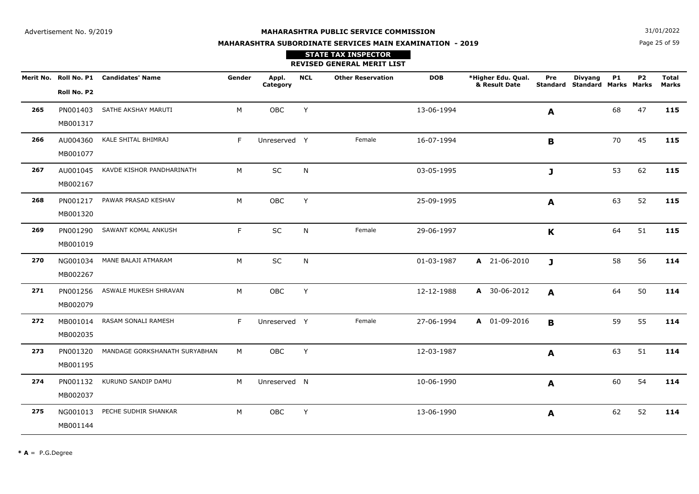**N**  $31/01/2022$ 

# **MAHARASHTRA SUBORDINATE SERVICES MAIN EXAMINATION - 2019**

Page 25 of 59

|     |             |                                        |        |                   |            | <b>STATE TAX INSPECTOR</b><br><b>REVISED GENERAL MERIT LIST</b> |            |                                     |              |                                          |           |                |                              |
|-----|-------------|----------------------------------------|--------|-------------------|------------|-----------------------------------------------------------------|------------|-------------------------------------|--------------|------------------------------------------|-----------|----------------|------------------------------|
|     | Roll No. P2 | Merit No. Roll No. P1 Candidates' Name | Gender | Appl.<br>Category | <b>NCL</b> | <b>Other Reservation</b>                                        | <b>DOB</b> | *Higher Edu. Qual.<br>& Result Date | Pre          | Divyang<br>Standard Standard Marks Marks | <b>P1</b> | P <sub>2</sub> | <b>Total</b><br><b>Marks</b> |
| 265 | MB001317    | PN001403 SATHE AKSHAY MARUTI           | M      | OBC               | Y          |                                                                 | 13-06-1994 |                                     | A            |                                          | 68        | 47             | 115                          |
| 266 | MB001077    | AU004360 KALE SHITAL BHIMRAJ           | F      | Unreserved Y      |            | Female                                                          | 16-07-1994 |                                     | B            |                                          | 70        | 45             | 115                          |
| 267 | MB002167    | AU001045 KAVDE KISHOR PANDHARINATH     | M      | <b>SC</b>         | N          |                                                                 | 03-05-1995 |                                     | J            |                                          | 53        | 62             | 115                          |
| 268 | MB001320    | PN001217 PAWAR PRASAD KESHAV           | M      | OBC               | Y          |                                                                 | 25-09-1995 |                                     | A            |                                          | 63        | 52             | 115                          |
| 269 | MB001019    | PN001290 SAWANT KOMAL ANKUSH           | F.     | SC                | N          | Female                                                          | 29-06-1997 |                                     | $\mathbf K$  |                                          | 64        | 51             | 115                          |
| 270 | MB002267    | NG001034 MANE BALAJI ATMARAM           | M      | SC                | N          |                                                                 | 01-03-1987 | A 21-06-2010                        | $\mathbf{J}$ |                                          | 58        | 56             | 114                          |
| 271 | MB002079    | PN001256 ASWALE MUKESH SHRAVAN         | M      | OBC               | Y          |                                                                 | 12-12-1988 | A 30-06-2012                        | A            |                                          | 64        | 50             | 114                          |
| 272 | MB002035    | MB001014 RASAM SONALI RAMESH           | F      | Unreserved Y      |            | Female                                                          | 27-06-1994 | A 01-09-2016                        | B            |                                          | 59        | 55             | 114                          |
| 273 | MB001195    | PN001320 MANDAGE GORKSHANATH SURYABHAN | M      | OBC               | Y          |                                                                 | 12-03-1987 |                                     | A            |                                          | 63        | 51             | 114                          |
| 274 | MB002037    | PN001132 KURUND SANDIP DAMU            | M      | Unreserved N      |            |                                                                 | 10-06-1990 |                                     | A            |                                          | 60        | 54             | 114                          |
| 275 | MB001144    | NG001013 PECHE SUDHIR SHANKAR          | M      | OBC               | Y          |                                                                 | 13-06-1990 |                                     | A            |                                          | 62        | 52             | 114                          |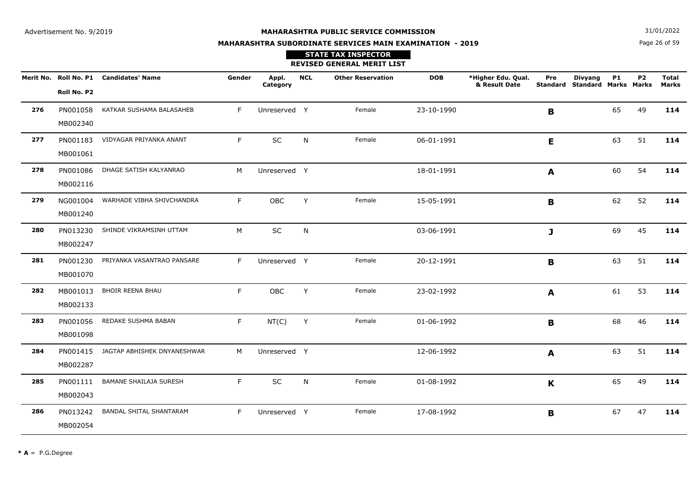**N**  $31/01/2022$ 

# **MAHARASHTRA SUBORDINATE SERVICES MAIN EXAMINATION - 2019STATE TAX INSPECTOR**

## Page 26 of 59

|     |                      |                                        |        |                   |            | <b>REVISED GENERAL MERIT LIST</b> |            |                                     |                  |                                                        |           |                |                       |
|-----|----------------------|----------------------------------------|--------|-------------------|------------|-----------------------------------|------------|-------------------------------------|------------------|--------------------------------------------------------|-----------|----------------|-----------------------|
|     | Roll No. P2          | Merit No. Roll No. P1 Candidates' Name | Gender | Appl.<br>Category | <b>NCL</b> | <b>Other Reservation</b>          | <b>DOB</b> | *Higher Edu. Qual.<br>& Result Date | Pre              | <b>Divyang</b><br><b>Standard Standard Marks Marks</b> | <b>P1</b> | P <sub>2</sub> | <b>Total</b><br>Marks |
| 276 | PN001058<br>MB002340 | KATKAR SUSHAMA BALASAHEB               | F      | Unreserved Y      |            | Female                            | 23-10-1990 |                                     | B                |                                                        | 65        | 49             | 114                   |
| 277 | PN001183<br>MB001061 | VIDYAGAR PRIYANKA ANANT                | F.     | SC                | N          | Female                            | 06-01-1991 |                                     | E                |                                                        | 63        | 51             | 114                   |
| 278 | PN001086<br>MB002116 | DHAGE SATISH KALYANRAO                 | M      | Unreserved Y      |            |                                   | 18-01-1991 |                                     | $\blacktriangle$ |                                                        | 60        | 54             | 114                   |
| 279 | NG001004<br>MB001240 | WARHADE VIBHA SHIVCHANDRA              | F.     | OBC               | Y          | Female                            | 15-05-1991 |                                     | $\mathbf{B}$     |                                                        | 62        | 52             | 114                   |
| 280 | PN013230<br>MB002247 | SHINDE VIKRAMSINH UTTAM                | M      | <b>SC</b>         | N          |                                   | 03-06-1991 |                                     | $\mathbf{J}$     |                                                        | 69        | 45             | 114                   |
| 281 | PN001230<br>MB001070 | PRIYANKA VASANTRAO PANSARE             | F.     | Unreserved Y      |            | Female                            | 20-12-1991 |                                     | B                |                                                        | 63        | 51             | 114                   |
| 282 | MB001013<br>MB002133 | <b>BHOIR REENA BHAU</b>                | F.     | OBC               | Y          | Female                            | 23-02-1992 |                                     | A                |                                                        | 61        | 53             | 114                   |
| 283 | PN001056<br>MB001098 | REDAKE SUSHMA BABAN                    | F.     | NT(C)             | Y          | Female                            | 01-06-1992 |                                     | B                |                                                        | 68        | 46             | 114                   |
| 284 | MB002287             | PN001415 JAGTAP ABHISHEK DNYANESHWAR   | M      | Unreserved Y      |            |                                   | 12-06-1992 |                                     | A                |                                                        | 63        | 51             | 114                   |
| 285 | PN001111<br>MB002043 | <b>BAMANE SHAILAJA SURESH</b>          | F.     | SC                | N          | Female                            | 01-08-1992 |                                     | K                |                                                        | 65        | 49             | 114                   |
| 286 | PN013242<br>MB002054 | BANDAL SHITAL SHANTARAM                | F.     | Unreserved Y      |            | Female                            | 17-08-1992 |                                     | B                |                                                        | 67        | 47             | 114                   |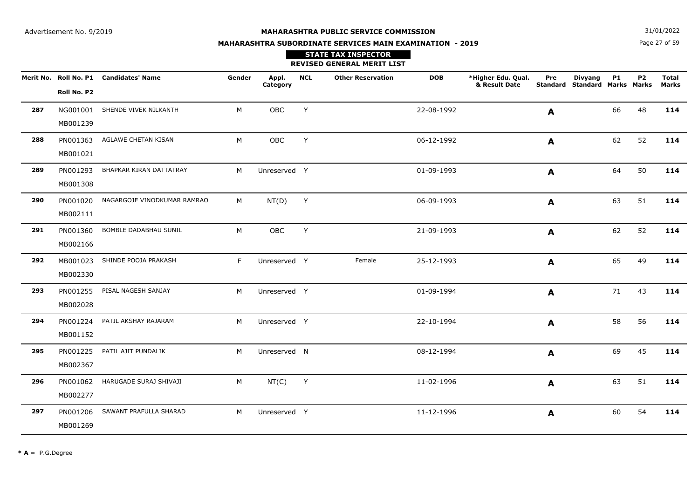**N**  $31/01/2022$ 

# **MAHARASHTRA SUBORDINATE SERVICES MAIN EXAMINATION - 2019STATE TAX INSPECTOR**

Page 27 of 59

|     |                      |                                        |        |                   |            | <b>REVISED GENERAL MERIT LIST</b> |            |                                     |     |                                                        |           |           |                              |
|-----|----------------------|----------------------------------------|--------|-------------------|------------|-----------------------------------|------------|-------------------------------------|-----|--------------------------------------------------------|-----------|-----------|------------------------------|
|     | Roll No. P2          | Merit No. Roll No. P1 Candidates' Name | Gender | Appl.<br>Category | <b>NCL</b> | <b>Other Reservation</b>          | <b>DOB</b> | *Higher Edu. Qual.<br>& Result Date | Pre | <b>Divyang</b><br><b>Standard Standard Marks Marks</b> | <b>P1</b> | <b>P2</b> | <b>Total</b><br><b>Marks</b> |
| 287 | NG001001<br>MB001239 | SHENDE VIVEK NILKANTH                  | M      | OBC               | Y          |                                   | 22-08-1992 |                                     | A   |                                                        | 66        | 48        | 114                          |
| 288 | MB001021             | PN001363 AGLAWE CHETAN KISAN           | М      | OBC               | Y          |                                   | 06-12-1992 |                                     | A   |                                                        | 62        | 52        | 114                          |
| 289 | PN001293<br>MB001308 | BHAPKAR KIRAN DATTATRAY                | M      | Unreserved Y      |            |                                   | 01-09-1993 |                                     | A   |                                                        | 64        | 50        | 114                          |
| 290 | MB002111             | PN001020 NAGARGOJE VINODKUMAR RAMRAO   | M      | NT(D)             | Y          |                                   | 06-09-1993 |                                     | A   |                                                        | 63        | 51        | 114                          |
| 291 | PN001360<br>MB002166 | BOMBLE DADABHAU SUNIL                  | М      | OBC               | Y          |                                   | 21-09-1993 |                                     | A   |                                                        | 62        | 52        | 114                          |
| 292 | MB001023<br>MB002330 | SHINDE POOJA PRAKASH                   | F      | Unreserved Y      |            | Female                            | 25-12-1993 |                                     | A   |                                                        | 65        | 49        | 114                          |
| 293 | PN001255<br>MB002028 | PISAL NAGESH SANJAY                    | M      | Unreserved Y      |            |                                   | 01-09-1994 |                                     | A   |                                                        | 71        | 43        | 114                          |
| 294 | PN001224<br>MB001152 | PATIL AKSHAY RAJARAM                   | M      | Unreserved Y      |            |                                   | 22-10-1994 |                                     | A   |                                                        | 58        | 56        | 114                          |
| 295 | PN001225<br>MB002367 | PATIL AJIT PUNDALIK                    | M      | Unreserved N      |            |                                   | 08-12-1994 |                                     | A   |                                                        | 69        | 45        | 114                          |
| 296 | PN001062<br>MB002277 | HARUGADE SURAJ SHIVAJI                 | М      | NT(C)             | Y          |                                   | 11-02-1996 |                                     | A   |                                                        | 63        | 51        | 114                          |
| 297 | PN001206<br>MB001269 | SAWANT PRAFULLA SHARAD                 | M      | Unreserved Y      |            |                                   | 11-12-1996 |                                     | A   |                                                        | 60        | 54        | 114                          |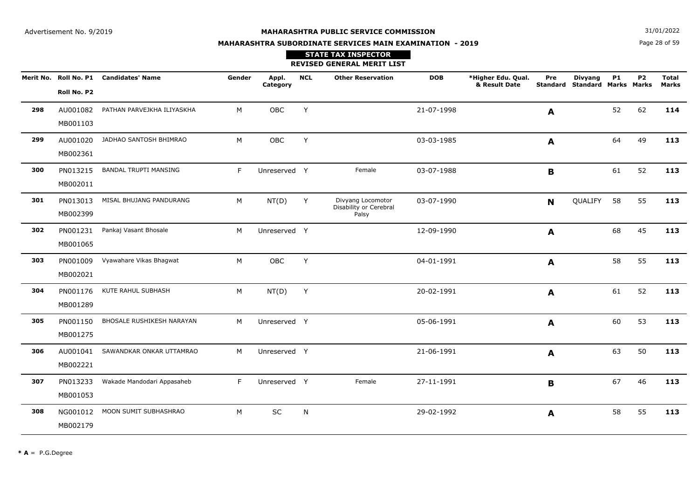Page 28 of 59**N**  $31/01/2022$ 

# **MAHARASHTRA SUBORDINATE SERVICES MAIN EXAMINATION - 2019**

# **STATE TAX INSPECTOR**

#### **REVISED GENERAL MERIT LIST**

|     |             | Merit No. Roll No. P1 Candidates' Name | Gender | Appl.<br>Category | <b>NCL</b> | <b>Other Reservation</b>                    | <b>DOB</b> | *Higher Edu. Qual.<br>& Result Date | Pre              | <b>Divyang</b><br><b>Standard Standard Marks Marks</b> | <b>P1</b> | <b>P2</b> | <b>Total</b><br><b>Marks</b> |
|-----|-------------|----------------------------------------|--------|-------------------|------------|---------------------------------------------|------------|-------------------------------------|------------------|--------------------------------------------------------|-----------|-----------|------------------------------|
|     | Roll No. P2 |                                        |        |                   |            |                                             |            |                                     |                  |                                                        |           |           |                              |
| 298 | AU001082    | PATHAN PARVEJKHA ILIYASKHA             | M      | OBC               | Y          |                                             | 21-07-1998 |                                     | A                |                                                        | 52        | 62        | 114                          |
|     | MB001103    |                                        |        |                   |            |                                             |            |                                     |                  |                                                        |           |           |                              |
| 299 | AU001020    | JADHAO SANTOSH BHIMRAO                 | М      | OBC               | Y          |                                             | 03-03-1985 |                                     | $\blacktriangle$ |                                                        | 64        | 49        | 113                          |
|     | MB002361    |                                        |        |                   |            |                                             |            |                                     |                  |                                                        |           |           |                              |
| 300 | PN013215    | <b>BANDAL TRUPTI MANSING</b>           | F.     | Unreserved Y      |            | Female                                      | 03-07-1988 |                                     | B                |                                                        | 61        | 52        | 113                          |
|     | MB002011    |                                        |        |                   |            |                                             |            |                                     |                  |                                                        |           |           |                              |
| 301 | PN013013    | MISAL BHUJANG PANDURANG                | М      | NT(D)             | Y          | Divyang Locomotor<br>Disability or Cerebral | 03-07-1990 |                                     | N                | QUALIFY                                                | 58        | 55        | 113                          |
|     | MB002399    |                                        |        |                   |            | Palsy                                       |            |                                     |                  |                                                        |           |           |                              |
| 302 | PN001231    | Pankaj Vasant Bhosale                  | М      | Unreserved Y      |            |                                             | 12-09-1990 |                                     | A                |                                                        | 68        | 45        | 113                          |
|     | MB001065    |                                        |        |                   |            |                                             |            |                                     |                  |                                                        |           |           |                              |
| 303 | PN001009    | Vyawahare Vikas Bhagwat                | M      | OBC               | Y          |                                             | 04-01-1991 |                                     | A                |                                                        | 58        | 55        | 113                          |
|     | MB002021    |                                        |        |                   |            |                                             |            |                                     |                  |                                                        |           |           |                              |
| 304 | PN001176    | KUTE RAHUL SUBHASH                     | М      | NT(D)             | Y          |                                             | 20-02-1991 |                                     | A                |                                                        | 61        | 52        | 113                          |
|     | MB001289    |                                        |        |                   |            |                                             |            |                                     |                  |                                                        |           |           |                              |
| 305 | PN001150    | BHOSALE RUSHIKESH NARAYAN              | M      | Unreserved Y      |            |                                             | 05-06-1991 |                                     | A                |                                                        | 60        | 53        | 113                          |
|     | MB001275    |                                        |        |                   |            |                                             |            |                                     |                  |                                                        |           |           |                              |
| 306 | AU001041    | SAWANDKAR ONKAR UTTAMRAO               | M      | Unreserved Y      |            |                                             | 21-06-1991 |                                     | A                |                                                        | 63        | 50        | 113                          |
|     | MB002221    |                                        |        |                   |            |                                             |            |                                     |                  |                                                        |           |           |                              |
| 307 | PN013233    | Wakade Mandodari Appasaheb             | F.     | Unreserved Y      |            | Female                                      | 27-11-1991 |                                     | B                |                                                        | 67        | 46        | 113                          |
|     | MB001053    |                                        |        |                   |            |                                             |            |                                     |                  |                                                        |           |           |                              |
| 308 | NG001012    | MOON SUMIT SUBHASHRAO                  | M      | <b>SC</b>         | N          |                                             | 29-02-1992 |                                     | A                |                                                        | 58        | 55        | 113                          |
|     | MB002179    |                                        |        |                   |            |                                             |            |                                     |                  |                                                        |           |           |                              |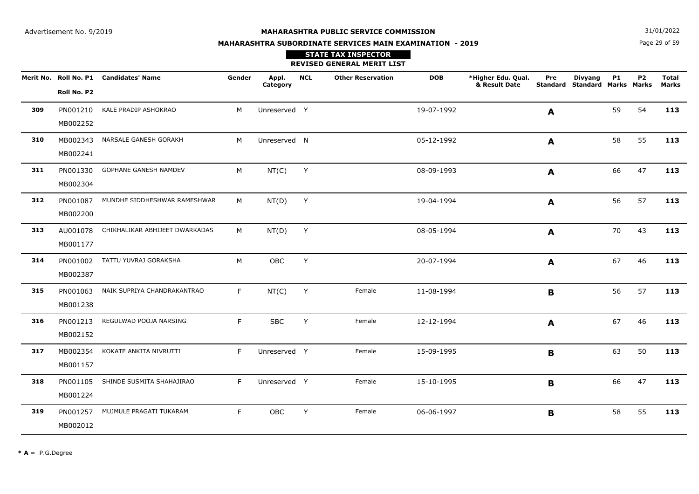**N**  $31/01/2022$ 

# **MAHARASHTRA SUBORDINATE SERVICES MAIN EXAMINATION - 2019**

## Page 29 of 59

|     |                      |                                        |        |                   |            | <b>STATE TAX INSPECTOR</b><br><b>REVISED GENERAL MERIT LIST</b> |            |                                     |                        |                                               |           |                |                              |
|-----|----------------------|----------------------------------------|--------|-------------------|------------|-----------------------------------------------------------------|------------|-------------------------------------|------------------------|-----------------------------------------------|-----------|----------------|------------------------------|
|     | Roll No. P2          | Merit No. Roll No. P1 Candidates' Name | Gender | Appl.<br>Category | <b>NCL</b> | <b>Other Reservation</b>                                        | <b>DOB</b> | *Higher Edu. Qual.<br>& Result Date | Pre<br><b>Standard</b> | <b>Divyang</b><br><b>Standard Marks Marks</b> | <b>P1</b> | P <sub>2</sub> | <b>Total</b><br><b>Marks</b> |
| 309 | PN001210<br>MB002252 | KALE PRADIP ASHOKRAO                   | M      | Unreserved Y      |            |                                                                 | 19-07-1992 |                                     | A                      |                                               | 59        | 54             | 113                          |
| 310 | MB002343<br>MB002241 | NARSALE GANESH GORAKH                  | M      | Unreserved N      |            |                                                                 | 05-12-1992 |                                     | $\blacktriangle$       |                                               | 58        | 55             | 113                          |
| 311 | PN001330<br>MB002304 | GOPHANE GANESH NAMDEV                  | M      | NT(C)             | Y          |                                                                 | 08-09-1993 |                                     | A                      |                                               | 66        | 47             | 113                          |
| 312 | PN001087<br>MB002200 | MUNDHE SIDDHESHWAR RAMESHWAR           | М      | NT(D)             | Y          |                                                                 | 19-04-1994 |                                     | A                      |                                               | 56        | 57             | 113                          |
| 313 | AU001078<br>MB001177 | CHIKHALIKAR ABHIJEET DWARKADAS         | М      | NT(D)             | Y          |                                                                 | 08-05-1994 |                                     | A                      |                                               | 70        | 43             | 113                          |
| 314 | PN001002<br>MB002387 | TATTU YUVRAJ GORAKSHA                  | M      | OBC               | Y          |                                                                 | 20-07-1994 |                                     | A                      |                                               | 67        | 46             | 113                          |
| 315 | PN001063<br>MB001238 | NAIK SUPRIYA CHANDRAKANTRAO            | F.     | NT(C)             | Y          | Female                                                          | 11-08-1994 |                                     | В                      |                                               | 56        | 57             | 113                          |
| 316 | PN001213<br>MB002152 | REGULWAD POOJA NARSING                 | F.     | <b>SBC</b>        | Y          | Female                                                          | 12-12-1994 |                                     | A                      |                                               | 67        | 46             | 113                          |
| 317 | MB002354<br>MB001157 | KOKATE ANKITA NIVRUTTI                 | F.     | Unreserved Y      |            | Female                                                          | 15-09-1995 |                                     | B                      |                                               | 63        | 50             | 113                          |
| 318 | PN001105<br>MB001224 | SHINDE SUSMITA SHAHAJIRAO              | F.     | Unreserved Y      |            | Female                                                          | 15-10-1995 |                                     | B                      |                                               | 66        | 47             | 113                          |
| 319 | PN001257<br>MB002012 | MUJMULE PRAGATI TUKARAM                | F      | OBC               | Y          | Female                                                          | 06-06-1997 |                                     | B                      |                                               | 58        | 55             | 113                          |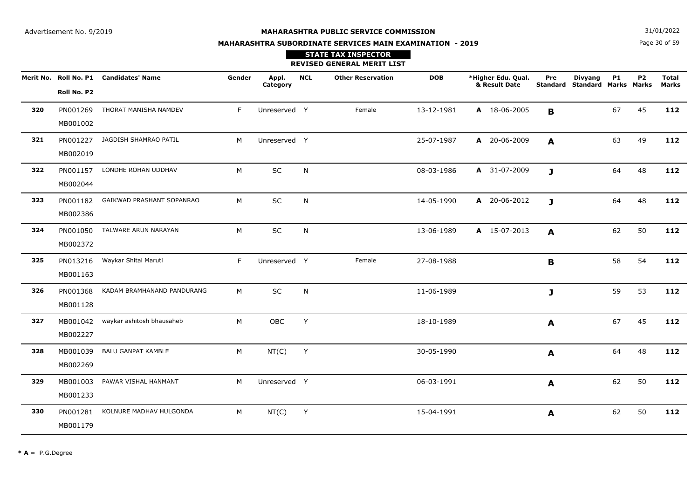**N**  $31/01/2022$ 

# **MAHARASHTRA SUBORDINATE SERVICES MAIN EXAMINATION - 2019**

## Page 30 of 59

|     |                      |                                        |        |                   |            | <b>STATE TAX INSPECTOR</b><br><b>REVISED GENERAL MERIT LIST</b> |            |                                     |              |                                                 |           |                |                              |
|-----|----------------------|----------------------------------------|--------|-------------------|------------|-----------------------------------------------------------------|------------|-------------------------------------|--------------|-------------------------------------------------|-----------|----------------|------------------------------|
|     | Roll No. P2          | Merit No. Roll No. P1 Candidates' Name | Gender | Appl.<br>Category | <b>NCL</b> | <b>Other Reservation</b>                                        | <b>DOB</b> | *Higher Edu. Qual.<br>& Result Date | Pre          | <b>Divyang</b><br>Standard Standard Marks Marks | <b>P1</b> | P <sub>2</sub> | <b>Total</b><br><b>Marks</b> |
| 320 | MB001002             | PN001269 THORAT MANISHA NAMDEV         | F.     | Unreserved Y      |            | Female                                                          | 13-12-1981 | A 18-06-2005                        | B            |                                                 | 67        | 45             | 112                          |
| 321 | MB002019             | PN001227 JAGDISH SHAMRAO PATIL         | M      | Unreserved Y      |            |                                                                 | 25-07-1987 | A 20-06-2009                        | A            |                                                 | 63        | 49             | 112                          |
| 322 | MB002044             | PN001157 LONDHE ROHAN UDDHAV           | M      | SC                | N          |                                                                 | 08-03-1986 | A 31-07-2009                        | $\mathbf{J}$ |                                                 | 64        | 48             | 112                          |
| 323 | PN001182<br>MB002386 | GAIKWAD PRASHANT SOPANRAO              | M      | SC                | N          |                                                                 | 14-05-1990 | A 20-06-2012                        | J            |                                                 | 64        | 48             | 112                          |
| 324 | MB002372             | PN001050 TALWARE ARUN NARAYAN          | M      | SC                | N          |                                                                 | 13-06-1989 | A 15-07-2013                        | A            |                                                 | 62        | 50             | 112                          |
| 325 | MB001163             | PN013216 Waykar Shital Maruti          | F      | Unreserved Y      |            | Female                                                          | 27-08-1988 |                                     | B            |                                                 | 58        | 54             | 112                          |
| 326 | MB001128             | PN001368 KADAM BRAMHANAND PANDURANG    | M      | <b>SC</b>         | N          |                                                                 | 11-06-1989 |                                     | $\mathbf{J}$ |                                                 | 59        | 53             | 112                          |
| 327 | MB002227             | MB001042 waykar ashitosh bhausaheb     | M      | OBC               | Y          |                                                                 | 18-10-1989 |                                     | A            |                                                 | 67        | 45             | 112                          |
| 328 | MB002269             | MB001039 BALU GANPAT KAMBLE            | M      | NT(C)             | Y          |                                                                 | 30-05-1990 |                                     | A            |                                                 | 64        | 48             | 112                          |
| 329 | MB001233             | MB001003 PAWAR VISHAL HANMANT          | M      | Unreserved Y      |            |                                                                 | 06-03-1991 |                                     | $\mathbf{A}$ |                                                 | 62        | 50             | 112                          |
| 330 | MB001179             | PN001281 KOLNURE MADHAV HULGONDA       | M      | NT(C)             | Y          |                                                                 | 15-04-1991 |                                     | A            |                                                 | 62        | 50             | 112                          |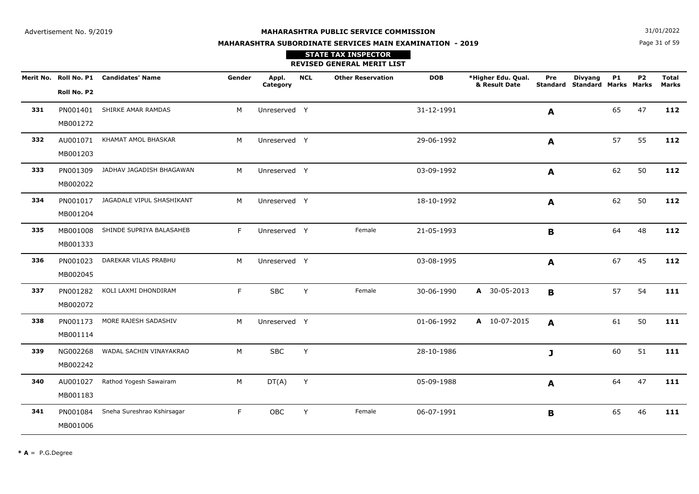**N**  $31/01/2022$ 

# **MAHARASHTRA SUBORDINATE SERVICES MAIN EXAMINATION - 2019STATE TAX INSPECTOR**

Page 31 of 59

|     |                      |                                        |        |                   |            | <b>REVISED GENERAL MERIT LIST</b> |            |                                     |             |                                                 |    |                |                       |
|-----|----------------------|----------------------------------------|--------|-------------------|------------|-----------------------------------|------------|-------------------------------------|-------------|-------------------------------------------------|----|----------------|-----------------------|
|     | Roll No. P2          | Merit No. Roll No. P1 Candidates' Name | Gender | Appl.<br>Category | <b>NCL</b> | <b>Other Reservation</b>          | <b>DOB</b> | *Higher Edu. Qual.<br>& Result Date | Pre         | <b>Divyang</b><br>Standard Standard Marks Marks | P1 | P <sub>2</sub> | <b>Total</b><br>Marks |
| 331 | PN001401<br>MB001272 | SHIRKE AMAR RAMDAS                     | M      | Unreserved Y      |            |                                   | 31-12-1991 |                                     | A           |                                                 | 65 | 47             | 112                   |
| 332 | MB001203             | AU001071 KHAMAT AMOL BHASKAR           | M      | Unreserved Y      |            |                                   | 29-06-1992 |                                     | A           |                                                 | 57 | 55             | 112                   |
| 333 | PN001309<br>MB002022 | JADHAV JAGADISH BHAGAWAN               | M      | Unreserved Y      |            |                                   | 03-09-1992 |                                     | A           |                                                 | 62 | 50             | 112                   |
| 334 | PN001017<br>MB001204 | JAGADALE VIPUL SHASHIKANT              | M      | Unreserved Y      |            |                                   | 18-10-1992 |                                     | A           |                                                 | 62 | 50             | 112                   |
| 335 | MB001008<br>MB001333 | SHINDE SUPRIYA BALASAHEB               | F.     | Unreserved Y      |            | Female                            | 21-05-1993 |                                     | B           |                                                 | 64 | 48             | 112                   |
| 336 | PN001023<br>MB002045 | DAREKAR VILAS PRABHU                   | M      | Unreserved Y      |            |                                   | 03-08-1995 |                                     | A           |                                                 | 67 | 45             | 112                   |
| 337 | PN001282<br>MB002072 | KOLI LAXMI DHONDIRAM                   | F.     | <b>SBC</b>        | Y          | Female                            | 30-06-1990 | A 30-05-2013                        | B           |                                                 | 57 | 54             | 111                   |
| 338 | PN001173<br>MB001114 | MORE RAJESH SADASHIV                   | M      | Unreserved Y      |            |                                   | 01-06-1992 | A 10-07-2015                        | A           |                                                 | 61 | 50             | 111                   |
| 339 | NG002268<br>MB002242 | WADAL SACHIN VINAYAKRAO                | M      | <b>SBC</b>        | Y          |                                   | 28-10-1986 |                                     | J           |                                                 | 60 | 51             | 111                   |
| 340 | AU001027<br>MB001183 | Rathod Yogesh Sawairam                 | M      | DT(A)             | Y          |                                   | 05-09-1988 |                                     | A           |                                                 | 64 | 47             | 111                   |
| 341 | PN001084<br>MB001006 | Sneha Sureshrao Kshirsagar             | F      | OBC               | Y          | Female                            | 06-07-1991 |                                     | $\mathbf B$ |                                                 | 65 | 46             | 111                   |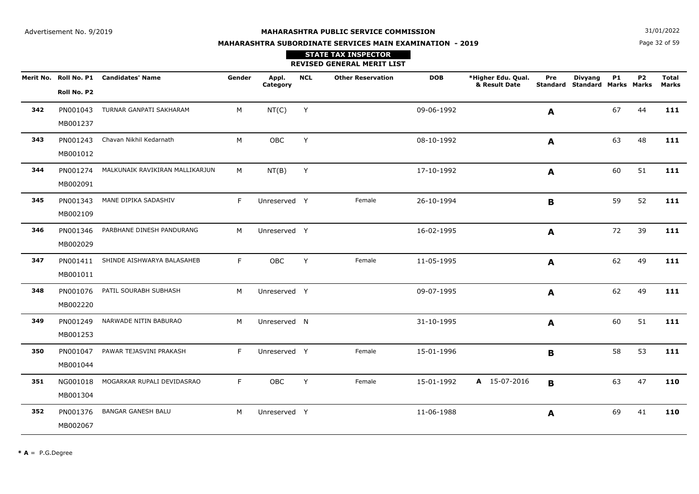**N**  $31/01/2022$ 

# **MAHARASHTRA SUBORDINATE SERVICES MAIN EXAMINATION - 2019**

Page 32 of 59

|     |                      |                                          |        |                   |            | <b>STATE TAX INSPECTOR</b><br><b>REVISED GENERAL MERIT LIST</b> |            |                                     |     |                                                 |           |           |                       |
|-----|----------------------|------------------------------------------|--------|-------------------|------------|-----------------------------------------------------------------|------------|-------------------------------------|-----|-------------------------------------------------|-----------|-----------|-----------------------|
|     | Roll No. P2          | Merit No. Roll No. P1 Candidates' Name   | Gender | Appl.<br>Category | <b>NCL</b> | <b>Other Reservation</b>                                        | <b>DOB</b> | *Higher Edu. Qual.<br>& Result Date | Pre | <b>Divyang</b><br>Standard Standard Marks Marks | <b>P1</b> | <b>P2</b> | <b>Total</b><br>Marks |
| 342 | MB001237             | PN001043 TURNAR GANPATI SAKHARAM         | M      | NT(C)             | Y          |                                                                 | 09-06-1992 |                                     | A   |                                                 | 67        | 44        | 111                   |
| 343 | PN001243<br>MB001012 | Chavan Nikhil Kedarnath                  | M      | <b>OBC</b>        | Y          |                                                                 | 08-10-1992 |                                     | A   |                                                 | 63        | 48        | 111                   |
| 344 | MB002091             | PN001274 MALKUNAIK RAVIKIRAN MALLIKARJUN | M      | NT(B)             | Y          |                                                                 | 17-10-1992 |                                     | A   |                                                 | 60        | 51        | 111                   |
| 345 | MB002109             | PN001343 MANE DIPIKA SADASHIV            | F      | Unreserved Y      |            | Female                                                          | 26-10-1994 |                                     | B   |                                                 | 59        | 52        | 111                   |
| 346 | PN001346<br>MB002029 | PARBHANE DINESH PANDURANG                | M      | Unreserved Y      |            |                                                                 | 16-02-1995 |                                     | A   |                                                 | 72        | 39        | 111                   |
| 347 | MB001011             | PN001411 SHINDE AISHWARYA BALASAHEB      | F.     | OBC               | Y          | Female                                                          | 11-05-1995 |                                     | A   |                                                 | 62        | 49        | 111                   |
| 348 | PN001076<br>MB002220 | PATIL SOURABH SUBHASH                    | M      | Unreserved Y      |            |                                                                 | 09-07-1995 |                                     | A   |                                                 | 62        | 49        | 111                   |
| 349 | MB001253             | PN001249 NARWADE NITIN BABURAO           | M      | Unreserved N      |            |                                                                 | 31-10-1995 |                                     | A   |                                                 | 60        | 51        | 111                   |
| 350 | PN001047<br>MB001044 | PAWAR TEJASVINI PRAKASH                  | F      | Unreserved Y      |            | Female                                                          | 15-01-1996 |                                     | B   |                                                 | 58        | 53        | 111                   |
| 351 | NG001018<br>MB001304 | MOGARKAR RUPALI DEVIDASRAO               | F      | <b>OBC</b>        | Y          | Female                                                          | 15-01-1992 | A 15-07-2016                        | B   |                                                 | 63        | 47        | 110                   |
| 352 | PN001376<br>MB002067 | <b>BANGAR GANESH BALU</b>                | M      | Unreserved Y      |            |                                                                 | 11-06-1988 |                                     | A   |                                                 | 69        | 41        | 110                   |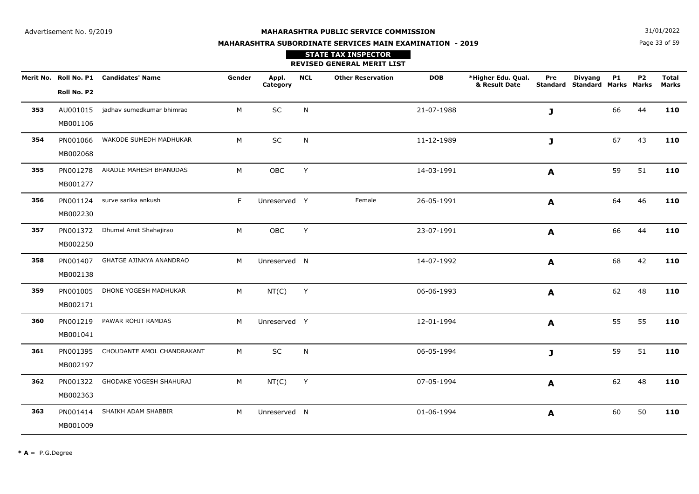Page 33 of 59**N**  $31/01/2022$ 

# **MAHARASHTRA SUBORDINATE SERVICES MAIN EXAMINATION - 2019**

|     |             | Merit No. Roll No. P1 Candidates' Name | Gender | Appl.<br>Category | <b>NCL</b> | <b>Other Reservation</b> | <b>DOB</b> | *Higher Edu. Qual.<br>& Result Date | Pre              | <b>Divyang</b><br>Standard Standard Marks Marks | <b>P1</b> | P <sub>2</sub> | <b>Total</b><br><b>Marks</b> |
|-----|-------------|----------------------------------------|--------|-------------------|------------|--------------------------|------------|-------------------------------------|------------------|-------------------------------------------------|-----------|----------------|------------------------------|
|     | Roll No. P2 |                                        |        |                   |            |                          |            |                                     |                  |                                                 |           |                |                              |
| 353 | AU001015    | jadhav sumedkumar bhimrao              | M      | SC                | N          |                          | 21-07-1988 |                                     | J                |                                                 | 66        | 44             | 110                          |
|     | MB001106    |                                        |        |                   |            |                          |            |                                     |                  |                                                 |           |                |                              |
| 354 | PN001066    | WAKODE SUMEDH MADHUKAR                 | M      | SC                | N          |                          | 11-12-1989 |                                     | J                |                                                 | 67        | 43             | 110                          |
|     | MB002068    |                                        |        |                   |            |                          |            |                                     |                  |                                                 |           |                |                              |
| 355 |             | PN001278 ARADLE MAHESH BHANUDAS        | M      | OBC               | Y          |                          | 14-03-1991 |                                     | A                |                                                 | 59        | 51             | 110                          |
|     | MB001277    |                                        |        |                   |            |                          |            |                                     |                  |                                                 |           |                |                              |
| 356 |             | PN001124 surve sarika ankush           | F.     | Unreserved Y      |            | Female                   | 26-05-1991 |                                     | A                |                                                 | 64        | 46             | 110                          |
|     | MB002230    |                                        |        |                   |            |                          |            |                                     |                  |                                                 |           |                |                              |
| 357 | PN001372    | Dhumal Amit Shahajirao                 | M      | OBC               | Y          |                          | 23-07-1991 |                                     | A                |                                                 | 66        | 44             | 110                          |
|     | MB002250    |                                        |        |                   |            |                          |            |                                     |                  |                                                 |           |                |                              |
| 358 | PN001407    | GHATGE AJINKYA ANANDRAO                | M      | Unreserved N      |            |                          | 14-07-1992 |                                     | A                |                                                 | 68        | 42             | 110                          |
|     | MB002138    |                                        |        |                   |            |                          |            |                                     |                  |                                                 |           |                |                              |
| 359 | PN001005    | DHONE YOGESH MADHUKAR                  | M      | NT(C)             | Y          |                          | 06-06-1993 |                                     | $\blacktriangle$ |                                                 | 62        | 48             | 110                          |
|     | MB002171    |                                        |        |                   |            |                          |            |                                     |                  |                                                 |           |                |                              |
| 360 | PN001219    | PAWAR ROHIT RAMDAS                     | M      | Unreserved Y      |            |                          | 12-01-1994 |                                     | A                |                                                 | 55        | 55             | 110                          |
|     | MB001041    |                                        |        |                   |            |                          |            |                                     |                  |                                                 |           |                |                              |
| 361 | PN001395    | CHOUDANTE AMOL CHANDRAKANT             | M      | SC                | N          |                          | 06-05-1994 |                                     | J                |                                                 | 59        | 51             | 110                          |
|     | MB002197    |                                        |        |                   |            |                          |            |                                     |                  |                                                 |           |                |                              |
| 362 | PN001322    | GHODAKE YOGESH SHAHURAJ                | M      | NT(C)             | Y          |                          | 07-05-1994 |                                     | A                |                                                 | 62        | 48             | 110                          |
|     | MB002363    |                                        |        |                   |            |                          |            |                                     |                  |                                                 |           |                |                              |
| 363 | PN001414    | SHAIKH ADAM SHABBIR                    | M      | Unreserved N      |            |                          | 01-06-1994 |                                     | A                |                                                 | 60        | 50             | 110                          |
|     | MB001009    |                                        |        |                   |            |                          |            |                                     |                  |                                                 |           |                |                              |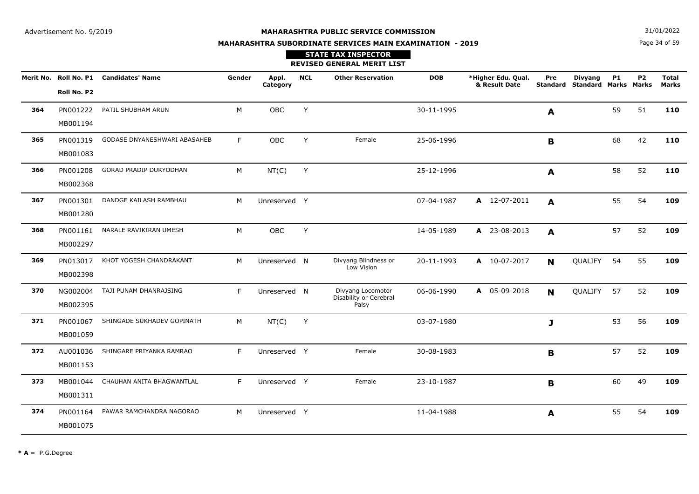Page 34 of 59**N**  $31/01/2022$ 

# **MAHARASHTRA SUBORDINATE SERVICES MAIN EXAMINATION - 2019**

|     | Merit No. Roll No. P1 | <b>Candidates' Name</b>       | Gender | Appl.        | <b>NCL</b> | <b>Other Reservation</b>                    | <b>DOB</b> | *Higher Edu. Qual.<br>& Result Date | Pre<br><b>Standard</b> | <b>Divyang</b><br><b>Standard Marks Marks</b> | <b>P1</b> | P <sub>2</sub> | <b>Total</b><br><b>Marks</b> |
|-----|-----------------------|-------------------------------|--------|--------------|------------|---------------------------------------------|------------|-------------------------------------|------------------------|-----------------------------------------------|-----------|----------------|------------------------------|
|     | Roll No. P2           |                               |        | Category     |            |                                             |            |                                     |                        |                                               |           |                |                              |
| 364 | PN001222              | PATIL SHUBHAM ARUN            | M      | OBC          | Y          |                                             | 30-11-1995 |                                     | A                      |                                               | 59        | 51             | 110                          |
|     | MB001194              |                               |        |              |            |                                             |            |                                     |                        |                                               |           |                |                              |
| 365 | PN001319              | GODASE DNYANESHWARI ABASAHEB  | F.     | OBC          | Y          | Female                                      | 25-06-1996 |                                     | B                      |                                               | 68        | 42             | 110                          |
|     | MB001083              |                               |        |              |            |                                             |            |                                     |                        |                                               |           |                |                              |
| 366 | PN001208              | <b>GORAD PRADIP DURYODHAN</b> | M      | NT(C)        | Y          |                                             | 25-12-1996 |                                     | A                      |                                               | 58        | 52             | 110                          |
|     | MB002368              |                               |        |              |            |                                             |            |                                     |                        |                                               |           |                |                              |
| 367 | PN001301              | DANDGE KAILASH RAMBHAU        | M      | Unreserved Y |            |                                             | 07-04-1987 | A 12-07-2011                        | A                      |                                               | 55        | 54             | 109                          |
|     | MB001280              |                               |        |              |            |                                             |            |                                     |                        |                                               |           |                |                              |
| 368 | PN001161              | NARALE RAVIKIRAN UMESH        | М      | OBC          | Y          |                                             | 14-05-1989 | A 23-08-2013                        | A                      |                                               | 57        | 52             | 109                          |
|     | MB002297              |                               |        |              |            |                                             |            |                                     |                        |                                               |           |                |                              |
| 369 | PN013017              | KHOT YOGESH CHANDRAKANT       | м      | Unreserved N |            | Divyang Blindness or<br>Low Vision          | 20-11-1993 | A 10-07-2017                        | N                      | QUALIFY                                       | 54        | 55             | 109                          |
|     | MB002398              |                               |        |              |            |                                             |            |                                     |                        |                                               |           |                |                              |
| 370 | NG002004              | TAJI PUNAM DHANRAJSING        | F      | Unreserved N |            | Divyang Locomotor<br>Disability or Cerebral | 06-06-1990 | A 05-09-2018                        | N                      | <b>QUALIFY</b>                                | 57        | 52             | 109                          |
|     | MB002395              |                               |        |              |            | Palsy                                       |            |                                     |                        |                                               |           |                |                              |
| 371 | PN001067              | SHINGADE SUKHADEV GOPINATH    | M      | NT(C)        | Y          |                                             | 03-07-1980 |                                     | J                      |                                               | 53        | 56             | 109                          |
|     | MB001059              |                               |        |              |            |                                             |            |                                     |                        |                                               |           |                |                              |
| 372 | AU001036              | SHINGARE PRIYANKA RAMRAO      | F      | Unreserved Y |            | Female                                      | 30-08-1983 |                                     | $\mathbf B$            |                                               | 57        | 52             | 109                          |
|     | MB001153              |                               |        |              |            |                                             |            |                                     |                        |                                               |           |                |                              |
| 373 | MB001044              | CHAUHAN ANITA BHAGWANTLAL     | F.     | Unreserved Y |            | Female                                      | 23-10-1987 |                                     | B                      |                                               | 60        | 49             | 109                          |
|     | MB001311              |                               |        |              |            |                                             |            |                                     |                        |                                               |           |                |                              |
| 374 | PN001164              | PAWAR RAMCHANDRA NAGORAO      | M      | Unreserved Y |            |                                             | 11-04-1988 |                                     | A                      |                                               | 55        | 54             | 109                          |
|     | MB001075              |                               |        |              |            |                                             |            |                                     |                        |                                               |           |                |                              |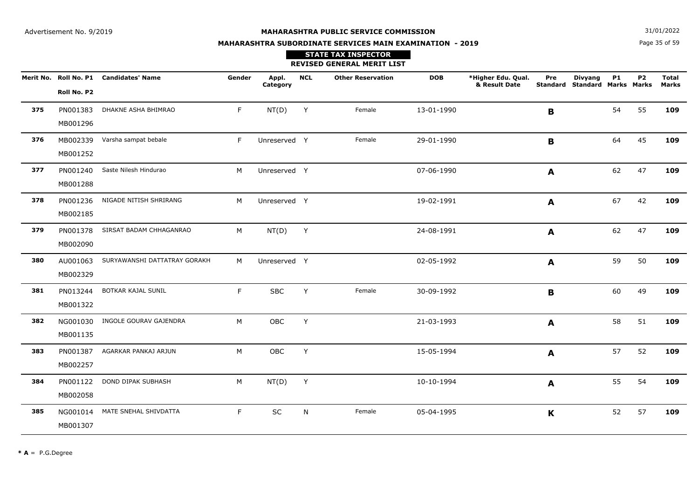Page 35 of 59**N**  $31/01/2022$ 

# **MAHARASHTRA SUBORDINATE SERVICES MAIN EXAMINATION - 2019**

|     |             | Merit No. Roll No. P1 Candidates' Name | Gender | Appl.<br>Category | <b>NCL</b> | <b>Other Reservation</b> | <b>DOB</b> | *Higher Edu. Qual.<br>& Result Date | Pre          | <b>Divyang</b><br>Standard Standard Marks Marks | <b>P1</b> | P <sub>2</sub> | <b>Total</b><br><b>Marks</b> |
|-----|-------------|----------------------------------------|--------|-------------------|------------|--------------------------|------------|-------------------------------------|--------------|-------------------------------------------------|-----------|----------------|------------------------------|
|     | Roll No. P2 |                                        |        |                   |            |                          |            |                                     |              |                                                 |           |                |                              |
| 375 | PN001383    | DHAKNE ASHA BHIMRAO                    | F      | NT(D)             | Y          | Female                   | 13-01-1990 |                                     | $\mathbf B$  |                                                 | 54        | 55             | 109                          |
|     | MB001296    |                                        |        |                   |            |                          |            |                                     |              |                                                 |           |                |                              |
| 376 | MB002339    | Varsha sampat bebale                   | F      | Unreserved Y      |            | Female                   | 29-01-1990 |                                     | B            |                                                 | 64        | 45             | 109                          |
|     | MB001252    |                                        |        |                   |            |                          |            |                                     |              |                                                 |           |                |                              |
| 377 | PN001240    | Saste Nilesh Hindurao                  | M      | Unreserved Y      |            |                          | 07-06-1990 |                                     | A            |                                                 | 62        | 47             | 109                          |
|     | MB001288    |                                        |        |                   |            |                          |            |                                     |              |                                                 |           |                |                              |
| 378 | PN001236    | NIGADE NITISH SHRIRANG                 | M      | Unreserved Y      |            |                          | 19-02-1991 |                                     | A            |                                                 | 67        | 42             | 109                          |
|     | MB002185    |                                        |        |                   |            |                          |            |                                     |              |                                                 |           |                |                              |
| 379 | PN001378    | SIRSAT BADAM CHHAGANRAO                | М      | NT(D)             | Y          |                          | 24-08-1991 |                                     | A            |                                                 | 62        | 47             | 109                          |
|     | MB002090    |                                        |        |                   |            |                          |            |                                     |              |                                                 |           |                |                              |
| 380 | AU001063    | SURYAWANSHI DATTATRAY GORAKH           | M      | Unreserved Y      |            |                          | 02-05-1992 |                                     | A            |                                                 | 59        | 50             | 109                          |
|     | MB002329    |                                        |        |                   |            |                          |            |                                     |              |                                                 |           |                |                              |
| 381 | PN013244    | BOTKAR KAJAL SUNIL                     | F      | <b>SBC</b>        | Y          | Female                   | 30-09-1992 |                                     | $\mathbf B$  |                                                 | 60        | 49             | 109                          |
|     | MB001322    |                                        |        |                   |            |                          |            |                                     |              |                                                 |           |                |                              |
| 382 |             | NG001030 INGOLE GOURAV GAJENDRA        | M      | OBC               | Y          |                          | 21-03-1993 |                                     | $\mathbf{A}$ |                                                 | 58        | 51             | 109                          |
|     | MB001135    |                                        |        |                   |            |                          |            |                                     |              |                                                 |           |                |                              |
| 383 | PN001387    | AGARKAR PANKAJ ARJUN                   | M      | OBC               | Y          |                          | 15-05-1994 |                                     | $\mathbf{A}$ |                                                 | 57        | 52             | 109                          |
|     | MB002257    |                                        |        |                   |            |                          |            |                                     |              |                                                 |           |                |                              |
| 384 | PN001122    | DOND DIPAK SUBHASH                     | М      | NT(D)             | Y          |                          | 10-10-1994 |                                     | $\mathbf{A}$ |                                                 | 55        | 54             | 109                          |
|     | MB002058    |                                        |        |                   |            |                          |            |                                     |              |                                                 |           |                |                              |
| 385 | NG001014    | MATE SNEHAL SHIVDATTA                  | F.     | SC                | N          | Female                   | 05-04-1995 |                                     | $\mathbf K$  |                                                 | 52        | 57             | 109                          |
|     | MB001307    |                                        |        |                   |            |                          |            |                                     |              |                                                 |           |                |                              |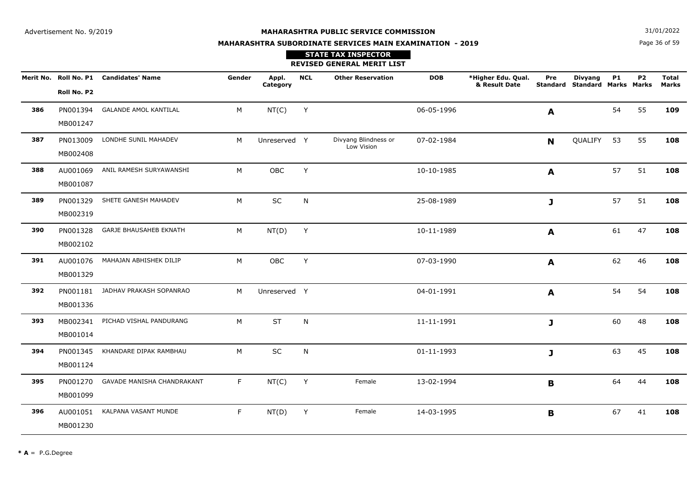**N**  $31/01/2022$ 

# **MAHARASHTRA SUBORDINATE SERVICES MAIN EXAMINATION - 2019STATE TAX INSPECTOR**

Page 36 of 59

|     |                      |                                        |        |                   |            | <b>REVISED GENERAL MERIT LIST</b>  |            |                                     |                        |                                               |           |           |                              |
|-----|----------------------|----------------------------------------|--------|-------------------|------------|------------------------------------|------------|-------------------------------------|------------------------|-----------------------------------------------|-----------|-----------|------------------------------|
|     | Roll No. P2          | Merit No. Roll No. P1 Candidates' Name | Gender | Appl.<br>Category | <b>NCL</b> | <b>Other Reservation</b>           | <b>DOB</b> | *Higher Edu. Qual.<br>& Result Date | Pre<br><b>Standard</b> | <b>Divyang</b><br><b>Standard Marks Marks</b> | <b>P1</b> | <b>P2</b> | <b>Total</b><br><b>Marks</b> |
| 386 | PN001394<br>MB001247 | <b>GALANDE AMOL KANTILAL</b>           | М      | NT(C)             | Y          |                                    | 06-05-1996 |                                     | A                      |                                               | 54        | 55        | 109                          |
| 387 | PN013009<br>MB002408 | LONDHE SUNIL MAHADEV                   | M      | Unreserved Y      |            | Divyang Blindness or<br>Low Vision | 07-02-1984 |                                     | $\mathbf N$            | QUALIFY                                       | 53        | 55        | 108                          |
| 388 | AU001069<br>MB001087 | ANIL RAMESH SURYAWANSHI                | M      | OBC               | Y          |                                    | 10-10-1985 |                                     | A                      |                                               | 57        | 51        | 108                          |
| 389 | PN001329<br>MB002319 | SHETE GANESH MAHADEV                   | M      | SC                | N          |                                    | 25-08-1989 |                                     | J                      |                                               | 57        | 51        | 108                          |
| 390 | PN001328<br>MB002102 | <b>GARJE BHAUSAHEB EKNATH</b>          | М      | NT(D)             | Y          |                                    | 10-11-1989 |                                     | A                      |                                               | 61        | 47        | 108                          |
| 391 | AU001076<br>MB001329 | MAHAJAN ABHISHEK DILIP                 | M      | OBC               | Y          |                                    | 07-03-1990 |                                     | $\mathbf{A}$           |                                               | 62        | 46        | 108                          |
| 392 | PN001181<br>MB001336 | JADHAV PRAKASH SOPANRAO                | M      | Unreserved Y      |            |                                    | 04-01-1991 |                                     | A                      |                                               | 54        | 54        | 108                          |
| 393 | MB002341<br>MB001014 | PICHAD VISHAL PANDURANG                | M      | <b>ST</b>         | N          |                                    | 11-11-1991 |                                     | J                      |                                               | 60        | 48        | 108                          |
| 394 | PN001345<br>MB001124 | KHANDARE DIPAK RAMBHAU                 | M      | SC                | N          |                                    | 01-11-1993 |                                     | J                      |                                               | 63        | 45        | 108                          |
| 395 | PN001270<br>MB001099 | GAVADE MANISHA CHANDRAKANT             | F.     | NT(C)             | Y          | Female                             | 13-02-1994 |                                     | B                      |                                               | 64        | 44        | 108                          |
| 396 | AU001051<br>MB001230 | KALPANA VASANT MUNDE                   | F.     | NT(D)             | Υ          | Female                             | 14-03-1995 |                                     | B                      |                                               | 67        | 41        | 108                          |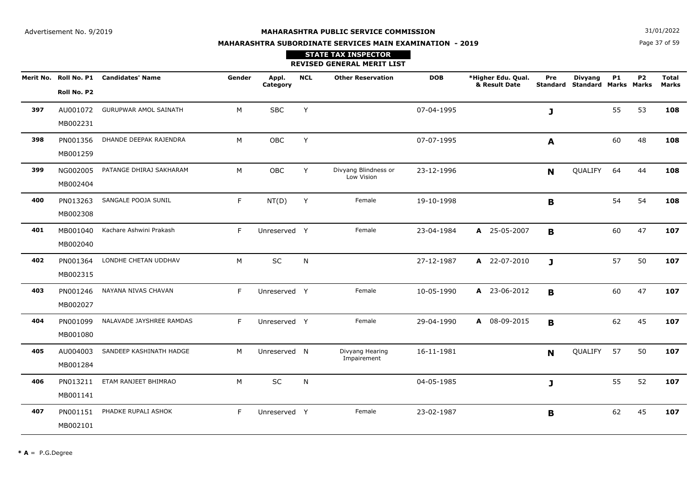**N**  $31/01/2022$ 

# **MAHARASHTRA SUBORDINATE SERVICES MAIN EXAMINATION - 2019STATE TAX INSPECTOR**

Page 37 of 59

|     |                      |                                        |        |                   |            | <b>REVISED GENERAL MERIT LIST</b>  |            |                                     |             |                                                 |           |                |                              |
|-----|----------------------|----------------------------------------|--------|-------------------|------------|------------------------------------|------------|-------------------------------------|-------------|-------------------------------------------------|-----------|----------------|------------------------------|
|     | Roll No. P2          | Merit No. Roll No. P1 Candidates' Name | Gender | Appl.<br>Category | <b>NCL</b> | <b>Other Reservation</b>           | <b>DOB</b> | *Higher Edu. Qual.<br>& Result Date | Pre         | <b>Divyang</b><br>Standard Standard Marks Marks | <b>P1</b> | P <sub>2</sub> | <b>Total</b><br><b>Marks</b> |
| 397 | AU001072<br>MB002231 | <b>GURUPWAR AMOL SAINATH</b>           | M      | <b>SBC</b>        | Y          |                                    | 07-04-1995 |                                     | J           |                                                 | 55        | 53             | 108                          |
| 398 | PN001356<br>MB001259 | DHANDE DEEPAK RAJENDRA                 | M      | OBC               | Y          |                                    | 07-07-1995 |                                     | A           |                                                 | 60        | 48             | 108                          |
| 399 | NG002005<br>MB002404 | PATANGE DHIRAJ SAKHARAM                | M      | <b>OBC</b>        | Y          | Divyang Blindness or<br>Low Vision | 23-12-1996 |                                     | N           | QUALIFY                                         | 64        | 44             | 108                          |
| 400 | PN013263<br>MB002308 | SANGALE POOJA SUNIL                    | F      | NT(D)             | Y          | Female                             | 19-10-1998 |                                     | $\mathbf B$ |                                                 | 54        | 54             | 108                          |
| 401 | MB001040<br>MB002040 | Kachare Ashwini Prakash                | F      | Unreserved Y      |            | Female                             | 23-04-1984 | A 25-05-2007                        | B           |                                                 | 60        | 47             | 107                          |
| 402 | PN001364<br>MB002315 | LONDHE CHETAN UDDHAV                   | M      | SC                | N          |                                    | 27-12-1987 | A 22-07-2010                        | J           |                                                 | 57        | 50             | 107                          |
| 403 | PN001246<br>MB002027 | NAYANA NIVAS CHAVAN                    | F      | Unreserved Y      |            | Female                             | 10-05-1990 | A 23-06-2012                        | B           |                                                 | 60        | 47             | 107                          |
| 404 | PN001099<br>MB001080 | NALAVADE JAYSHREE RAMDAS               | F      | Unreserved Y      |            | Female                             | 29-04-1990 | A 08-09-2015                        | B           |                                                 | 62        | 45             | 107                          |
| 405 | AU004003<br>MB001284 | SANDEEP KASHINATH HADGE                | M      | Unreserved N      |            | Divyang Hearing<br>Impairement     | 16-11-1981 |                                     | N           | QUALIFY                                         | 57        | 50             | 107                          |
| 406 | PN013211<br>MB001141 | ETAM RANJEET BHIMRAO                   | M      | SC                | N          |                                    | 04-05-1985 |                                     | J           |                                                 | 55        | 52             | 107                          |
| 407 | PN001151<br>MB002101 | PHADKE RUPALI ASHOK                    | F      | Unreserved Y      |            | Female                             | 23-02-1987 |                                     | B           |                                                 | 62        | 45             | 107                          |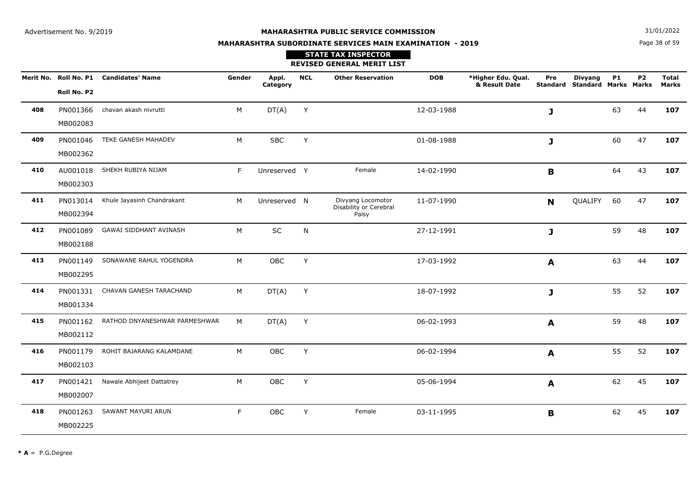**N**  $31/01/2022$ 

# **MAHARASHTRA SUBORDINATE SERVICES MAIN EXAMINATION - 2019STATE TAX INSPECTOR**

|     |                      |                                        |        |                   |            | <b>REVISED GENERAL MERIT LIST</b>                    |            |                                     |              |                                                        |           |           |                              |
|-----|----------------------|----------------------------------------|--------|-------------------|------------|------------------------------------------------------|------------|-------------------------------------|--------------|--------------------------------------------------------|-----------|-----------|------------------------------|
|     | Roll No. P2          | Merit No. Roll No. P1 Candidates' Name | Gender | Appl.<br>Category | <b>NCL</b> | <b>Other Reservation</b>                             | <b>DOB</b> | *Higher Edu. Qual.<br>& Result Date | Pre          | <b>Divyang</b><br><b>Standard Standard Marks Marks</b> | <b>P1</b> | <b>P2</b> | <b>Total</b><br><b>Marks</b> |
| 408 | PN001366<br>MB002083 | chavan akash nivrutti                  | М      | DT(A)             | Y          |                                                      | 12-03-1988 |                                     | J            |                                                        | 63        | 44        | 107                          |
| 409 | PN001046<br>MB002362 | TEKE GANESH MAHADEV                    | M      | <b>SBC</b>        | Y          |                                                      | 01-08-1988 |                                     | J            |                                                        | 60        | 47        | 107                          |
| 410 | AU001018<br>MB002303 | SHEKH RUBIYA NIJAM                     | F      | Unreserved Y      |            | Female                                               | 14-02-1990 |                                     | B            |                                                        | 64        | 43        | 107                          |
| 411 | PN013014<br>MB002394 | Khule Jayasinh Chandrakant             | M      | Unreserved N      |            | Divyang Locomotor<br>Disability or Cerebral<br>Palsy | 11-07-1990 |                                     | $\mathbf N$  | QUALIFY                                                | 60        | 47        | 107                          |
| 412 | PN001089<br>MB002188 | <b>GAWAI SIDDHANT AVINASH</b>          | M      | SC                | N          |                                                      | 27-12-1991 |                                     | $\mathbf{J}$ |                                                        | 59        | 48        | 107                          |
| 413 | PN001149<br>MB002295 | SONAWANE RAHUL YOGENDRA                | M      | OBC               | Y          |                                                      | 17-03-1992 |                                     | A            |                                                        | 63        | 44        | 107                          |
| 414 | PN001331<br>MB001334 | CHAVAN GANESH TARACHAND                | M      | DT(A)             | Υ          |                                                      | 18-07-1992 |                                     | $\mathbf{J}$ |                                                        | 55        | 52        | 107                          |
| 415 | PN001162<br>MB002112 | RATHOD DNYANESHWAR PARMESHWAR          | M      | DT(A)             | Υ          |                                                      | 06-02-1993 |                                     | A            |                                                        | 59        | 48        | 107                          |
| 416 | PN001179<br>MB002103 | ROHIT BAJARANG KALAMDANE               | M      | OBC               | Y          |                                                      | 06-02-1994 |                                     | A            |                                                        | 55        | 52        | 107                          |
| 417 | PN001421<br>MB002007 | Nawale Abhijeet Dattatrey              | M      | OBC               | Y          |                                                      | 05-06-1994 |                                     | A            |                                                        | 62        | 45        | 107                          |
| 418 | PN001263<br>MB002225 | SAWANT MAYURI ARUN                     | F.     | OBC               | Y          | Female                                               | 03-11-1995 |                                     | B            |                                                        | 62        | 45        | 107                          |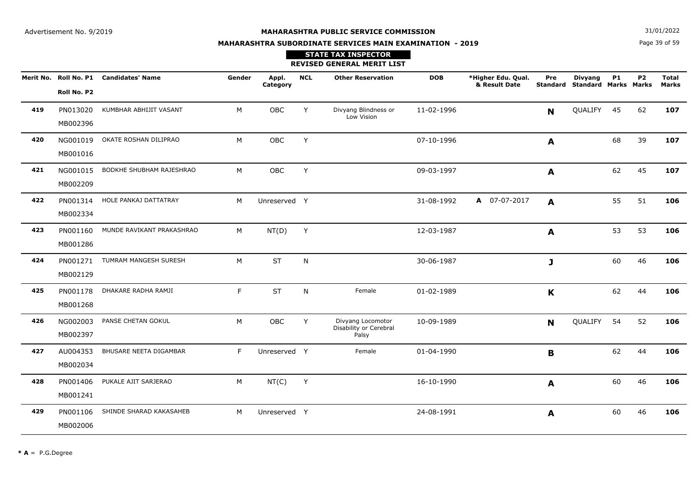**N**  $31/01/2022$ 

# **MAHARASHTRA SUBORDINATE SERVICES MAIN EXAMINATION - 2019**

## Page 39 of 59

|     | <b>STATE TAX INSPECTOR</b><br><b>REVISED GENERAL MERIT LIST</b> |                                        |        |                   |            |                                                      |            |                                     |          |                                                        |           |           |                              |  |  |
|-----|-----------------------------------------------------------------|----------------------------------------|--------|-------------------|------------|------------------------------------------------------|------------|-------------------------------------|----------|--------------------------------------------------------|-----------|-----------|------------------------------|--|--|
|     | Roll No. P2                                                     | Merit No. Roll No. P1 Candidates' Name | Gender | Appl.<br>Category | <b>NCL</b> | <b>Other Reservation</b>                             | <b>DOB</b> | *Higher Edu. Qual.<br>& Result Date | Pre      | <b>Divyang</b><br><b>Standard Standard Marks Marks</b> | <b>P1</b> | <b>P2</b> | <b>Total</b><br><b>Marks</b> |  |  |
| 419 | PN013020<br>MB002396                                            | KUMBHAR ABHIJIT VASANT                 | M      | OBC               | Y          | Divyang Blindness or<br>Low Vision                   | 11-02-1996 |                                     | N        | QUALIFY                                                | 45        | 62        | 107                          |  |  |
| 420 | NG001019<br>MB001016                                            | OKATE ROSHAN DILIPRAO                  | M      | <b>OBC</b>        | Y          |                                                      | 07-10-1996 |                                     | A        |                                                        | 68        | 39        | 107                          |  |  |
| 421 | MB002209                                                        | NG001015 BODKHE SHUBHAM RAJESHRAO      | M      | OBC               | Y          |                                                      | 09-03-1997 |                                     | A        |                                                        | 62        | 45        | 107                          |  |  |
| 422 | MB002334                                                        | PN001314 HOLE PANKAJ DATTATRAY         | M      | Unreserved Y      |            |                                                      | 31-08-1992 | A 07-07-2017                        | A        |                                                        | 55        | 51        | 106                          |  |  |
| 423 | PN001160<br>MB001286                                            | MUNDE RAVIKANT PRAKASHRAO              | M      | NT(D)             | Y          |                                                      | 12-03-1987 |                                     | A        |                                                        | 53        | 53        | 106                          |  |  |
| 424 | PN001271<br>MB002129                                            | TUMRAM MANGESH SURESH                  | M      | <b>ST</b>         | N          |                                                      | 30-06-1987 |                                     | J        |                                                        | 60        | 46        | 106                          |  |  |
| 425 | PN001178<br>MB001268                                            | DHAKARE RADHA RAMJI                    | F.     | <b>ST</b>         | N          | Female                                               | 01-02-1989 |                                     | K        |                                                        | 62        | 44        | 106                          |  |  |
| 426 | NG002003<br>MB002397                                            | PANSE CHETAN GOKUL                     | M      | OBC               | Y          | Divyang Locomotor<br>Disability or Cerebral<br>Palsy | 10-09-1989 |                                     | <b>N</b> | QUALIFY                                                | 54        | 52        | 106                          |  |  |
| 427 | AU004353<br>MB002034                                            | BHUSARE NEETA DIGAMBAR                 | F      | Unreserved Y      |            | Female                                               | 01-04-1990 |                                     | B        |                                                        | 62        | 44        | 106                          |  |  |
| 428 | PN001406<br>MB001241                                            | PUKALE AJIT SARJERAO                   | M      | NT(C)             | Y          |                                                      | 16-10-1990 |                                     | A        |                                                        | 60        | 46        | 106                          |  |  |
| 429 | PN001106<br>MB002006                                            | SHINDE SHARAD KAKASAHEB                | M      | Unreserved Y      |            |                                                      | 24-08-1991 |                                     | A        |                                                        | 60        | 46        | 106                          |  |  |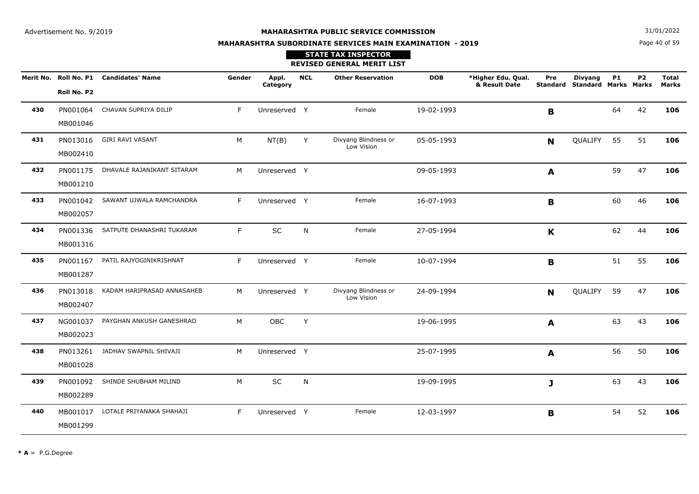**N**  $31/01/2022$ 

# **MAHARASHTRA SUBORDINATE SERVICES MAIN EXAMINATION - 2019**

## Page 40 of 59

|     |             |                                        |        |                   |            | <b>STATE TAX INSPECTOR</b><br><b>REVISED GENERAL MERIT LIST</b> |            |                                     |     |                                                        |           |                |                              |
|-----|-------------|----------------------------------------|--------|-------------------|------------|-----------------------------------------------------------------|------------|-------------------------------------|-----|--------------------------------------------------------|-----------|----------------|------------------------------|
|     | Roll No. P2 | Merit No. Roll No. P1 Candidates' Name | Gender | Appl.<br>Category | <b>NCL</b> | <b>Other Reservation</b>                                        | <b>DOB</b> | *Higher Edu. Qual.<br>& Result Date | Pre | <b>Divyang</b><br><b>Standard Standard Marks Marks</b> | <b>P1</b> | P <sub>2</sub> | <b>Total</b><br><b>Marks</b> |
| 430 | MB001046    | PN001064 CHAVAN SUPRIYA DILIP          | F.     | Unreserved Y      |            | Female                                                          | 19-02-1993 |                                     | B   |                                                        | 64        | 42             | 106                          |
| 431 | MB002410    | PN013016 GIRI RAVI VASANT              | M      | NT(B)             | Y          | Divyang Blindness or<br>Low Vision                              | 05-05-1993 |                                     | N   | QUALIFY 55                                             |           | 51             | 106                          |
| 432 | MB001210    | PN001175 DHAVALE RAJANIKANT SITARAM    | M      | Unreserved Y      |            |                                                                 | 09-05-1993 |                                     | A   |                                                        | 59        | 47             | 106                          |
| 433 | MB002057    | PN001042 SAWANT UJWALA RAMCHANDRA      | F.     | Unreserved Y      |            | Female                                                          | 16-07-1993 |                                     | B   |                                                        | 60        | 46             | 106                          |
| 434 | MB001316    | PN001336 SATPUTE DHANASHRI TUKARAM     | F.     | SC                | N          | Female                                                          | 27-05-1994 |                                     | K   |                                                        | 62        | 44             | 106                          |
| 435 | MB001287    | PN001167 PATIL RAJYOGINIKRISHNAT       | F      | Unreserved Y      |            | Female                                                          | 10-07-1994 |                                     | B   |                                                        | 51        | 55             | 106                          |
| 436 | MB002407    | PN013018 KADAM HARIPRASAD ANNASAHEB    | M      | Unreserved Y      |            | Divyang Blindness or<br>Low Vision                              | 24-09-1994 |                                     | N   | QUALIFY 59                                             |           | 47             | 106                          |
| 437 | MB002023    | NG001037 PAYGHAN ANKUSH GANESHRAO      | M      | OBC               | Y          |                                                                 | 19-06-1995 |                                     | A   |                                                        | 63        | 43             | 106                          |
| 438 | MB001028    | PN013261 JADHAV SWAPNIL SHIVAJI        | M      | Unreserved Y      |            |                                                                 | 25-07-1995 |                                     | A   |                                                        | 56        | 50             | 106                          |
| 439 | MB002289    | PN001092 SHINDE SHUBHAM MILIND         | M      | SC                | N          |                                                                 | 19-09-1995 |                                     | J   |                                                        | 63        | 43             | 106                          |
| 440 | MB001299    | MB001017 LOTALE PRIYANAKA SHAHAJI      | F      | Unreserved Y      |            | Female                                                          | 12-03-1997 |                                     | B   |                                                        | 54        | 52             | 106                          |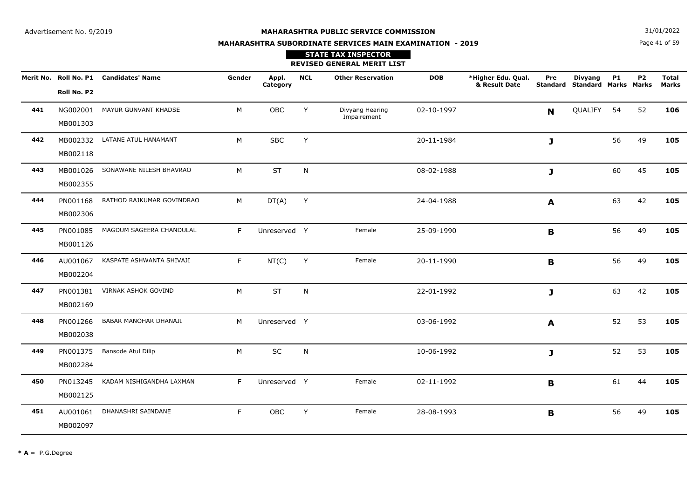**N**  $31/01/2022$ 

# **MAHARASHTRA SUBORDINATE SERVICES MAIN EXAMINATION - 2019**

Page 41 of 59

|     |                      |                                        |        |                   |              | <b>STATE TAX INSPECTOR</b><br><b>REVISED GENERAL MERIT LIST</b> |            |                                     |             |                                                 |           |           |                              |
|-----|----------------------|----------------------------------------|--------|-------------------|--------------|-----------------------------------------------------------------|------------|-------------------------------------|-------------|-------------------------------------------------|-----------|-----------|------------------------------|
|     | Roll No. P2          | Merit No. Roll No. P1 Candidates' Name | Gender | Appl.<br>Category | <b>NCL</b>   | <b>Other Reservation</b>                                        | <b>DOB</b> | *Higher Edu. Qual.<br>& Result Date | Pre         | <b>Divyang</b><br>Standard Standard Marks Marks | <b>P1</b> | <b>P2</b> | <b>Total</b><br><b>Marks</b> |
| 441 | MB001303             | NG002001 MAYUR GUNVANT KHADSE          | M      | OBC               | Y            | Divyang Hearing<br>Impairement                                  | 02-10-1997 |                                     | $\mathbf N$ | QUALIFY                                         | 54        | 52        | 106                          |
| 442 | MB002118             | MB002332 LATANE ATUL HANAMANT          | M      | <b>SBC</b>        | Y            |                                                                 | 20-11-1984 |                                     | J           |                                                 | 56        | 49        | 105                          |
| 443 | MB002355             | MB001026 SONAWANE NILESH BHAVRAO       | M      | ST                | N            |                                                                 | 08-02-1988 |                                     | J           |                                                 | 60        | 45        | 105                          |
| 444 | PN001168<br>MB002306 | RATHOD RAJKUMAR GOVINDRAO              | M      | DT(A)             | Y            |                                                                 | 24-04-1988 |                                     | A           |                                                 | 63        | 42        | 105                          |
| 445 | PN001085<br>MB001126 | MAGDUM SAGEERA CHANDULAL               | F      | Unreserved Y      |              | Female                                                          | 25-09-1990 |                                     | B           |                                                 | 56        | 49        | 105                          |
| 446 | AU001067<br>MB002204 | KASPATE ASHWANTA SHIVAJI               | F.     | NT(C)             | Y            | Female                                                          | 20-11-1990 |                                     | B           |                                                 | 56        | 49        | 105                          |
| 447 | PN001381<br>MB002169 | VIRNAK ASHOK GOVIND                    | M      | ST                | N            |                                                                 | 22-01-1992 |                                     | J           |                                                 | 63        | 42        | 105                          |
| 448 | PN001266<br>MB002038 | BABAR MANOHAR DHANAJI                  | M      | Unreserved Y      |              |                                                                 | 03-06-1992 |                                     | A           |                                                 | 52        | 53        | 105                          |
| 449 | PN001375<br>MB002284 | Bansode Atul Dilip                     | M      | SC                | $\mathsf{N}$ |                                                                 | 10-06-1992 |                                     | J           |                                                 | 52        | 53        | 105                          |
| 450 | PN013245<br>MB002125 | KADAM NISHIGANDHA LAXMAN               | F      | Unreserved Y      |              | Female                                                          | 02-11-1992 |                                     | B           |                                                 | 61        | 44        | 105                          |
| 451 | AU001061<br>MB002097 | DHANASHRI SAINDANE                     | F.     | OBC               | Y            | Female                                                          | 28-08-1993 |                                     | B           |                                                 | 56        | 49        | 105                          |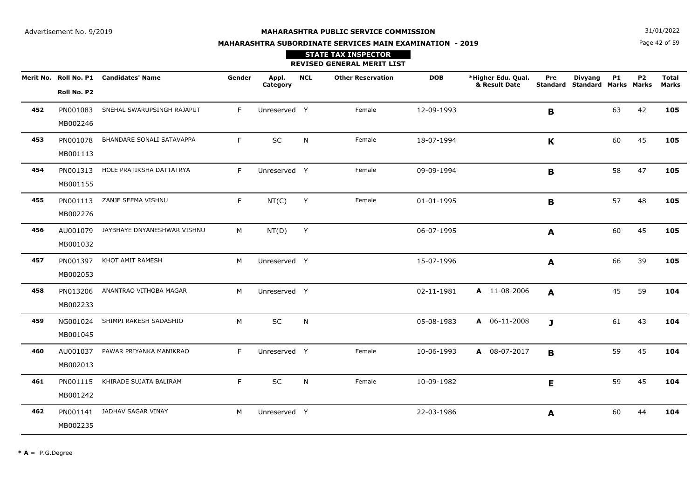**STATE TAX INSPECTOR**

**N**  $31/01/2022$ 

# **MAHARASHTRA SUBORDINATE SERVICES MAIN EXAMINATION - 2019**

Page 42 of 59

|     |                      |                                        |        |                   |            | <b>REVISED GENERAL MERIT LIST</b> |            |                                     |              |                                                 |           |                |                       |
|-----|----------------------|----------------------------------------|--------|-------------------|------------|-----------------------------------|------------|-------------------------------------|--------------|-------------------------------------------------|-----------|----------------|-----------------------|
|     | Roll No. P2          | Merit No. Roll No. P1 Candidates' Name | Gender | Appl.<br>Category | <b>NCL</b> | <b>Other Reservation</b>          | <b>DOB</b> | *Higher Edu. Qual.<br>& Result Date | Pre          | <b>Divyang</b><br>Standard Standard Marks Marks | <b>P1</b> | P <sub>2</sub> | <b>Total</b><br>Marks |
| 452 | PN001083<br>MB002246 | SNEHAL SWARUPSINGH RAJAPUT             | F.     | Unreserved Y      |            | Female                            | 12-09-1993 |                                     | B            |                                                 | 63        | 42             | 105                   |
| 453 | PN001078<br>MB001113 | BHANDARE SONALI SATAVAPPA              | F      | SC                | N          | Female                            | 18-07-1994 |                                     | K            |                                                 | 60        | 45             | 105                   |
| 454 | PN001313<br>MB001155 | HOLE PRATIKSHA DATTATRYA               | F      | Unreserved Y      |            | Female                            | 09-09-1994 |                                     | B            |                                                 | 58        | 47             | 105                   |
| 455 | PN001113<br>MB002276 | ZANJE SEEMA VISHNU                     | F      | NT(C)             | Y          | Female                            | 01-01-1995 |                                     | B            |                                                 | 57        | 48             | 105                   |
| 456 | AU001079<br>MB001032 | JAYBHAYE DNYANESHWAR VISHNU            | M      | NT(D)             | Y          |                                   | 06-07-1995 |                                     | A            |                                                 | 60        | 45             | 105                   |
| 457 | PN001397<br>MB002053 | KHOT AMIT RAMESH                       | M      | Unreserved Y      |            |                                   | 15-07-1996 |                                     | $\mathbf{A}$ |                                                 | 66        | 39             | 105                   |
| 458 | PN013206<br>MB002233 | ANANTRAO VITHOBA MAGAR                 | M      | Unreserved Y      |            |                                   | 02-11-1981 | A 11-08-2006                        | A            |                                                 | 45        | 59             | 104                   |
| 459 | NG001024<br>MB001045 | SHIMPI RAKESH SADASHIO                 | M      | SC                | N          |                                   | 05-08-1983 | A 06-11-2008                        | J            |                                                 | 61        | 43             | 104                   |
| 460 | AU001037<br>MB002013 | PAWAR PRIYANKA MANIKRAO                | F.     | Unreserved Y      |            | Female                            | 10-06-1993 | A 08-07-2017                        | B            |                                                 | 59        | 45             | 104                   |
| 461 | PN001115<br>MB001242 | KHIRADE SUJATA BALIRAM                 | F.     | SC                | N          | Female                            | 10-09-1982 |                                     | E            |                                                 | 59        | 45             | 104                   |
| 462 | PN001141<br>MB002235 | JADHAV SAGAR VINAY                     | M      | Unreserved Y      |            |                                   | 22-03-1986 |                                     | A            |                                                 | 60        | 44             | 104                   |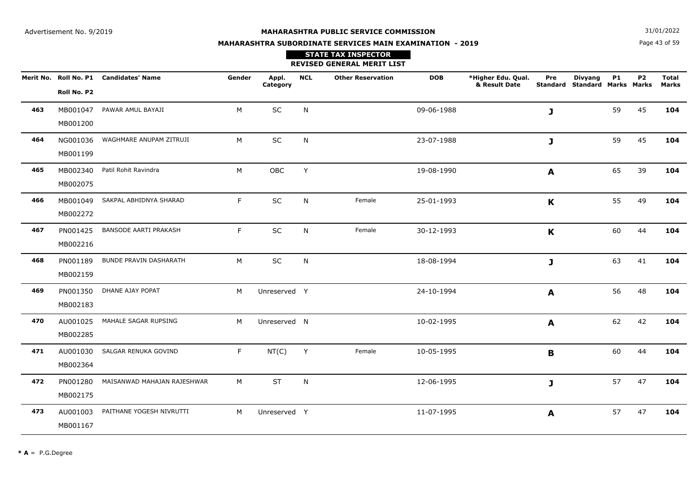**N**  $31/01/2022$ 

# **MAHARASHTRA SUBORDINATE SERVICES MAIN EXAMINATION - 2019STATE TAX INSPECTOR**

Page 43 of 59

|     |                      |                                        |        |                   |            | <b>REVISED GENERAL MERIT LIST</b> |            |                                     |             |                                                 |    |                |                       |
|-----|----------------------|----------------------------------------|--------|-------------------|------------|-----------------------------------|------------|-------------------------------------|-------------|-------------------------------------------------|----|----------------|-----------------------|
|     | Roll No. P2          | Merit No. Roll No. P1 Candidates' Name | Gender | Appl.<br>Category | <b>NCL</b> | <b>Other Reservation</b>          | <b>DOB</b> | *Higher Edu. Qual.<br>& Result Date | Pre         | <b>Divyang</b><br>Standard Standard Marks Marks | P1 | P <sub>2</sub> | <b>Total</b><br>Marks |
| 463 | MB001200             | MB001047 PAWAR AMUL BAYAJI             | M      | $\sf SC$          | N          |                                   | 09-06-1988 |                                     | J           |                                                 | 59 | 45             | 104                   |
| 464 | NG001036<br>MB001199 | WAGHMARE ANUPAM ZITRUJI                | M      | SC                | N          |                                   | 23-07-1988 |                                     | J           |                                                 | 59 | 45             | 104                   |
| 465 | MB002075             | MB002340 Patil Rohit Ravindra          | M      | OBC               | Y          |                                   | 19-08-1990 |                                     | A           |                                                 | 65 | 39             | 104                   |
| 466 | MB001049<br>MB002272 | SAKPAL ABHIDNYA SHARAD                 | F      | SC                | N          | Female                            | 25-01-1993 |                                     | $\mathbf K$ |                                                 | 55 | 49             | 104                   |
| 467 | PN001425<br>MB002216 | <b>BANSODE AARTI PRAKASH</b>           | F      | SC                | N          | Female                            | 30-12-1993 |                                     | $\mathbf K$ |                                                 | 60 | 44             | 104                   |
| 468 | PN001189<br>MB002159 | <b>BUNDE PRAVIN DASHARATH</b>          | M      | <b>SC</b>         | N          |                                   | 18-08-1994 |                                     | J           |                                                 | 63 | 41             | 104                   |
| 469 | PN001350<br>MB002183 | DHANE AJAY POPAT                       | M      | Unreserved Y      |            |                                   | 24-10-1994 |                                     | A           |                                                 | 56 | 48             | 104                   |
| 470 | AU001025<br>MB002285 | MAHALE SAGAR RUPSING                   | M      | Unreserved N      |            |                                   | 10-02-1995 |                                     | A           |                                                 | 62 | 42             | 104                   |
| 471 | AU001030<br>MB002364 | SALGAR RENUKA GOVIND                   | F      | NT(C)             | Y          | Female                            | 10-05-1995 |                                     | B           |                                                 | 60 | 44             | 104                   |
| 472 | PN001280<br>MB002175 | MAISANWAD MAHAJAN RAJESHWAR            | M      | <b>ST</b>         | N          |                                   | 12-06-1995 |                                     | J           |                                                 | 57 | 47             | 104                   |
| 473 | AU001003<br>MB001167 | PAITHANE YOGESH NIVRUTTI               | M      | Unreserved Y      |            |                                   | 11-07-1995 |                                     | A           |                                                 | 57 | 47             | 104                   |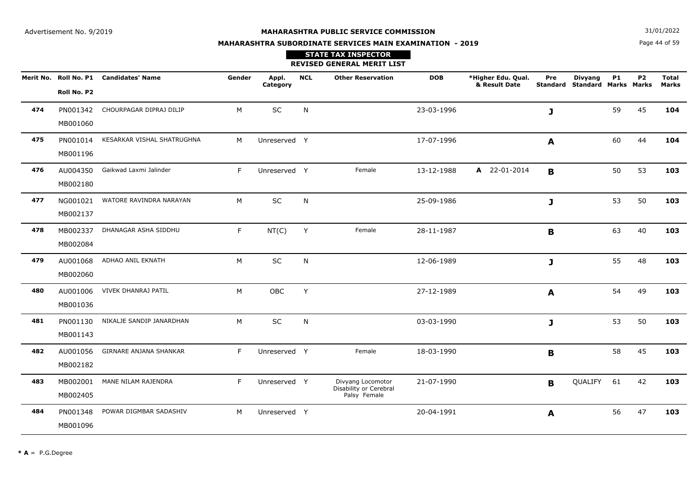Page 44 of 59**N**  $31/01/2022$ 

# **MAHARASHTRA SUBORDINATE SERVICES MAIN EXAMINATION - 2019STATE TAX INSPECTOR**

**REVISED GENERAL MERIT LIST**

|     |             | Merit No. Roll No. P1 Candidates' Name | Gender | Appl.<br>Category | <b>NCL</b>   | <b>Other Reservation</b>               | <b>DOB</b> | *Higher Edu. Qual.<br>& Result Date | Pre         | <b>Divyang</b><br><b>Standard Standard Marks Marks</b> | <b>P1</b> | <b>P2</b> | <b>Total</b><br><b>Marks</b> |
|-----|-------------|----------------------------------------|--------|-------------------|--------------|----------------------------------------|------------|-------------------------------------|-------------|--------------------------------------------------------|-----------|-----------|------------------------------|
|     | Roll No. P2 |                                        |        |                   |              |                                        |            |                                     |             |                                                        |           |           |                              |
| 474 | PN001342    | CHOURPAGAR DIPRAJ DILIP                | M      | SC                | N            |                                        | 23-03-1996 |                                     | J           |                                                        | 59        | 45        | 104                          |
|     | MB001060    |                                        |        |                   |              |                                        |            |                                     |             |                                                        |           |           |                              |
| 475 | PN001014    | KESARKAR VISHAL SHATRUGHNA             | M      | Unreserved Y      |              |                                        | 17-07-1996 |                                     | A           |                                                        | 60        | 44        | 104                          |
|     | MB001196    |                                        |        |                   |              |                                        |            |                                     |             |                                                        |           |           |                              |
| 476 | AU004350    | Gaikwad Laxmi Jalinder                 | F.     | Unreserved Y      |              | Female                                 | 13-12-1988 | A 22-01-2014                        | B           |                                                        | 50        | 53        | 103                          |
|     | MB002180    |                                        |        |                   |              |                                        |            |                                     |             |                                                        |           |           |                              |
| 477 | NG001021    | WATORE RAVINDRA NARAYAN                | M      | SC                | $\mathsf{N}$ |                                        | 25-09-1986 |                                     | J           |                                                        | 53        | 50        | 103                          |
|     | MB002137    |                                        |        |                   |              |                                        |            |                                     |             |                                                        |           |           |                              |
| 478 | MB002337    | DHANAGAR ASHA SIDDHU                   | F.     | NT(C)             | Y            | Female                                 | 28-11-1987 |                                     | $\mathbf B$ |                                                        | 63        | 40        | 103                          |
|     | MB002084    |                                        |        |                   |              |                                        |            |                                     |             |                                                        |           |           |                              |
| 479 | AU001068    | ADHAO ANIL EKNATH                      | M      | $\sf SC$          | ${\sf N}$    |                                        | 12-06-1989 |                                     | J           |                                                        | 55        | 48        | 103                          |
|     | MB002060    |                                        |        |                   |              |                                        |            |                                     |             |                                                        |           |           |                              |
| 480 | AU001006    | VIVEK DHANRAJ PATIL                    | M      | OBC               | Y            |                                        | 27-12-1989 |                                     | A           |                                                        | 54        | 49        | 103                          |
|     | MB001036    |                                        |        |                   |              |                                        |            |                                     |             |                                                        |           |           |                              |
| 481 | PN001130    | NIKALJE SANDIP JANARDHAN               | M      | SC                | N            |                                        | 03-03-1990 |                                     | J           |                                                        | 53        | 50        | 103                          |
|     | MB001143    |                                        |        |                   |              |                                        |            |                                     |             |                                                        |           |           |                              |
| 482 | AU001056    | GIRNARE ANJANA SHANKAR                 | F.     | Unreserved Y      |              | Female                                 | 18-03-1990 |                                     | B           |                                                        | 58        | 45        | 103                          |
|     | MB002182    |                                        |        |                   |              |                                        |            |                                     |             |                                                        |           |           |                              |
| 483 | MB002001    | MANE NILAM RAJENDRA                    | F.     | Unreserved Y      |              | Divyang Locomotor                      | 21-07-1990 |                                     | B           | QUALIFY                                                | 61        | 42        | 103                          |
|     | MB002405    |                                        |        |                   |              | Disability or Cerebral<br>Palsy Female |            |                                     |             |                                                        |           |           |                              |
| 484 | PN001348    | POWAR DIGMBAR SADASHIV                 | M      | Unreserved Y      |              |                                        | 20-04-1991 |                                     | A           |                                                        | 56        | 47        | 103                          |
|     | MB001096    |                                        |        |                   |              |                                        |            |                                     |             |                                                        |           |           |                              |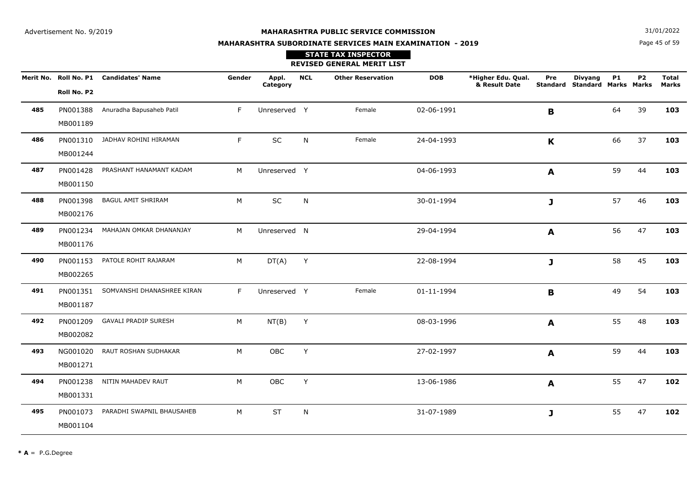**N**  $31/01/2022$ 

# **MAHARASHTRA SUBORDINATE SERVICES MAIN EXAMINATION - 2019**

Page 45 of 59

|     |                      |                                        |        |                   |            | <b>STATE TAX INSPECTOR</b><br><b>REVISED GENERAL MERIT LIST</b> |            |                                     |              |                                                        |           |                |                              |
|-----|----------------------|----------------------------------------|--------|-------------------|------------|-----------------------------------------------------------------|------------|-------------------------------------|--------------|--------------------------------------------------------|-----------|----------------|------------------------------|
|     | Roll No. P2          | Merit No. Roll No. P1 Candidates' Name | Gender | Appl.<br>Category | <b>NCL</b> | <b>Other Reservation</b>                                        | <b>DOB</b> | *Higher Edu. Qual.<br>& Result Date | Pre          | <b>Divyang</b><br><b>Standard Standard Marks Marks</b> | <b>P1</b> | P <sub>2</sub> | <b>Total</b><br><b>Marks</b> |
| 485 | MB001189             | PN001388 Anuradha Bapusaheb Patil      | F.     | Unreserved Y      |            | Female                                                          | 02-06-1991 |                                     | B            |                                                        | 64        | 39             | 103                          |
| 486 | MB001244             | PN001310 JADHAV ROHINI HIRAMAN         | F.     | SC                | N          | Female                                                          | 24-04-1993 |                                     | $\mathbf{K}$ |                                                        | 66        | 37             | 103                          |
| 487 | MB001150             | PN001428 PRASHANT HANAMANT KADAM       | M      | Unreserved Y      |            |                                                                 | 04-06-1993 |                                     | A            |                                                        | 59        | 44             | 103                          |
| 488 | PN001398<br>MB002176 | <b>BAGUL AMIT SHRIRAM</b>              | M      | SC                | N          |                                                                 | 30-01-1994 |                                     | $\mathbf{J}$ |                                                        | 57        | 46             | 103                          |
| 489 | MB001176             | PN001234 MAHAJAN OMKAR DHANANJAY       | M      | Unreserved N      |            |                                                                 | 29-04-1994 |                                     | A            |                                                        | 56        | 47             | 103                          |
| 490 | MB002265             | PN001153 PATOLE ROHIT RAJARAM          | M      | $DT(A)$ Y         |            |                                                                 | 22-08-1994 |                                     | $\mathbf{J}$ |                                                        | 58        | 45             | 103                          |
| 491 | MB001187             | PN001351 SOMVANSHI DHANASHREE KIRAN    | F.     | Unreserved Y      |            | Female                                                          | 01-11-1994 |                                     | B            |                                                        | 49        | 54             | 103                          |
| 492 | MB002082             | PN001209 GAVALI PRADIP SURESH          | M      | NT(B)             | Y          |                                                                 | 08-03-1996 |                                     | A            |                                                        | 55        | 48             | 103                          |
| 493 | MB001271             | NG001020 RAUT ROSHAN SUDHAKAR          | M      | OBC               | Y          |                                                                 | 27-02-1997 |                                     | $\mathbf{A}$ |                                                        | 59        | 44             | 103                          |
| 494 | MB001331             | PN001238 NITIN MAHADEV RAUT            | M      | OBC               | Y          |                                                                 | 13-06-1986 |                                     | $\mathbf{A}$ |                                                        | 55        | 47             | 102                          |
| 495 | MB001104             | PN001073 PARADHI SWAPNIL BHAUSAHEB     | M      | <b>ST</b>         | N          |                                                                 | 31-07-1989 |                                     | $\mathbf{J}$ |                                                        | 55        | 47             | 102                          |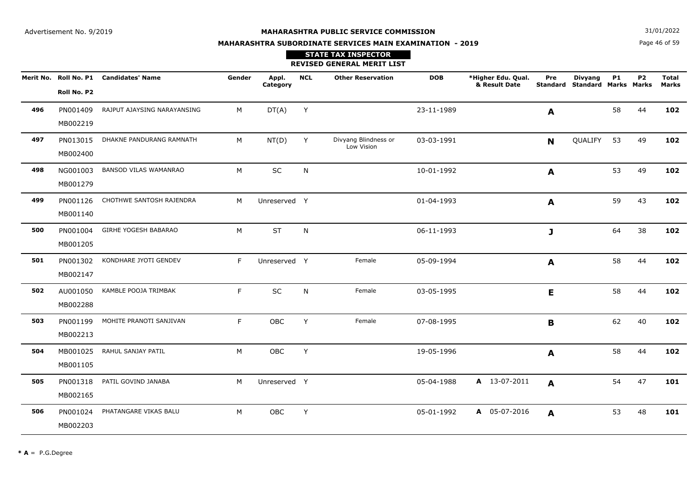Page 46 of 59**N**  $31/01/2022$ 

# **MAHARASHTRA SUBORDINATE SERVICES MAIN EXAMINATION - 2019**

|     |             | Merit No. Roll No. P1 Candidates' Name | Gender | Appl.<br>Category | <b>NCL</b> | <b>Other Reservation</b>           | <b>DOB</b> | *Higher Edu. Qual.<br>& Result Date | Pre          | <b>Divyang</b><br>Standard Standard Marks Marks | <b>P1</b> | <b>P2</b> | <b>Total</b><br><b>Marks</b> |
|-----|-------------|----------------------------------------|--------|-------------------|------------|------------------------------------|------------|-------------------------------------|--------------|-------------------------------------------------|-----------|-----------|------------------------------|
|     | Roll No. P2 |                                        |        |                   |            |                                    |            |                                     |              |                                                 |           |           |                              |
| 496 | PN001409    | RAJPUT AJAYSING NARAYANSING            | М      | DT(A)             | Y          |                                    | 23-11-1989 |                                     | A            |                                                 | 58        | 44        | 102                          |
|     | MB002219    |                                        |        |                   |            |                                    |            |                                     |              |                                                 |           |           |                              |
| 497 | PN013015    | DHAKNE PANDURANG RAMNATH               | M      | NT(D)             | Y          | Divyang Blindness or<br>Low Vision | 03-03-1991 |                                     | <b>N</b>     | QUALIFY                                         | 53        | 49        | 102                          |
|     | MB002400    |                                        |        |                   |            |                                    |            |                                     |              |                                                 |           |           |                              |
| 498 | NG001003    | <b>BANSOD VILAS WAMANRAO</b>           | M      | SC                | N          |                                    | 10-01-1992 |                                     | $\mathbf{A}$ |                                                 | 53        | 49        | 102                          |
|     | MB001279    |                                        |        |                   |            |                                    |            |                                     |              |                                                 |           |           |                              |
| 499 | PN001126    | CHOTHWE SANTOSH RAJENDRA               | M      | Unreserved Y      |            |                                    | 01-04-1993 |                                     | A            |                                                 | 59        | 43        | 102                          |
|     | MB001140    |                                        |        |                   |            |                                    |            |                                     |              |                                                 |           |           |                              |
| 500 | PN001004    | GIRHE YOGESH BABARAO                   | M      | <b>ST</b>         | N          |                                    | 06-11-1993 |                                     | J            |                                                 | 64        | 38        | 102                          |
|     | MB001205    |                                        |        |                   |            |                                    |            |                                     |              |                                                 |           |           |                              |
| 501 | PN001302    | KONDHARE JYOTI GENDEV                  | F.     | Unreserved Y      |            | Female                             | 05-09-1994 |                                     | A            |                                                 | 58        | 44        | 102                          |
|     | MB002147    |                                        |        |                   |            |                                    |            |                                     |              |                                                 |           |           |                              |
| 502 | AU001050    | KAMBLE POOJA TRIMBAK                   | F.     | SC                | N          | Female                             | 03-05-1995 |                                     | E            |                                                 | 58        | 44        | 102                          |
|     | MB002288    |                                        |        |                   |            |                                    |            |                                     |              |                                                 |           |           |                              |
| 503 | PN001199    | MOHITE PRANOTI SANJIVAN                | F.     | OBC               | Y          | Female                             | 07-08-1995 |                                     | B            |                                                 | 62        | 40        | 102                          |
|     | MB002213    |                                        |        |                   |            |                                    |            |                                     |              |                                                 |           |           |                              |
| 504 | MB001025    | RAHUL SANJAY PATIL                     | M      | OBC               | Y          |                                    | 19-05-1996 |                                     | A            |                                                 | 58        | 44        | 102                          |
|     | MB001105    |                                        |        |                   |            |                                    |            |                                     |              |                                                 |           |           |                              |
| 505 | PN001318    | PATIL GOVIND JANABA                    | M      | Unreserved Y      |            |                                    | 05-04-1988 | A 13-07-2011                        | A            |                                                 | 54        | 47        | 101                          |
|     | MB002165    |                                        |        |                   |            |                                    |            |                                     |              |                                                 |           |           |                              |
| 506 | PN001024    | PHATANGARE VIKAS BALU                  | M      | OBC               | Y          |                                    | 05-01-1992 | A 05-07-2016                        | A            |                                                 | 53        | 48        | 101                          |
|     | MB002203    |                                        |        |                   |            |                                    |            |                                     |              |                                                 |           |           |                              |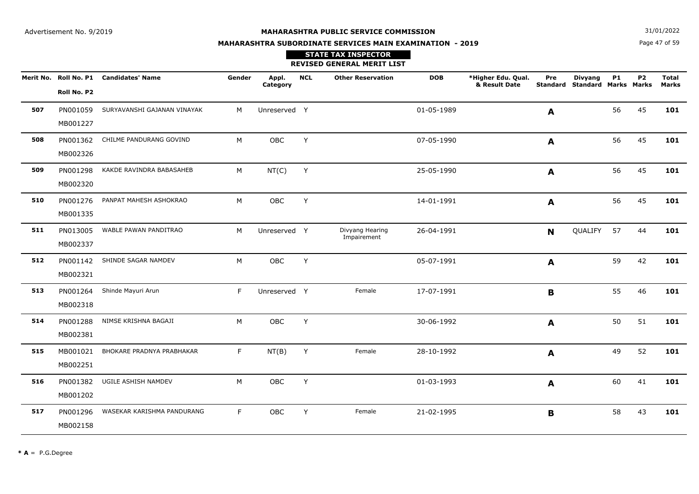**N**  $31/01/2022$ 

# **MAHARASHTRA SUBORDINATE SERVICES MAIN EXAMINATION - 2019**

## Page 47 of 59

|     |             | Merit No. Roll No. P1 Candidates' Name | Gender | Appl.<br>Category | <b>NCL</b> | <b>Other Reservation</b>       | <b>DOB</b> | *Higher Edu. Qual.<br>& Result Date | Pre            | <b>Divyang</b><br><b>Standard Standard Marks Marks</b> | <b>P1</b> | <b>P2</b> | <b>Total</b><br><b>Marks</b> |
|-----|-------------|----------------------------------------|--------|-------------------|------------|--------------------------------|------------|-------------------------------------|----------------|--------------------------------------------------------|-----------|-----------|------------------------------|
|     | Roll No. P2 |                                        |        |                   |            |                                |            |                                     |                |                                                        |           |           |                              |
| 507 | PN001059    | SURYAVANSHI GAJANAN VINAYAK            | M      | Unreserved Y      |            |                                | 01-05-1989 |                                     | A              |                                                        | 56        | 45        | 101                          |
|     | MB001227    |                                        |        |                   |            |                                |            |                                     |                |                                                        |           |           |                              |
| 508 | PN001362    | CHILME PANDURANG GOVIND                | M      | <b>OBC</b>        | Y          |                                | 07-05-1990 |                                     | A              |                                                        | 56        | 45        | 101                          |
|     | MB002326    |                                        |        |                   |            |                                |            |                                     |                |                                                        |           |           |                              |
| 509 | PN001298    | KAKDE RAVINDRA BABASAHEB               | M      | NT(C)             | Y          |                                | 25-05-1990 |                                     | A              |                                                        | 56        | 45        | 101                          |
|     | MB002320    |                                        |        |                   |            |                                |            |                                     |                |                                                        |           |           |                              |
| 510 | PN001276    | PANPAT MAHESH ASHOKRAO                 | M      | <b>OBC</b>        | Y          |                                | 14-01-1991 |                                     | A              |                                                        | 56        | 45        | 101                          |
|     | MB001335    |                                        |        |                   |            |                                |            |                                     |                |                                                        |           |           |                              |
| 511 | PN013005    | WABLE PAWAN PANDITRAO                  | M      | Unreserved Y      |            | Divyang Hearing<br>Impairement | 26-04-1991 |                                     | N <sub>1</sub> | QUALIFY                                                | 57        | 44        | 101                          |
|     | MB002337    |                                        |        |                   |            |                                |            |                                     |                |                                                        |           |           |                              |
| 512 | PN001142    | SHINDE SAGAR NAMDEV                    | M      | OBC               | Y          |                                | 05-07-1991 |                                     | A              |                                                        | 59        | 42        | 101                          |
|     | MB002321    |                                        |        |                   |            |                                |            |                                     |                |                                                        |           |           |                              |
| 513 | PN001264    | Shinde Mayuri Arun                     | F      | Unreserved Y      |            | Female                         | 17-07-1991 |                                     | $\mathbf B$    |                                                        | 55        | 46        | 101                          |
|     | MB002318    |                                        |        |                   |            |                                |            |                                     |                |                                                        |           |           |                              |
| 514 | PN001288    | NIMSE KRISHNA BAGAJI                   | M      | OBC               | Y          |                                | 30-06-1992 |                                     | A              |                                                        | 50        | 51        | 101                          |
|     | MB002381    |                                        |        |                   |            |                                |            |                                     |                |                                                        |           |           |                              |
| 515 | MB001021    | BHOKARE PRADNYA PRABHAKAR              | F      | NT(B)             | Y          | Female                         | 28-10-1992 |                                     | A              |                                                        | 49        | 52        | 101                          |
|     | MB002251    |                                        |        |                   |            |                                |            |                                     |                |                                                        |           |           |                              |
| 516 | PN001382    | UGILE ASHISH NAMDEV                    | M      | OBC               | Y          |                                | 01-03-1993 |                                     | $\mathbf{A}$   |                                                        | 60        | 41        | 101                          |
|     | MB001202    |                                        |        |                   |            |                                |            |                                     |                |                                                        |           |           |                              |
| 517 | PN001296    | WASEKAR KARISHMA PANDURANG             | F.     | OBC               | Y          | Female                         | 21-02-1995 |                                     | $\mathbf B$    |                                                        | 58        | 43        | 101                          |
|     | MB002158    |                                        |        |                   |            |                                |            |                                     |                |                                                        |           |           |                              |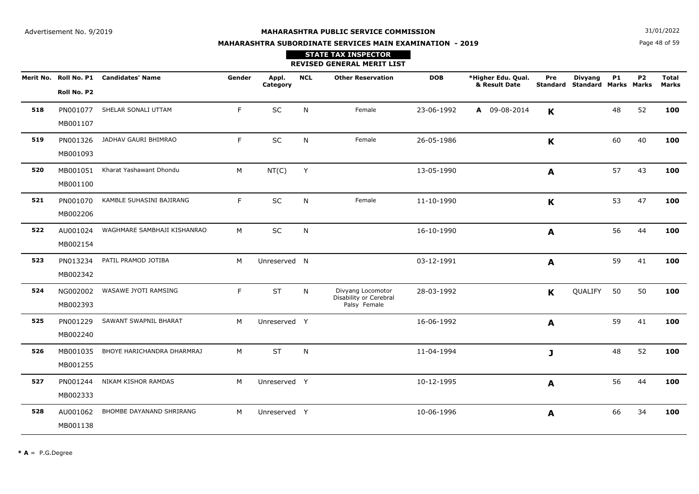**N**  $31/01/2022$ 

# **MAHARASHTRA SUBORDINATE SERVICES MAIN EXAMINATION - 2019STATE TAX INSPECTOR**

Page 48 of 59

|     |                      |                                        |        |                   |            | <b>REVISED GENERAL MERIT LIST</b>                           |            |                                     |     |                                                 |           |           |                              |
|-----|----------------------|----------------------------------------|--------|-------------------|------------|-------------------------------------------------------------|------------|-------------------------------------|-----|-------------------------------------------------|-----------|-----------|------------------------------|
|     | Roll No. P2          | Merit No. Roll No. P1 Candidates' Name | Gender | Appl.<br>Category | <b>NCL</b> | <b>Other Reservation</b>                                    | <b>DOB</b> | *Higher Edu. Qual.<br>& Result Date | Pre | <b>Divyang</b><br>Standard Standard Marks Marks | <b>P1</b> | <b>P2</b> | <b>Total</b><br><b>Marks</b> |
| 518 | MB001107             | PN001077 SHELAR SONALI UTTAM           | F      | SC                | N          | Female                                                      | 23-06-1992 | A 09-08-2014                        | K   |                                                 | 48        | 52        | 100                          |
| 519 | PN001326<br>MB001093 | JADHAV GAURI BHIMRAO                   | F.     | <b>SC</b>         | N          | Female                                                      | 26-05-1986 |                                     | K   |                                                 | 60        | 40        | 100                          |
| 520 | MB001051<br>MB001100 | Kharat Yashawant Dhondu                | М      | NT(C)             | Y          |                                                             | 13-05-1990 |                                     | A   |                                                 | 57        | 43        | 100                          |
| 521 | PN001070<br>MB002206 | KAMBLE SUHASINI BAJIRANG               | F.     | <b>SC</b>         | N          | Female                                                      | 11-10-1990 |                                     | K   |                                                 | 53        | 47        | 100                          |
| 522 | AU001024<br>MB002154 | WAGHMARE SAMBHAJI KISHANRAO            | M      | <b>SC</b>         | N          |                                                             | 16-10-1990 |                                     | A   |                                                 | 56        | 44        | 100                          |
| 523 | PN013234<br>MB002342 | PATIL PRAMOD JOTIBA                    | M      | Unreserved N      |            |                                                             | 03-12-1991 |                                     | A   |                                                 | 59        | 41        | 100                          |
| 524 | NG002002<br>MB002393 | WASAWE JYOTI RAMSING                   | F.     | <b>ST</b>         | N          | Divyang Locomotor<br>Disability or Cerebral<br>Palsy Female | 28-03-1992 |                                     | K   | QUALIFY                                         | 50        | 50        | 100                          |
| 525 | PN001229<br>MB002240 | SAWANT SWAPNIL BHARAT                  | M      | Unreserved Y      |            |                                                             | 16-06-1992 |                                     | A   |                                                 | 59        | 41        | 100                          |
| 526 | MB001035<br>MB001255 | BHOYE HARICHANDRA DHARMRAJ             | м      | <b>ST</b>         | N          |                                                             | 11-04-1994 |                                     | J   |                                                 | 48        | 52        | 100                          |
| 527 | PN001244<br>MB002333 | NIKAM KISHOR RAMDAS                    | M      | Unreserved Y      |            |                                                             | 10-12-1995 |                                     | A   |                                                 | 56        | 44        | 100                          |
| 528 | AU001062<br>MB001138 | BHOMBE DAYANAND SHRIRANG               | M      | Unreserved Y      |            |                                                             | 10-06-1996 |                                     | A   |                                                 | 66        | 34        | 100                          |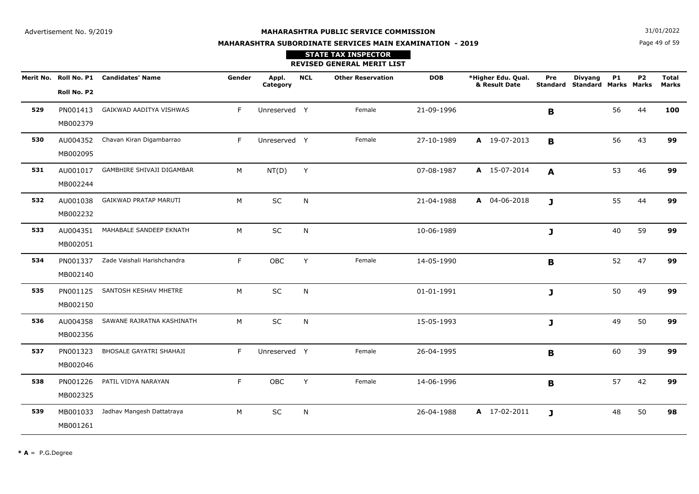**N**  $31/01/2022$ 

# **MAHARASHTRA SUBORDINATE SERVICES MAIN EXAMINATION - 2019STATE TAX INSPECTOR**

Page 49 of 59

|     |                      |                                        |        |                   |            | <b>REVISED GENERAL MERIT LIST</b> |            |                                     |                 |                                               |           |                |                |
|-----|----------------------|----------------------------------------|--------|-------------------|------------|-----------------------------------|------------|-------------------------------------|-----------------|-----------------------------------------------|-----------|----------------|----------------|
|     | Roll No. P2          | Merit No. Roll No. P1 Candidates' Name | Gender | Appl.<br>Category | <b>NCL</b> | <b>Other Reservation</b>          | <b>DOB</b> | *Higher Edu. Qual.<br>& Result Date | Pre<br>Standard | <b>Divyang</b><br><b>Standard Marks Marks</b> | <b>P1</b> | P <sub>2</sub> | Total<br>Marks |
| 529 | PN001413<br>MB002379 | GAIKWAD AADITYA VISHWAS                | F.     | Unreserved Y      |            | Female                            | 21-09-1996 |                                     | B               |                                               | 56        | 44             | 100            |
| 530 | AU004352<br>MB002095 | Chavan Kiran Digambarrao               | F      | Unreserved Y      |            | Female                            | 27-10-1989 | A 19-07-2013                        | B               |                                               | 56        | 43             | 99             |
| 531 | AU001017<br>MB002244 | GAMBHIRE SHIVAJI DIGAMBAR              | М      | NT(D)             | Y          |                                   | 07-08-1987 | A 15-07-2014                        | A               |                                               | 53        | 46             | 99             |
| 532 | AU001038<br>MB002232 | GAIKWAD PRATAP MARUTI                  | M      | SC                | N          |                                   | 21-04-1988 | A 04-06-2018                        | J               |                                               | 55        | 44             | 99             |
| 533 | AU004351<br>MB002051 | MAHABALE SANDEEP EKNATH                | M      | SC                | N          |                                   | 10-06-1989 |                                     | J               |                                               | 40        | 59             | 99             |
| 534 | PN001337<br>MB002140 | Zade Vaishali Harishchandra            | F.     | OBC               | Y          | Female                            | 14-05-1990 |                                     | B               |                                               | 52        | 47             | 99             |
| 535 | PN001125<br>MB002150 | SANTOSH KESHAV MHETRE                  | M      | SC                | N          |                                   | 01-01-1991 |                                     | J               |                                               | 50        | 49             | 99             |
| 536 | AU004358<br>MB002356 | SAWANE RAJRATNA KASHINATH              | M      | <b>SC</b>         | N          |                                   | 15-05-1993 |                                     | J               |                                               | 49        | 50             | 99             |
| 537 | PN001323<br>MB002046 | BHOSALE GAYATRI SHAHAJI                | F      | Unreserved Y      |            | Female                            | 26-04-1995 |                                     | B               |                                               | 60        | 39             | 99             |
| 538 | PN001226<br>MB002325 | PATIL VIDYA NARAYAN                    | F      | OBC               | Y          | Female                            | 14-06-1996 |                                     | B               |                                               | 57        | 42             | 99             |
| 539 | MB001033<br>MB001261 | Jadhav Mangesh Dattatraya              | M      | SC                | N          |                                   | 26-04-1988 | A 17-02-2011                        | J               |                                               | 48        | 50             | 98             |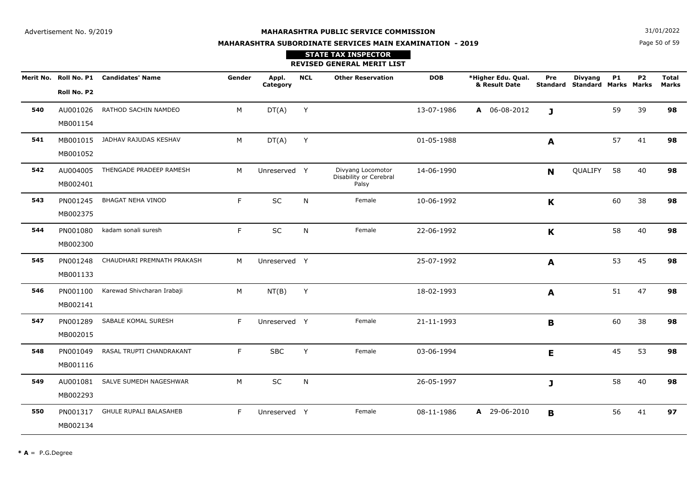**STATE TAX INSPECTOR**

**MAHARASHTRA SUBORDINATE SERVICES MAIN EXAMINATION - 2019**

**N**  $31/01/2022$ 

Page 50 of 59

|     |                      |                                        |        |                   |            | <b>REVISED GENERAL MERIT LIST</b>                    |            |                                     |                        |                                               |           |           |                              |
|-----|----------------------|----------------------------------------|--------|-------------------|------------|------------------------------------------------------|------------|-------------------------------------|------------------------|-----------------------------------------------|-----------|-----------|------------------------------|
|     | Roll No. P2          | Merit No. Roll No. P1 Candidates' Name | Gender | Appl.<br>Category | <b>NCL</b> | <b>Other Reservation</b>                             | <b>DOB</b> | *Higher Edu. Qual.<br>& Result Date | Pre<br><b>Standard</b> | <b>Divyang</b><br><b>Standard Marks Marks</b> | <b>P1</b> | <b>P2</b> | <b>Total</b><br><b>Marks</b> |
| 540 | AU001026<br>MB001154 | RATHOD SACHIN NAMDEO                   | M      | DT(A)             | Y          |                                                      | 13-07-1986 | A 06-08-2012                        | J                      |                                               | 59        | 39        | 98                           |
| 541 | MB001015<br>MB001052 | JADHAV RAJUDAS KESHAV                  | M      | DT(A)             | Y          |                                                      | 01-05-1988 |                                     | A                      |                                               | 57        | 41        | 98                           |
| 542 | AU004005<br>MB002401 | THENGADE PRADEEP RAMESH                | M      | Unreserved Y      |            | Divyang Locomotor<br>Disability or Cerebral<br>Palsy | 14-06-1990 |                                     | N                      | QUALIFY                                       | 58        | 40        | 98                           |
| 543 | PN001245<br>MB002375 | <b>BHAGAT NEHA VINOD</b>               | F      | SC                | ${\sf N}$  | Female                                               | 10-06-1992 |                                     | K                      |                                               | 60        | 38        | 98                           |
| 544 | PN001080<br>MB002300 | kadam sonali suresh                    | F      | SC                | ${\sf N}$  | Female                                               | 22-06-1992 |                                     | $\mathbf K$            |                                               | 58        | 40        | 98                           |
| 545 | PN001248<br>MB001133 | CHAUDHARI PREMNATH PRAKASH             | M      | Unreserved Y      |            |                                                      | 25-07-1992 |                                     | A                      |                                               | 53        | 45        | 98                           |
| 546 | PN001100<br>MB002141 | Karewad Shivcharan Irabaji             | M      | NT(B)             | Y          |                                                      | 18-02-1993 |                                     | A                      |                                               | 51        | 47        | 98                           |
| 547 | PN001289<br>MB002015 | SABALE KOMAL SURESH                    | F      | Unreserved Y      |            | Female                                               | 21-11-1993 |                                     | B                      |                                               | 60        | 38        | 98                           |
| 548 | PN001049<br>MB001116 | RASAL TRUPTI CHANDRAKANT               | F      | <b>SBC</b>        | Υ          | Female                                               | 03-06-1994 |                                     | E                      |                                               | 45        | 53        | 98                           |
| 549 | AU001081<br>MB002293 | SALVE SUMEDH NAGESHWAR                 | M      | SC                | N          |                                                      | 26-05-1997 |                                     | J                      |                                               | 58        | 40        | 98                           |
| 550 | PN001317<br>MB002134 | <b>GHULE RUPALI BALASAHEB</b>          | F      | Unreserved Y      |            | Female                                               | 08-11-1986 | A 29-06-2010                        | $\mathbf{B}$           |                                               | 56        | 41        | 97                           |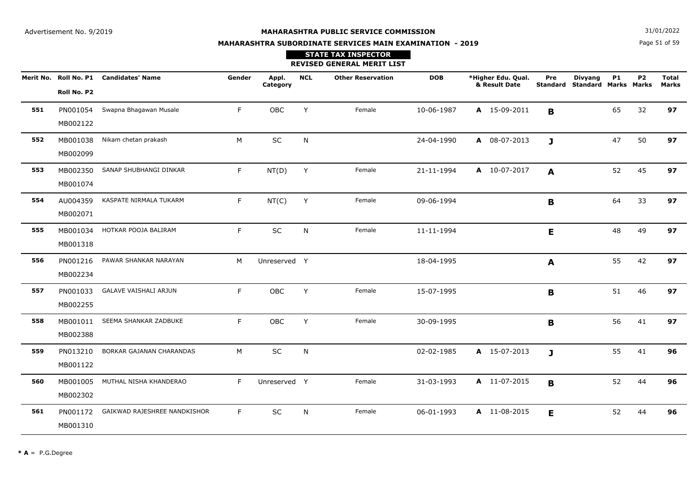**N**  $31/01/2022$ 

# **MAHARASHTRA SUBORDINATE SERVICES MAIN EXAMINATION - 2019STATE TAX INSPECTOR**

Page 51 of 59

|     |                      |                                        |        |                   |            | <b>REVISED GENERAL MERIT LIST</b> |            |                                     |              |                                                        |           |           |                              |
|-----|----------------------|----------------------------------------|--------|-------------------|------------|-----------------------------------|------------|-------------------------------------|--------------|--------------------------------------------------------|-----------|-----------|------------------------------|
|     | Roll No. P2          | Merit No. Roll No. P1 Candidates' Name | Gender | Appl.<br>Category | <b>NCL</b> | <b>Other Reservation</b>          | <b>DOB</b> | *Higher Edu. Qual.<br>& Result Date | Pre          | <b>Divyang</b><br><b>Standard Standard Marks Marks</b> | <b>P1</b> | <b>P2</b> | <b>Total</b><br><b>Marks</b> |
| 551 | PN001054<br>MB002122 | Swapna Bhagawan Musale                 | F.     | OBC               | Υ          | Female                            | 10-06-1987 | A 15-09-2011                        | B            |                                                        | 65        | 32        | 97                           |
| 552 | MB001038<br>MB002099 | Nikam chetan prakash                   | M      | $\sf SC$          | N          |                                   | 24-04-1990 | A 08-07-2013                        | $\mathbf{J}$ |                                                        | 47        | 50        | 97                           |
| 553 | MB002350<br>MB001074 | SANAP SHUBHANGI DINKAR                 | F.     | NT(D)             | Y          | Female                            | 21-11-1994 | A 10-07-2017                        | A            |                                                        | 52        | 45        | 97                           |
| 554 | AU004359<br>MB002071 | KASPATE NIRMALA TUKARM                 | F.     | NT(C)             | Y          | Female                            | 09-06-1994 |                                     | B            |                                                        | 64        | 33        | 97                           |
| 555 | MB001034<br>MB001318 | HOTKAR POOJA BALIRAM                   | F      | SC                | N          | Female                            | 11-11-1994 |                                     | E            |                                                        | 48        | 49        | 97                           |
| 556 | PN001216<br>MB002234 | PAWAR SHANKAR NARAYAN                  | M      | Unreserved Y      |            |                                   | 18-04-1995 |                                     | A            |                                                        | 55        | 42        | 97                           |
| 557 | PN001033<br>MB002255 | <b>GALAVE VAISHALI ARJUN</b>           | F      | <b>OBC</b>        | Y          | Female                            | 15-07-1995 |                                     | B            |                                                        | 51        | 46        | 97                           |
| 558 | MB001011<br>MB002388 | SEEMA SHANKAR ZADBUKE                  | F      | OBC               | Y          | Female                            | 30-09-1995 |                                     | $\mathbf B$  |                                                        | 56        | 41        | 97                           |
| 559 | PN013210<br>MB001122 | BORKAR GAJANAN CHARANDAS               | M      | SC                | N          |                                   | 02-02-1985 | A 15-07-2013                        | $\mathbf{J}$ |                                                        | 55        | 41        | 96                           |
| 560 | MB001005<br>MB002302 | MUTHAL NISHA KHANDERAO                 | F.     | Unreserved Y      |            | Female                            | 31-03-1993 | A 11-07-2015                        | B            |                                                        | 52        | 44        | 96                           |
| 561 | PN001172<br>MB001310 | GAIKWAD RAJESHREE NANDKISHOR           | F      | SC                | N          | Female                            | 06-01-1993 | A 11-08-2015                        | E            |                                                        | 52        | 44        | 96                           |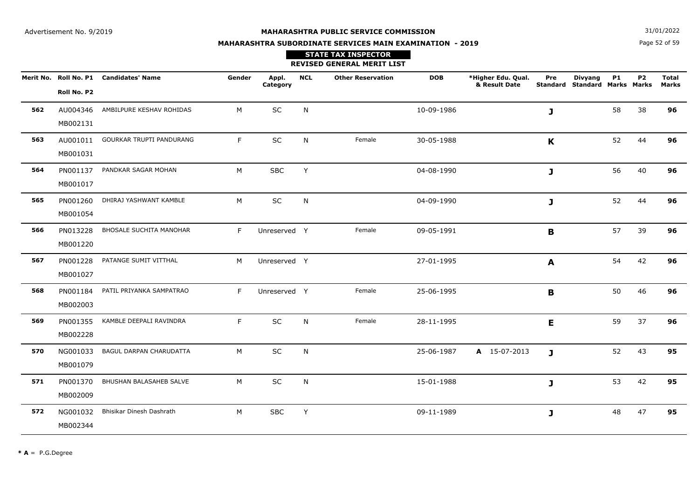**N**  $31/01/2022$ 

# **MAHARASHTRA SUBORDINATE SERVICES MAIN EXAMINATION - 2019STATE TAX INSPECTOR**

Page 52 of 59

|     |                      |                                        |        |                   |              | <b>REVISED GENERAL MERIT LIST</b> |            |                                     |              |                                                        |           |                |                              |
|-----|----------------------|----------------------------------------|--------|-------------------|--------------|-----------------------------------|------------|-------------------------------------|--------------|--------------------------------------------------------|-----------|----------------|------------------------------|
|     | Roll No. P2          | Merit No. Roll No. P1 Candidates' Name | Gender | Appl.<br>Category | <b>NCL</b>   | <b>Other Reservation</b>          | <b>DOB</b> | *Higher Edu. Qual.<br>& Result Date | Pre          | <b>Divyang</b><br><b>Standard Standard Marks Marks</b> | <b>P1</b> | P <sub>2</sub> | <b>Total</b><br><b>Marks</b> |
| 562 | AU004346<br>MB002131 | AMBILPURE KESHAV ROHIDAS               | M      | SC                | N            |                                   | 10-09-1986 |                                     | J            |                                                        | 58        | 38             | 96                           |
| 563 | MB001031             | AU001011 GOURKAR TRUPTI PANDURANG      | F      | $\sf SC$          | N            | Female                            | 30-05-1988 |                                     | K            |                                                        | 52        | 44             | 96                           |
| 564 | PN001137<br>MB001017 | PANDKAR SAGAR MOHAN                    | М      | <b>SBC</b>        | Y            |                                   | 04-08-1990 |                                     | J            |                                                        | 56        | 40             | 96                           |
| 565 | PN001260<br>MB001054 | DHIRAJ YASHWANT KAMBLE                 | M      | SC                | $\mathsf{N}$ |                                   | 04-09-1990 |                                     | J            |                                                        | 52        | 44             | 96                           |
| 566 | PN013228<br>MB001220 | <b>BHOSALE SUCHITA MANOHAR</b>         | F      | Unreserved Y      |              | Female                            | 09-05-1991 |                                     | B            |                                                        | 57        | 39             | 96                           |
| 567 | PN001228<br>MB001027 | PATANGE SUMIT VITTHAL                  | M      | Unreserved Y      |              |                                   | 27-01-1995 |                                     | A            |                                                        | 54        | 42             | 96                           |
| 568 | PN001184<br>MB002003 | PATIL PRIYANKA SAMPATRAO               | F.     | Unreserved Y      |              | Female                            | 25-06-1995 |                                     | B            |                                                        | 50        | 46             | 96                           |
| 569 | PN001355<br>MB002228 | KAMBLE DEEPALI RAVINDRA                | F      | SC                | N            | Female                            | 28-11-1995 |                                     | E            |                                                        | 59        | 37             | 96                           |
| 570 | NG001033<br>MB001079 | BAGUL DARPAN CHARUDATTA                | M      | SC                | N            |                                   | 25-06-1987 | A 15-07-2013                        | $\mathbf{J}$ |                                                        | 52        | 43             | 95                           |
| 571 | PN001370<br>MB002009 | BHUSHAN BALASAHEB SALVE                | М      | SC                | N            |                                   | 15-01-1988 |                                     | J            |                                                        | 53        | 42             | 95                           |
| 572 | NG001032<br>MB002344 | Bhisikar Dinesh Dashrath               | M      | <b>SBC</b>        | Υ            |                                   | 09-11-1989 |                                     | J            |                                                        | 48        | 47             | 95                           |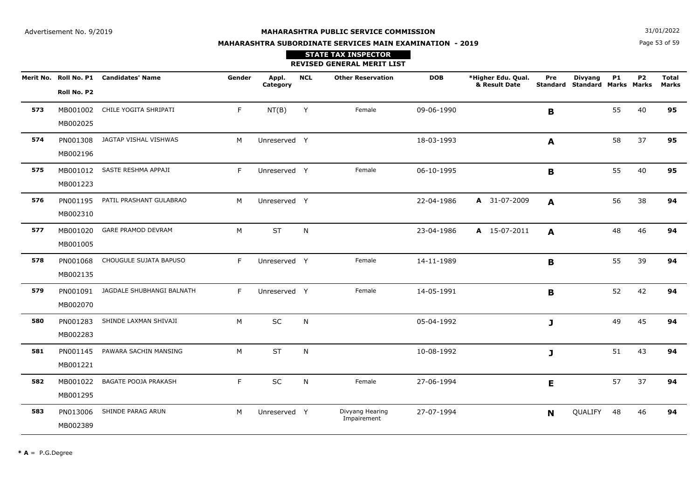Page 53 of 59**N**  $31/01/2022$ 

# **MAHARASHTRA SUBORDINATE SERVICES MAIN EXAMINATION - 2019STATE TAX INSPECTOR**

|     |                      |                                        |        |                   |            | <b>REVISED GENERAL MERIT LIST</b> |            |                                     |                        |                                               |           |           |                              |
|-----|----------------------|----------------------------------------|--------|-------------------|------------|-----------------------------------|------------|-------------------------------------|------------------------|-----------------------------------------------|-----------|-----------|------------------------------|
|     | Roll No. P2          | Merit No. Roll No. P1 Candidates' Name | Gender | Appl.<br>Category | <b>NCL</b> | <b>Other Reservation</b>          | <b>DOB</b> | *Higher Edu. Qual.<br>& Result Date | Pre<br><b>Standard</b> | <b>Divyang</b><br><b>Standard Marks Marks</b> | <b>P1</b> | <b>P2</b> | <b>Total</b><br><b>Marks</b> |
| 573 | MB001002<br>MB002025 | CHILE YOGITA SHRIPATI                  | F.     | NT(B)             | Y          | Female                            | 09-06-1990 |                                     | B                      |                                               | 55        | 40        | 95                           |
| 574 | PN001308<br>MB002196 | JAGTAP VISHAL VISHWAS                  | M      | Unreserved Y      |            |                                   | 18-03-1993 |                                     | A                      |                                               | 58        | 37        | 95                           |
| 575 | MB001223             | MB001012 SASTE RESHMA APPAJI           | F.     | Unreserved Y      |            | Female                            | 06-10-1995 |                                     | B                      |                                               | 55        | 40        | 95                           |
| 576 | PN001195<br>MB002310 | PATIL PRASHANT GULABRAO                | M      | Unreserved Y      |            |                                   | 22-04-1986 | A 31-07-2009                        | $\mathbf{A}$           |                                               | 56        | 38        | 94                           |
| 577 | MB001020<br>MB001005 | <b>GARE PRAMOD DEVRAM</b>              | M      | <b>ST</b>         | N          |                                   | 23-04-1986 | A 15-07-2011                        | A                      |                                               | 48        | 46        | 94                           |
| 578 | PN001068<br>MB002135 | CHOUGULE SUJATA BAPUSO                 | F      | Unreserved Y      |            | Female                            | 14-11-1989 |                                     | B                      |                                               | 55        | 39        | 94                           |
| 579 | PN001091<br>MB002070 | JAGDALE SHUBHANGI BALNATH              | F.     | Unreserved Y      |            | Female                            | 14-05-1991 |                                     | B                      |                                               | 52        | 42        | 94                           |
| 580 | PN001283<br>MB002283 | SHINDE LAXMAN SHIVAJI                  | M      | <b>SC</b>         | N          |                                   | 05-04-1992 |                                     | J                      |                                               | 49        | 45        | 94                           |
| 581 | PN001145<br>MB001221 | PAWARA SACHIN MANSING                  | M      | <b>ST</b>         | N          |                                   | 10-08-1992 |                                     | J                      |                                               | 51        | 43        | 94                           |
| 582 | MB001022<br>MB001295 | <b>BAGATE POOJA PRAKASH</b>            | F.     | SC                | N          | Female                            | 27-06-1994 |                                     | E                      |                                               | 57        | 37        | 94                           |
| 583 | PN013006<br>MB002389 | SHINDE PARAG ARUN                      | M      | Unreserved Y      |            | Divyang Hearing<br>Impairement    | 27-07-1994 |                                     | N                      | QUALIFY                                       | 48        | 46        | 94                           |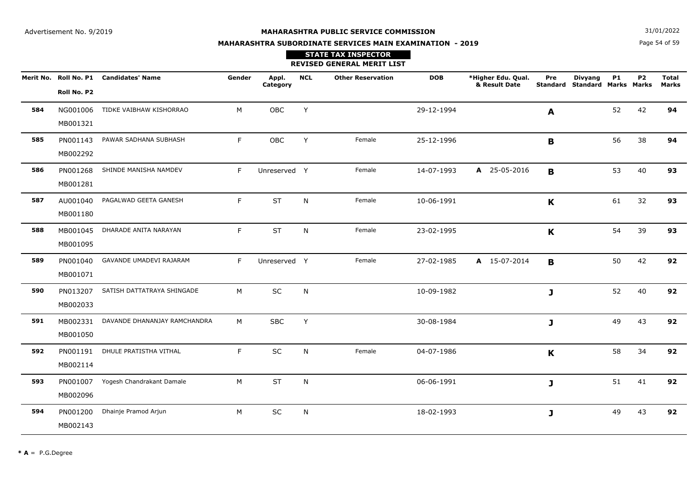**N**  $31/01/2022$ 

# **MAHARASHTRA SUBORDINATE SERVICES MAIN EXAMINATION - 2019**

Page 54 of 59

|     |                      |                                        |        |                   |            | <b>STATE TAX INSPECTOR</b><br><b>REVISED GENERAL MERIT LIST</b> |            |                                     |              |                                                        |           |           |                              |
|-----|----------------------|----------------------------------------|--------|-------------------|------------|-----------------------------------------------------------------|------------|-------------------------------------|--------------|--------------------------------------------------------|-----------|-----------|------------------------------|
|     | Roll No. P2          | Merit No. Roll No. P1 Candidates' Name | Gender | Appl.<br>Category | <b>NCL</b> | <b>Other Reservation</b>                                        | <b>DOB</b> | *Higher Edu. Qual.<br>& Result Date | Pre          | <b>Divyang</b><br><b>Standard Standard Marks Marks</b> | <b>P1</b> | <b>P2</b> | <b>Total</b><br><b>Marks</b> |
| 584 | MB001321             | NG001006 TIDKE VAIBHAW KISHORRAO       | M      | OBC               | Y          |                                                                 | 29-12-1994 |                                     | A            |                                                        | 52        | 42        | 94                           |
| 585 | MB002292             | PN001143 PAWAR SADHANA SUBHASH         | F.     | OBC               | Y          | Female                                                          | 25-12-1996 |                                     | B            |                                                        | 56        | 38        | 94                           |
| 586 | MB001281             | PN001268 SHINDE MANISHA NAMDEV         | F      | Unreserved Y      |            | Female                                                          | 14-07-1993 | A 25-05-2016                        | B            |                                                        | 53        | 40        | 93                           |
| 587 | AU001040<br>MB001180 | PAGALWAD GEETA GANESH                  | F      | <b>ST</b>         | N          | Female                                                          | 10-06-1991 |                                     | K            |                                                        | 61        | 32        | 93                           |
| 588 | MB001095             | MB001045 DHARADE ANITA NARAYAN         | F.     | <b>ST</b>         | N          | Female                                                          | 23-02-1995 |                                     | $\mathbf K$  |                                                        | 54        | 39        | 93                           |
| 589 | MB001071             | PN001040 GAVANDE UMADEVI RAJARAM       | F      | Unreserved Y      |            | Female                                                          | 27-02-1985 | A 15-07-2014                        | B            |                                                        | 50        | 42        | 92                           |
| 590 | MB002033             | PN013207 SATISH DATTATRAYA SHINGADE    | M      | SC                | N          |                                                                 | 10-09-1982 |                                     | J            |                                                        | 52        | 40        | 92                           |
| 591 | MB001050             | MB002331 DAVANDE DHANANJAY RAMCHANDRA  | M      | <b>SBC</b>        | Y          |                                                                 | 30-08-1984 |                                     | J            |                                                        | 49        | 43        | 92                           |
| 592 | PN001191<br>MB002114 | DHULE PRATISTHA VITHAL                 | F      | SC                | N          | Female                                                          | 04-07-1986 |                                     | $\mathbf{K}$ |                                                        | 58        | 34        | 92                           |
| 593 | MB002096             | PN001007 Yogesh Chandrakant Damale     | M      | ST                | N          |                                                                 | 06-06-1991 |                                     | J            |                                                        | 51        | 41        | 92                           |
| 594 | PN001200<br>MB002143 | Dhainje Pramod Arjun                   | M      | $\sf SC$          | N          |                                                                 | 18-02-1993 |                                     | J            |                                                        | 49        | 43        | 92                           |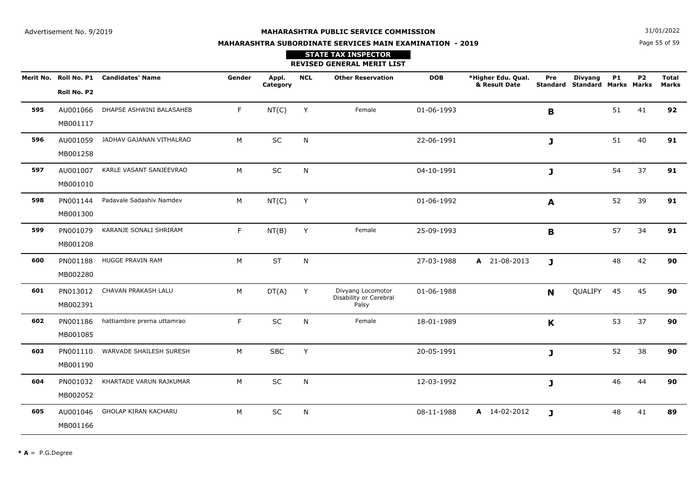**N**  $31/01/2022$ 

# **MAHARASHTRA SUBORDINATE SERVICES MAIN EXAMINATION - 2019STATE TAX INSPECTOR**

Page 55 of 59

|     |                      |                                        |        |                   |            | <b>REVISED GENERAL MERIT LIST</b>                    |            |                                     |                        |                                               |           |           |                              |
|-----|----------------------|----------------------------------------|--------|-------------------|------------|------------------------------------------------------|------------|-------------------------------------|------------------------|-----------------------------------------------|-----------|-----------|------------------------------|
|     | Roll No. P2          | Merit No. Roll No. P1 Candidates' Name | Gender | Appl.<br>Category | <b>NCL</b> | <b>Other Reservation</b>                             | <b>DOB</b> | *Higher Edu. Qual.<br>& Result Date | Pre<br><b>Standard</b> | <b>Divyang</b><br><b>Standard Marks Marks</b> | <b>P1</b> | <b>P2</b> | <b>Total</b><br><b>Marks</b> |
| 595 | AU001066<br>MB001117 | DHAPSE ASHWINI BALASAHEB               | F.     | NT(C)             | Y          | Female                                               | 01-06-1993 |                                     | $\mathbf B$            |                                               | 51        | 41        | 92                           |
| 596 | AU001059<br>MB001258 | JADHAV GAJANAN VITHALRAO               | M      | SC                | N          |                                                      | 22-06-1991 |                                     | J                      |                                               | 51        | 40        | 91                           |
| 597 | AU001007<br>MB001010 | KARLE VASANT SANJEEVRAO                | M      | $\sf SC$          | N          |                                                      | 04-10-1991 |                                     | J                      |                                               | 54        | 37        | 91                           |
| 598 | PN001144<br>MB001300 | Padavale Sadashiv Namdev               | M      | NT(C)             | Y          |                                                      | 01-06-1992 |                                     | $\boldsymbol{A}$       |                                               | 52        | 39        | 91                           |
| 599 | PN001079<br>MB001208 | KARANJE SONALI SHRIRAM                 | F      | NT(B)             | Υ          | Female                                               | 25-09-1993 |                                     | B                      |                                               | 57        | 34        | 91                           |
| 600 | PN001188<br>MB002280 | HUGGE PRAVIN RAM                       | M      | <b>ST</b>         | N          |                                                      | 27-03-1988 | A 21-08-2013                        | $\mathbf{J}$           |                                               | 48        | 42        | 90                           |
| 601 | PN013012<br>MB002391 | CHAVAN PRAKASH LALU                    | M      | DT(A)             | Y          | Divyang Locomotor<br>Disability or Cerebral<br>Palsy | 01-06-1988 |                                     | N                      | QUALIFY                                       | 45        | 45        | 90                           |
| 602 | PN001186<br>MB001085 | hattiambire prerna uttamrao            | F      | SC                | N          | Female                                               | 18-01-1989 |                                     | K                      |                                               | 53        | 37        | 90                           |
| 603 | PN001110<br>MB001190 | WARVADE SHAILESH SURESH                | M      | <b>SBC</b>        | Y          |                                                      | 20-05-1991 |                                     | J                      |                                               | 52        | 38        | 90                           |
| 604 | PN001032<br>MB002052 | KHARTADE VARUN RAJKUMAR                | M      | SC                | N          |                                                      | 12-03-1992 |                                     | J                      |                                               | 46        | 44        | 90                           |
| 605 | AU001046<br>MB001166 | GHOLAP KIRAN KACHARU                   | M      | <b>SC</b>         | N          |                                                      | 08-11-1988 | A 14-02-2012                        | J                      |                                               | 48        | 41        | 89                           |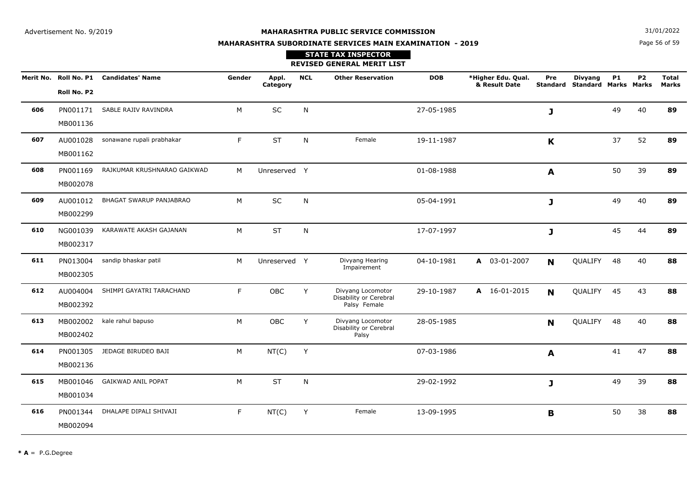Page 56 of 59**N**  $31/01/2022$ 

# **MAHARASHTRA SUBORDINATE SERVICES MAIN EXAMINATION - 2019STATE TAX INSPECTOR**

**REVISED GENERAL MERIT LIST**

|     | Merit No. Roll No. P1<br>Roll No. P2 | <b>Candidates' Name</b>     | Gender | Appl.<br>Category | <b>NCL</b>   | <b>Other Reservation</b>                                    | <b>DOB</b> | *Higher Edu. Qual.<br>& Result Date | Pre         | <b>Divyang</b><br>Standard Standard Marks Marks | <b>P1</b> | P <sub>2</sub> | <b>Total</b><br>Marks |
|-----|--------------------------------------|-----------------------------|--------|-------------------|--------------|-------------------------------------------------------------|------------|-------------------------------------|-------------|-------------------------------------------------|-----------|----------------|-----------------------|
| 606 | PN001171<br>MB001136                 | SABLE RAJIV RAVINDRA        | M      | SC                | N            |                                                             | 27-05-1985 |                                     | J           |                                                 | 49        | 40             | 89                    |
| 607 | AU001028<br>MB001162                 | sonawane rupali prabhakar   | F.     | <b>ST</b>         | N            | Female                                                      | 19-11-1987 |                                     | $\mathbf K$ |                                                 | 37        | 52             | 89                    |
| 608 | PN001169<br>MB002078                 | RAJKUMAR KRUSHNARAO GAIKWAD | M      | Unreserved Y      |              |                                                             | 01-08-1988 |                                     | A           |                                                 | 50        | 39             | 89                    |
| 609 | AU001012<br>MB002299                 | BHAGAT SWARUP PANJABRAO     | М      | SC                | N            |                                                             | 05-04-1991 |                                     | J           |                                                 | 49        | 40             | 89                    |
| 610 | NG001039<br>MB002317                 | KARAWATE AKASH GAJANAN      | M      | <b>ST</b>         | N            |                                                             | 17-07-1997 |                                     | J           |                                                 | 45        | 44             | 89                    |
| 611 | PN013004<br>MB002305                 | sandip bhaskar patil        | M      | Unreserved Y      |              | Divyang Hearing<br>Impairement                              | 04-10-1981 | A 03-01-2007                        | N           | QUALIFY                                         | 48        | 40             | 88                    |
| 612 | AU004004<br>MB002392                 | SHIMPI GAYATRI TARACHAND    | F.     | OBC               | Y            | Divyang Locomotor<br>Disability or Cerebral<br>Palsy Female | 29-10-1987 | A 16-01-2015                        | N           | QUALIFY                                         | 45        | 43             | 88                    |
| 613 | MB002002<br>MB002402                 | kale rahul bapuso           | M      | <b>OBC</b>        | Y            | Divyang Locomotor<br>Disability or Cerebral<br>Palsy        | 28-05-1985 |                                     | N           | QUALIFY                                         | 48        | 40             | 88                    |
| 614 | PN001305<br>MB002136                 | JEDAGE BIRUDEO BAJI         | M      | NT(C)             | Y            |                                                             | 07-03-1986 |                                     | A           |                                                 | 41        | 47             | 88                    |
| 615 | MB001046<br>MB001034                 | <b>GAIKWAD ANIL POPAT</b>   | M      | <b>ST</b>         | $\mathsf{N}$ |                                                             | 29-02-1992 |                                     | J           |                                                 | 49        | 39             | 88                    |
| 616 | PN001344<br>MB002094                 | DHALAPE DIPALI SHIVAJI      | F.     | NT(C)             | Y            | Female                                                      | 13-09-1995 |                                     | B           |                                                 | 50        | 38             | 88                    |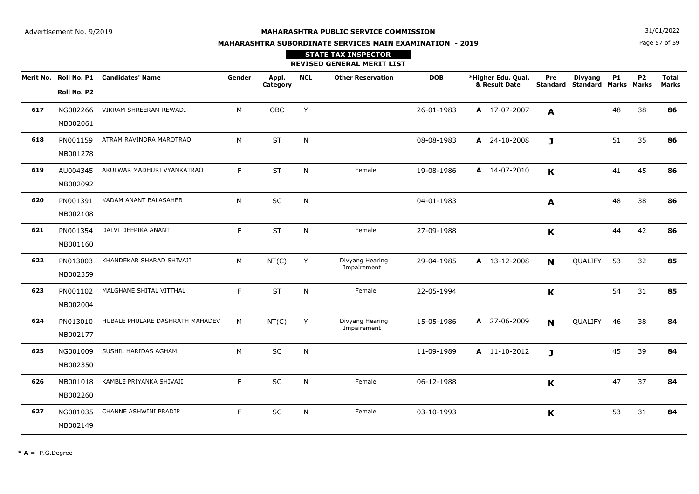**N**  $31/01/2022$ 

# **MAHARASHTRA SUBORDINATE SERVICES MAIN EXAMINATION - 2019**

Page 57 of 59

|     |                      |                                        |        |                   |              | <b>STATE TAX INSPECTOR</b><br><b>REVISED GENERAL MERIT LIST</b> |            |                                     |              |                                                        |           |                |                              |
|-----|----------------------|----------------------------------------|--------|-------------------|--------------|-----------------------------------------------------------------|------------|-------------------------------------|--------------|--------------------------------------------------------|-----------|----------------|------------------------------|
|     | Roll No. P2          | Merit No. Roll No. P1 Candidates' Name | Gender | Appl.<br>Category | <b>NCL</b>   | <b>Other Reservation</b>                                        | <b>DOB</b> | *Higher Edu. Qual.<br>& Result Date | Pre          | <b>Divyang</b><br><b>Standard Standard Marks Marks</b> | <b>P1</b> | P <sub>2</sub> | <b>Total</b><br><b>Marks</b> |
| 617 | NG002266<br>MB002061 | VIKRAM SHREERAM REWADI                 | M      | <b>OBC</b>        | Y            |                                                                 | 26-01-1983 | A 17-07-2007                        | A            |                                                        | 48        | 38             | 86                           |
| 618 | PN001159<br>MB001278 | ATRAM RAVINDRA MAROTRAO                | M      | <b>ST</b>         | N            |                                                                 | 08-08-1983 | A 24-10-2008                        | $\mathbf{J}$ |                                                        | 51        | 35             | 86                           |
| 619 | AU004345<br>MB002092 | AKULWAR MADHURI VYANKATRAO             | F.     | <b>ST</b>         | N            | Female                                                          | 19-08-1986 | A 14-07-2010                        | K            |                                                        | 41        | 45             | 86                           |
| 620 | PN001391<br>MB002108 | KADAM ANANT BALASAHEB                  | M      | SC                | $\mathsf{N}$ |                                                                 | 04-01-1983 |                                     | A            |                                                        | 48        | 38             | 86                           |
| 621 | PN001354<br>MB001160 | DALVI DEEPIKA ANANT                    | F.     | <b>ST</b>         | N            | Female                                                          | 27-09-1988 |                                     | $\mathbf K$  |                                                        | 44        | 42             | 86                           |
| 622 | PN013003<br>MB002359 | KHANDEKAR SHARAD SHIVAJI               | M      | NT(C)             | Y            | Divyang Hearing<br>Impairement                                  | 29-04-1985 | A 13-12-2008                        | N            | QUALIFY 53                                             |           | 32             | 85                           |
| 623 | PN001102<br>MB002004 | MALGHANE SHITAL VITTHAL                | F.     | <b>ST</b>         | N            | Female                                                          | 22-05-1994 |                                     | K            |                                                        | 54        | 31             | 85                           |
| 624 | PN013010<br>MB002177 | HUBALE PHULARE DASHRATH MAHADEV        | M      | NT(C)             | Y            | Divyang Hearing<br>Impairement                                  | 15-05-1986 | A 27-06-2009                        | N            | QUALIFY 46                                             |           | 38             | 84                           |
| 625 | NG001009<br>MB002350 | SUSHIL HARIDAS AGHAM                   | M      | SC                | N            |                                                                 | 11-09-1989 | A 11-10-2012                        | $\mathbf{J}$ |                                                        | 45        | 39             | 84                           |
| 626 | MB001018<br>MB002260 | KAMBLE PRIYANKA SHIVAJI                | F.     | SC                | N            | Female                                                          | 06-12-1988 |                                     | K            |                                                        | 47        | 37             | 84                           |
| 627 | NG001035<br>MB002149 | CHANNE ASHWINI PRADIP                  | F.     | SC                | N            | Female                                                          | 03-10-1993 |                                     | K            |                                                        | 53        | 31             | 84                           |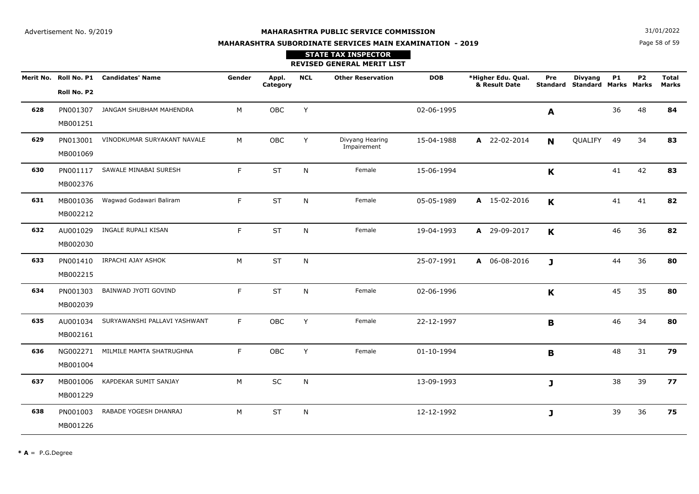**N**  $31/01/2022$ 

# **MAHARASHTRA SUBORDINATE SERVICES MAIN EXAMINATION - 2019STATE TAX INSPECTOR**

Page 58 of 59

|     |                      |                                        |        |                   |            | <b>REVISED GENERAL MERIT LIST</b> |            |                                     |              |                                                        |           |           |                       |
|-----|----------------------|----------------------------------------|--------|-------------------|------------|-----------------------------------|------------|-------------------------------------|--------------|--------------------------------------------------------|-----------|-----------|-----------------------|
|     | Roll No. P2          | Merit No. Roll No. P1 Candidates' Name | Gender | Appl.<br>Category | <b>NCL</b> | <b>Other Reservation</b>          | <b>DOB</b> | *Higher Edu. Qual.<br>& Result Date | Pre          | <b>Divyang</b><br><b>Standard Standard Marks Marks</b> | <b>P1</b> | <b>P2</b> | <b>Total</b><br>Marks |
| 628 | PN001307<br>MB001251 | JANGAM SHUBHAM MAHENDRA                | M      | OBC               | Y          |                                   | 02-06-1995 |                                     | A            |                                                        | 36        | 48        | 84                    |
| 629 | PN013001<br>MB001069 | VINODKUMAR SURYAKANT NAVALE            | M      | OBC               | Y          | Divyang Hearing<br>Impairement    | 15-04-1988 | A 22-02-2014                        | N            | QUALIFY                                                | 49        | 34        | 83                    |
| 630 | PN001117<br>MB002376 | SAWALE MINABAI SURESH                  | F.     | <b>ST</b>         | N          | Female                            | 15-06-1994 |                                     | K            |                                                        | 41        | 42        | 83                    |
| 631 | MB001036<br>MB002212 | Wagwad Godawari Baliram                | F      | <b>ST</b>         | N          | Female                            | 05-05-1989 | A 15-02-2016                        | K            |                                                        | 41        | 41        | 82                    |
| 632 | AU001029<br>MB002030 | INGALE RUPALI KISAN                    | F      | <b>ST</b>         | N          | Female                            | 19-04-1993 | A 29-09-2017                        | $\mathbf K$  |                                                        | 46        | 36        | 82                    |
| 633 | PN001410<br>MB002215 | IRPACHI AJAY ASHOK                     | M      | <b>ST</b>         | N          |                                   | 25-07-1991 | A 06-08-2016                        | $\mathbf{J}$ |                                                        | 44        | 36        | 80                    |
| 634 | PN001303<br>MB002039 | BAINWAD JYOTI GOVIND                   | F      | <b>ST</b>         | N          | Female                            | 02-06-1996 |                                     | K            |                                                        | 45        | 35        | 80                    |
| 635 | AU001034<br>MB002161 | SURYAWANSHI PALLAVI YASHWANT           | F      | OBC               | Y          | Female                            | 22-12-1997 |                                     | B            |                                                        | 46        | 34        | 80                    |
| 636 | NG002271<br>MB001004 | MILMILE MAMTA SHATRUGHNA               | F.     | <b>OBC</b>        | Y          | Female                            | 01-10-1994 |                                     | B            |                                                        | 48        | 31        | 79                    |
| 637 | MB001006<br>MB001229 | KAPDEKAR SUMIT SANJAY                  | M      | SC                | N          |                                   | 13-09-1993 |                                     | J            |                                                        | 38        | 39        | 77                    |
| 638 | PN001003<br>MB001226 | RABADE YOGESH DHANRAJ                  | M      | <b>ST</b>         | N          |                                   | 12-12-1992 |                                     | J            |                                                        | 39        | 36        | 75                    |